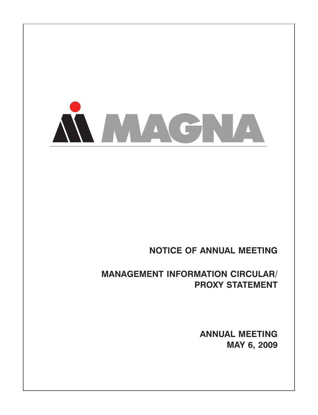

# **NOTICE OF ANNUAL MEETING**

# **MANAGEMENT INFORMATION CIRCULAR/ PROXY STATEMENT**

**ANNUAL MEETING MAY 6, 2009**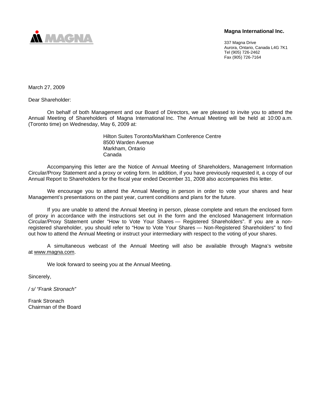

## **Magna International Inc.**

337 Magna Drive Aurora, Ontario, Canada L4G 7K1 Tel (905) 726-2462 Fax (905) 726-7164

March 27, 2009

Dear Shareholder:

On behalf of both Management and our Board of Directors, we are pleased to invite you to attend the Annual Meeting of Shareholders of Magna International Inc. The Annual Meeting will be held at 10:00 a.m. (Toronto time) on Wednesday, May 6, 2009 at:

> Hilton Suites Toronto/Markham Conference Centre 8500 Warden Avenue Markham, Ontario Canada

Accompanying this letter are the Notice of Annual Meeting of Shareholders, Management Information Circular/Proxy Statement and a proxy or voting form. In addition, if you have previously requested it, a copy of our Annual Report to Shareholders for the fiscal year ended December 31, 2008 also accompanies this letter.

We encourage you to attend the Annual Meeting in person in order to vote your shares and hear Management's presentations on the past year, current conditions and plans for the future.

If you are unable to attend the Annual Meeting in person, please complete and return the enclosed form of proxy in accordance with the instructions set out in the form and the enclosed Management Information Circular/Proxy Statement under "How to Vote Your Shares — Registered Shareholders". If you are a nonregistered shareholder, you should refer to "How to Vote Your Shares — Non-Registered Shareholders" to find out how to attend the Annual Meeting or instruct your intermediary with respect to the voting of your shares.

A simultaneous webcast of the Annual Meeting will also be available through Magna's website at www.magna.com.

We look forward to seeing you at the Annual Meeting.

Sincerely,

*/ s/ "Frank Stronach"* 

Frank Stronach Chairman of the Board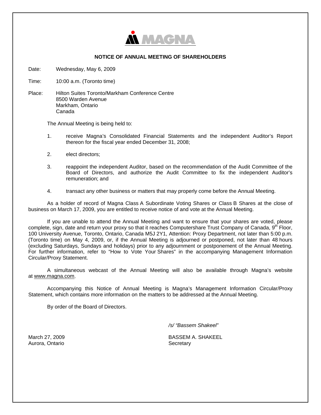

#### **NOTICE OF ANNUAL MEETING OF SHAREHOLDERS**

Date: Wednesday, May 6, 2009

Time: 10:00 a.m. (Toronto time)

Place: Hilton Suites Toronto/Markham Conference Centre 8500 Warden Avenue Markham, Ontario Canada

The Annual Meeting is being held to:

- 1. receive Magna's Consolidated Financial Statements and the independent Auditor's Report thereon for the fiscal year ended December 31, 2008;
- 2. elect directors;
- 3. reappoint the independent Auditor, based on the recommendation of the Audit Committee of the Board of Directors, and authorize the Audit Committee to fix the independent Auditor's remuneration; and
- 4. transact any other business or matters that may properly come before the Annual Meeting.

As a holder of record of Magna Class A Subordinate Voting Shares or Class B Shares at the close of business on March 17, 2009, you are entitled to receive notice of and vote at the Annual Meeting.

If you are unable to attend the Annual Meeting and want to ensure that your shares are voted, please complete, sign, date and return your proxy so that it reaches Computershare Trust Company of Canada, 9<sup>th</sup> Floor, 100 University Avenue, Toronto, Ontario, Canada M5J 2Y1, Attention: Proxy Department, not later than 5:00 p.m. (Toronto time) on May 4, 2009, or, if the Annual Meeting is adjourned or postponed, not later than 48 hours (excluding Saturdays, Sundays and holidays) prior to any adjournment or postponement of the Annual Meeting. For further information, refer to "How to Vote Your Shares" in the accompanying Management Information Circular/Proxy Statement.

A simultaneous webcast of the Annual Meeting will also be available through Magna's website at www.magna.com.

Accompanying this Notice of Annual Meeting is Magna's Management Information Circular/Proxy Statement, which contains more information on the matters to be addressed at the Annual Meeting.

By order of the Board of Directors.

*/s/ "Bassem Shakeel"* 

March 27, 2009 Aurora, Ontario

BASSEM A. SHAKEEL **Secretary**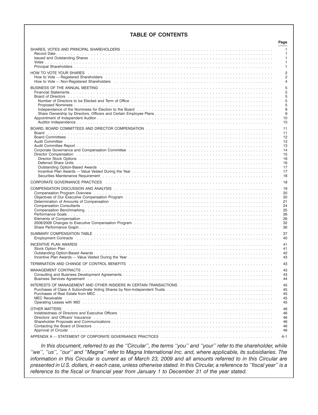# **TABLE OF CONTENTS**

|                                                                                                                                                                                                                                | Page                             |
|--------------------------------------------------------------------------------------------------------------------------------------------------------------------------------------------------------------------------------|----------------------------------|
| SHARES, VOTES AND PRINCIPAL SHAREHOLDERS (and all and all and all and all and all and all and all and all and t                                                                                                                | $\mathbf{1}$                     |
|                                                                                                                                                                                                                                | 1                                |
|                                                                                                                                                                                                                                | 1                                |
|                                                                                                                                                                                                                                | 1<br>1                           |
|                                                                                                                                                                                                                                |                                  |
| HOW TO VOTE YOUR SHARES Allanda and the contract of the contract of the contract of the contract of the contract of the contract of the contract of the contract of the contract of the contract of the contract of the contra | $\overline{2}$                   |
|                                                                                                                                                                                                                                | $\overline{2}$<br>$\overline{4}$ |
|                                                                                                                                                                                                                                |                                  |
|                                                                                                                                                                                                                                | 5                                |
|                                                                                                                                                                                                                                | 5<br>5                           |
|                                                                                                                                                                                                                                | 5                                |
|                                                                                                                                                                                                                                | 5                                |
|                                                                                                                                                                                                                                | 9                                |
|                                                                                                                                                                                                                                | 9                                |
|                                                                                                                                                                                                                                | 10                               |
|                                                                                                                                                                                                                                | 10                               |
|                                                                                                                                                                                                                                | 11                               |
|                                                                                                                                                                                                                                | 11                               |
|                                                                                                                                                                                                                                | 12<br>13                         |
|                                                                                                                                                                                                                                | 13                               |
|                                                                                                                                                                                                                                | 14                               |
|                                                                                                                                                                                                                                | 15                               |
|                                                                                                                                                                                                                                | 16                               |
|                                                                                                                                                                                                                                | 16                               |
| Outstanding Option-Based Awards National Account of the Content of the Content of the Content of the Content of the Content of the Content of the Content of the Content of the Content of the Content of the Content of the C | 17                               |
|                                                                                                                                                                                                                                | 17<br>18                         |
|                                                                                                                                                                                                                                |                                  |
| CORPORATE GOVERNANCE PRACTICES (and all and all and all and all and all and all and all and all and all and all and all and all and all and all and all and all and all and all and all and all and all and all and all and al | 18                               |
| COMPENSATION DISCUSSION AND ANALYSIS NULLER CONTRACT COMPONENT AND THE COMPENSATION DISCUSSION AND ANALYSIS                                                                                                                    | 19                               |
|                                                                                                                                                                                                                                | 20                               |
|                                                                                                                                                                                                                                | 20                               |
|                                                                                                                                                                                                                                | 21<br>24                         |
|                                                                                                                                                                                                                                | 25                               |
|                                                                                                                                                                                                                                | 26                               |
|                                                                                                                                                                                                                                | 26                               |
|                                                                                                                                                                                                                                | 32                               |
|                                                                                                                                                                                                                                | 36                               |
|                                                                                                                                                                                                                                | 37                               |
|                                                                                                                                                                                                                                | 40                               |
|                                                                                                                                                                                                                                | 41                               |
|                                                                                                                                                                                                                                | 41                               |
|                                                                                                                                                                                                                                | 42                               |
|                                                                                                                                                                                                                                | 43                               |
|                                                                                                                                                                                                                                | 43                               |
|                                                                                                                                                                                                                                | 43                               |
|                                                                                                                                                                                                                                | 43                               |
|                                                                                                                                                                                                                                | 44                               |
| INTERESTS OF MANAGEMENT AND OTHER INSIDERS IN CERTAIN TRANSACTIONS                                                                                                                                                             | 45                               |
|                                                                                                                                                                                                                                | 45                               |
|                                                                                                                                                                                                                                | 45                               |
|                                                                                                                                                                                                                                | 45                               |
|                                                                                                                                                                                                                                | 45                               |
|                                                                                                                                                                                                                                | 46                               |
| Indebtedness of Directors and Executive Officers etherapy and the contract of the contract of the Contract of T                                                                                                                | 46                               |
| Directors' and Officers' Insurance enterpresentation of the contract of the contract of the contract of the contract of the contract of the contract of the contract of the contract of the contract of the contract of the co | 46                               |
|                                                                                                                                                                                                                                | 46                               |
|                                                                                                                                                                                                                                | 46                               |
|                                                                                                                                                                                                                                | 46                               |
|                                                                                                                                                                                                                                | A-1                              |

*In this document, referred to as the ''Circular'', the terms ''you'' and ''your'' refer to the shareholder, while ''we'', ''us'', ''our'' and ''Magna'' refer to Magna International Inc. and, where applicable, its subsidiaries. The information in this Circular is current as of March 23, 2009 and all amounts referred to in this Circular are presented in U.S. dollars, in each case, unless otherwise stated. In this Circular, a reference to ''fiscal year'' is a reference to the fiscal or financial year from January 1 to December 31 of the year stated.*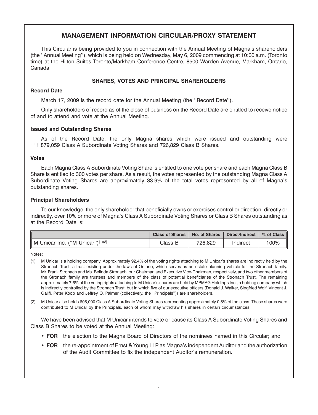# **MANAGEMENT INFORMATION CIRCULAR/PROXY STATEMENT**

This Circular is being provided to you in connection with the Annual Meeting of Magna's shareholders (the ''Annual Meeting''), which is being held on Wednesday, May 6, 2009 commencing at 10:00 a.m. (Toronto time) at the Hilton Suites Toronto/Markham Conference Centre, 8500 Warden Avenue, Markham, Ontario, Canada.

## **SHARES, VOTES AND PRINCIPAL SHAREHOLDERS**

### **Record Date**

March 17, 2009 is the record date for the Annual Meeting (the ''Record Date'').

Only shareholders of record as of the close of business on the Record Date are entitled to receive notice of and to attend and vote at the Annual Meeting.

### **Issued and Outstanding Shares**

As of the Record Date, the only Magna shares which were issued and outstanding were 111,879,059 Class A Subordinate Voting Shares and 726,829 Class B Shares.

#### **Votes**

Each Magna Class A Subordinate Voting Share is entitled to one vote per share and each Magna Class B Share is entitled to 300 votes per share. As a result, the votes represented by the outstanding Magna Class A Subordinate Voting Shares are approximately 33.9% of the total votes represented by all of Magna's outstanding shares.

### **Principal Shareholders**

To our knowledge, the only shareholder that beneficially owns or exercises control or direction, directly or indirectly, over 10% or more of Magna's Class A Subordinate Voting Shares or Class B Shares outstanding as at the Record Date is:

|                                     | Class of Shares   No. of Shares |         | Direct/Indirect   % of Class |      |
|-------------------------------------|---------------------------------|---------|------------------------------|------|
| M Unicar Inc. ("M Unicar") $(1)(2)$ | Class B                         | 726.829 | Indirect                     | 100% |

Notes:

- (1) M Unicar is a holding company. Approximately 92.4% of the voting rights attaching to M Unicar's shares are indirectly held by the Stronach Trust, a trust existing under the laws of Ontario, which serves as an estate planning vehicle for the Stronach family. Mr. Frank Stronach and Ms. Belinda Stronach, our Chairman and Executive Vice-Chairman, respectively, and two other members of the Stronach family are trustees and members of the class of potential beneficiaries of the Stronach Trust. The remaining approximately 7.6% of the voting rights attaching to M Unicar's shares are held by MPMAG Holdings Inc., a holding company which is indirectly controlled by the Stronach Trust, but in which five of our executive officers (Donald J. Walker, Siegfried Wolf, Vincent J. Galifi, Peter Koob and Jeffrey O. Palmer (collectively, the ''Principals'')) are shareholders.
- (2) M Unicar also holds 605,000 Class A Subordinate Voting Shares representing approximately 0.5% of the class. These shares were contributed to M Unicar by the Principals, each of whom may withdraw his shares in certain circumstances.

We have been advised that M Unicar intends to vote or cause its Class A Subordinate Voting Shares and Class B Shares to be voted at the Annual Meeting:

- **FOR** the election to the Magna Board of Directors of the nominees named in this Circular; and
- **FOR** the re-appointment of Ernst & Young LLP as Magna's independent Auditor and the authorization of the Audit Committee to fix the independent Auditor's remuneration.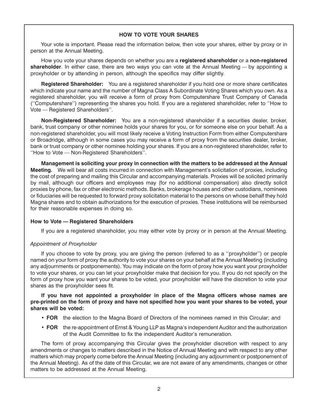# **HOW TO VOTE YOUR SHARES**

Your vote is important. Please read the information below, then vote your shares, either by proxy or in person at the Annual Meeting.

How you vote your shares depends on whether you are a **registered shareholder** or a **non-registered shareholder**. In either case, there are two ways you can vote at the Annual Meeting — by appointing a proxyholder or by attending in person, although the specifics may differ slightly.

**Registered Shareholder:** You are a registered shareholder if you hold one or more share certificates which indicate your name and the number of Magna Class A Subordinate Voting Shares which you own. As a registered shareholder, you will receive a form of proxy from Computershare Trust Company of Canada (''Computershare'') representing the shares you hold. If you are a registered shareholder, refer to ''How to Vote — Registered Shareholders''.

**Non-Registered Shareholder:** You are a non-registered shareholder if a securities dealer, broker, bank, trust company or other nominee holds your shares for you, or for someone else on your behalf. As a non-registered shareholder, you will most likely receive a Voting Instruction Form from either Computershare or Broadridge, although in some cases you may receive a form of proxy from the securities dealer, broker, bank or trust company or other nominee holding your shares. If you are a non-registered shareholder, refer to ''How to Vote — Non-Registered Shareholders''.

**Management is soliciting your proxy in connection with the matters to be addressed at the Annual Meeting.** We will bear all costs incurred in connection with Management's solicitation of proxies, including the cost of preparing and mailing this Circular and accompanying materials. Proxies will be solicited primarily by mail, although our officers and employees may (for no additional compensation) also directly solicit proxies by phone, fax or other electronic methods. Banks, brokerage houses and other custodians, nominees or fiduciaries will be requested to forward proxy solicitation material to the persons on whose behalf they hold Magna shares and to obtain authorizations for the execution of proxies. These institutions will be reimbursed for their reasonable expenses in doing so.

# **How to Vote — Registered Shareholders**

If you are a registered shareholder, you may either vote by proxy or in person at the Annual Meeting.

# *Appointment of Proxyholder*

If you choose to vote by proxy, you are giving the person (referred to as a ''proxyholder'') or people named on your form of proxy the authority to vote your shares on your behalf at the Annual Meeting (including any adjournments or postponements). You may indicate on the form of proxy how you want your proxyholder to vote your shares, or you can let your proxyholder make that decision for you. If you do not specify on the form of proxy how you want your shares to be voted, your proxyholder will have the discretion to vote your shares as the proxyholder sees fit.

### **If you have not appointed a proxyholder in place of the Magna officers whose names are pre-printed on the form of proxy and have not specified how you want your shares to be voted, your shares will be voted:**

- **FOR** the election to the Magna Board of Directors of the nominees named in this Circular; and
- **FOR** the re-appointment of Ernst & Young LLP as Magna's independent Auditor and the authorization of the Audit Committee to fix the independent Auditor's remuneration.

The form of proxy accompanying this Circular gives the proxyholder discretion with respect to any amendments or changes to matters described in the Notice of Annual Meeting and with respect to any other matters which may properly come before the Annual Meeting (including any adjournment or postponement of the Annual Meeting). As of the date of this Circular, we are not aware of any amendments, changes or other matters to be addressed at the Annual Meeting.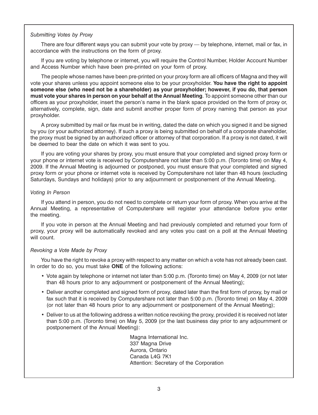## *Submitting Votes by Proxy*

There are four different ways you can submit your vote by proxy — by telephone, internet, mail or fax, in accordance with the instructions on the form of proxy.

If you are voting by telephone or internet, you will require the Control Number, Holder Account Number and Access Number which have been pre-printed on your form of proxy.

The people whose names have been pre-printed on your proxy form are all officers of Magna and they will vote your shares unless you appoint someone else to be your proxyholder. **You have the right to appoint someone else (who need not be a shareholder) as your proxyholder; however, if you do, that person must vote your shares in person on your behalf at the Annual Meeting**. To appoint someone other than our officers as your proxyholder, insert the person's name in the blank space provided on the form of proxy or, alternatively, complete, sign, date and submit another proper form of proxy naming that person as your proxyholder.

A proxy submitted by mail or fax must be in writing, dated the date on which you signed it and be signed by you (or your authorized attorney). If such a proxy is being submitted on behalf of a corporate shareholder, the proxy must be signed by an authorized officer or attorney of that corporation. If a proxy is not dated, it will be deemed to bear the date on which it was sent to you.

If you are voting your shares by proxy, you must ensure that your completed and signed proxy form or your phone or internet vote is received by Computershare not later than 5:00 p.m. (Toronto time) on May 4, 2009. If the Annual Meeting is adjourned or postponed, you must ensure that your completed and signed proxy form or your phone or internet vote is received by Computershare not later than 48 hours (excluding Saturdays, Sundays and holidays) prior to any adjournment or postponement of the Annual Meeting.

### *Voting In Person*

If you attend in person, you do not need to complete or return your form of proxy. When you arrive at the Annual Meeting, a representative of Computershare will register your attendance before you enter the meeting.

If you vote in person at the Annual Meeting and had previously completed and returned your form of proxy, your proxy will be automatically revoked and any votes you cast on a poll at the Annual Meeting will count.

# *Revoking a Vote Made by Proxy*

You have the right to revoke a proxy with respect to any matter on which a vote has not already been cast. In order to do so, you must take **ONE** of the following actions:

- Vote again by telephone or internet not later than 5:00 p.m. (Toronto time) on May 4, 2009 (or not later than 48 hours prior to any adjournment or postponement of the Annual Meeting);
- Deliver another completed and signed form of proxy, dated later than the first form of proxy, by mail or fax such that it is received by Computershare not later than 5:00 p.m. (Toronto time) on May 4, 2009 (or not later than 48 hours prior to any adjournment or postponement of the Annual Meeting);
- Deliver to us at the following address a written notice revoking the proxy, provided it is received not later than 5:00 p.m. (Toronto time) on May 5, 2009 (or the last business day prior to any adjournment or postponement of the Annual Meeting):

Magna International Inc. 337 Magna Drive Aurora, Ontario Canada L4G 7K1 Attention: Secretary of the Corporation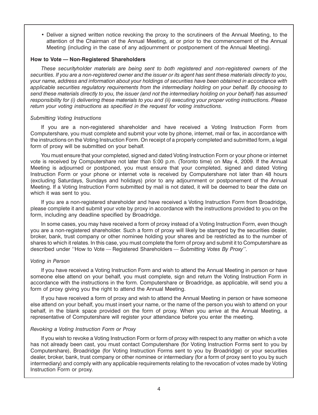• Deliver a signed written notice revoking the proxy to the scrutineers of the Annual Meeting, to the attention of the Chairman of the Annual Meeting, at or prior to the commencement of the Annual Meeting (including in the case of any adjournment or postponement of the Annual Meeting).

#### **How to Vote — Non-Registered Shareholders**

*These securityholder materials are being sent to both registered and non-registered owners of the securities. If you are a non-registered owner and the issuer or its agent has sent these materials directly to you, your name, address and information about your holdings of securities have been obtained in accordance with applicable securities regulatory requirements from the intermediary holding on your behalf. By choosing to send these materials directly to you, the issuer (and not the intermediary holding on your behalf) has assumed responsibility for (i) delivering these materials to you and (ii) executing your proper voting instructions. Please return your voting instructions as specified in the request for voting instructions.*

### *Submitting Voting Instructions*

If you are a non-registered shareholder and have received a Voting Instruction Form from Computershare, you must complete and submit your vote by phone, internet, mail or fax, in accordance with the instructions on the Voting Instruction Form. On receipt of a properly completed and submitted form, a legal form of proxy will be submitted on your behalf.

You must ensure that your completed, signed and dated Voting Instruction Form or your phone or internet vote is received by Computershare not later than 5:00 p.m. (Toronto time) on May 4, 2009. If the Annual Meeting is adjourned or postponed, you must ensure that your completed, signed and dated Voting Instruction Form or your phone or internet vote is received by Computershare not later than 48 hours (excluding Saturdays, Sundays and holidays) prior to any adjournment or postponement of the Annual Meeting. If a Voting Instruction Form submitted by mail is not dated, it will be deemed to bear the date on which it was sent to you.

If you are a non-registered shareholder and have received a Voting Instruction Form from Broadridge, please complete it and submit your vote by proxy in accordance with the instructions provided to you on the form, including any deadline specified by Broadridge.

In some cases, you may have received a form of proxy instead of a Voting Instruction Form, even though you are a non-registered shareholder. Such a form of proxy will likely be stamped by the securities dealer, broker, bank, trust company or other nominee holding your shares and be restricted as to the number of shares to which it relates. In this case, you must complete the form of proxy and submit it to Computershare as described under ''How to Vote — Registered Shareholders *— Submitting Votes By Proxy''*.

#### *Voting in Person*

If you have received a Voting Instruction Form and wish to attend the Annual Meeting in person or have someone else attend on your behalf, you must complete, sign and return the Voting Instruction Form in accordance with the instructions in the form. Computershare or Broadridge, as applicable, will send you a form of proxy giving you the right to attend the Annual Meeting.

If you have received a form of proxy and wish to attend the Annual Meeting in person or have someone else attend on your behalf, you must insert your name, or the name of the person you wish to attend on your behalf, in the blank space provided on the form of proxy. When you arrive at the Annual Meeting, a representative of Computershare will register your attendance before you enter the meeting.

#### *Revoking a Voting Instruction Form or Proxy*

If you wish to revoke a Voting Instruction Form or form of proxy with respect to any matter on which a vote has not already been cast, you must contact Computershare (for Voting Instruction Forms sent to you by Computershare), Broadridge (for Voting Instruction Forms sent to you by Broadridge) or your securities dealer, broker, bank, trust company or other nominee or intermediary (for a form of proxy sent to you by such intermediary) and comply with any applicable requirements relating to the revocation of votes made by Voting Instruction Form or proxy.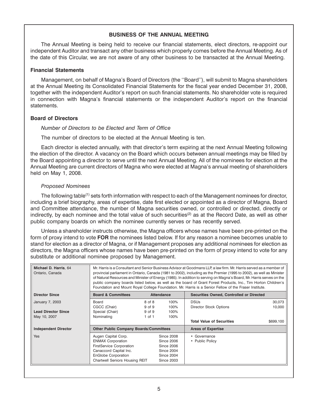## **BUSINESS OF THE ANNUAL MEETING**

The Annual Meeting is being held to receive our financial statements, elect directors, re-appoint our independent Auditor and transact any other business which properly comes before the Annual Meeting. As of the date of this Circular, we are not aware of any other business to be transacted at the Annual Meeting.

#### **Financial Statements**

Management, on behalf of Magna's Board of Directors (the ''Board''), will submit to Magna shareholders at the Annual Meeting its Consolidated Financial Statements for the fiscal year ended December 31, 2008, together with the independent Auditor's report on such financial statements. No shareholder vote is required in connection with Magna's financial statements or the independent Auditor's report on the financial **statements** 

#### **Board of Directors**

#### *Number of Directors to be Elected and Term of Office*

The number of directors to be elected at the Annual Meeting is ten.

Each director is elected annually, with that director's term expiring at the next Annual Meeting following the election of the director. A vacancy on the Board which occurs between annual meetings may be filled by the Board appointing a director to serve until the next Annual Meeting. All of the nominees for election at the Annual Meeting are current directors of Magna who were elected at Magna's annual meeting of shareholders held on May 1, 2008.

#### *Proposed Nominees*

The following table<sup>(1)</sup> sets forth information with respect to each of the Management nominees for director, including a brief biography, areas of expertise, date first elected or appointed as a director of Magna, Board and Committee attendance, the number of Magna securities owned, or controlled or directed, directly or indirectly, by each nominee and the total value of such securities<sup>(2)</sup> as at the Record Date, as well as other public company boards on which the nominee currently serves or has recently served.

Unless a shareholder instructs otherwise, the Magna officers whose names have been pre-printed on the form of proxy intend to vote **FOR** the nominees listed below. If for any reason a nominee becomes unable to stand for election as a director of Magna, or if Management proposes any additional nominees for election as directors, the Magna officers whose names have been pre-printed on the form of proxy intend to vote for any substitute or additional nominee proposed by Management.

| Michael D. Harris, 64<br>Ontario, Canada | Mr. Harris is a Consultant and Senior Business Advisor at Goodmans LLP, a law firm. Mr. Harris served as a member of<br>provincial parliament in Ontario, Canada (1981 to 2002), including as the Premier (1995 to 2002), as well as Minister<br>of Natural Resources and Minister of Energy (1985). In addition to serving on Magna's Board, Mr. Harris serves on the<br>public company boards listed below, as well as the board of Grant Forest Products, Inc., Tim Horton Children's<br>Foundation and Mount Royal College Foundation. Mr. Harris is a Senior Fellow of the Fraser Institute. |            |                   |                                          |           |  |  |
|------------------------------------------|---------------------------------------------------------------------------------------------------------------------------------------------------------------------------------------------------------------------------------------------------------------------------------------------------------------------------------------------------------------------------------------------------------------------------------------------------------------------------------------------------------------------------------------------------------------------------------------------------|------------|-------------------|------------------------------------------|-----------|--|--|
| <b>Director Since</b>                    | <b>Board &amp; Committees</b>                                                                                                                                                                                                                                                                                                                                                                                                                                                                                                                                                                     |            | Attendance        | Securities Owned, Controlled or Directed |           |  |  |
| <b>January 7, 2003</b>                   | Board                                                                                                                                                                                                                                                                                                                                                                                                                                                                                                                                                                                             | 8 of 8     | 100%              | <b>DSUs</b>                              | 30,073    |  |  |
|                                          | CGCC (Chair)                                                                                                                                                                                                                                                                                                                                                                                                                                                                                                                                                                                      | $9$ of $9$ | 100%              | Director Stock Options                   | 10,000    |  |  |
| <b>Lead Director Since</b>               | Special (Chair)                                                                                                                                                                                                                                                                                                                                                                                                                                                                                                                                                                                   | 9 of 9     | 100%              |                                          |           |  |  |
| May 10, 2007                             | Nominating                                                                                                                                                                                                                                                                                                                                                                                                                                                                                                                                                                                        | $1$ of $1$ | 100%              | <b>Total Value of Securities</b>         | \$699,100 |  |  |
| <b>Independent Director</b>              | <b>Other Public Company Boards/Committees</b>                                                                                                                                                                                                                                                                                                                                                                                                                                                                                                                                                     |            |                   | <b>Areas of Expertise</b>                |           |  |  |
| <b>Yes</b>                               | Augen Capital Corp.                                                                                                                                                                                                                                                                                                                                                                                                                                                                                                                                                                               |            | <b>Since 2008</b> | • Governance                             |           |  |  |
|                                          | <b>ENMAX Corporation</b>                                                                                                                                                                                                                                                                                                                                                                                                                                                                                                                                                                          |            | Since 2006        | • Public Policy                          |           |  |  |
|                                          | <b>FirstService Corporation</b>                                                                                                                                                                                                                                                                                                                                                                                                                                                                                                                                                                   |            | <b>Since 2006</b> |                                          |           |  |  |
|                                          | Canaccord Capital Inc.                                                                                                                                                                                                                                                                                                                                                                                                                                                                                                                                                                            |            | <b>Since 2004</b> |                                          |           |  |  |
|                                          | <b>EnGlobe Corporation</b>                                                                                                                                                                                                                                                                                                                                                                                                                                                                                                                                                                        |            | <b>Since 2004</b> |                                          |           |  |  |
|                                          | <b>Chartwell Seniors Housing REIT</b>                                                                                                                                                                                                                                                                                                                                                                                                                                                                                                                                                             |            | <b>Since 2003</b> |                                          |           |  |  |
|                                          |                                                                                                                                                                                                                                                                                                                                                                                                                                                                                                                                                                                                   |            |                   |                                          |           |  |  |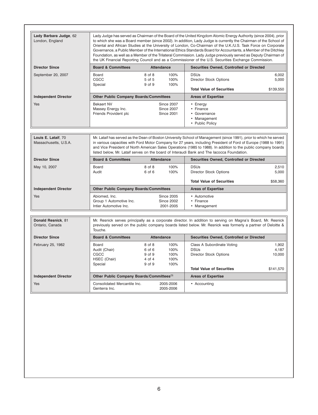| Lady Barbara Judge, 62<br>London, England    |                                                                    |                                                       |                                                             | Lady Judge has served as Chairman of the Board of the United Kingdom Atomic Energy Authority (since 2004), prior<br>to which she was a Board member (since 2002). In addition, Lady Judge is currently the Chairman of the School of<br>Oriental and African Studies at the University of London, Co-Chairman of the U.K./U.S. Task Force on Corporate<br>Governance, a Public Member of the International Ethics Standards Board for Accountants, a Member of the Ditchley<br>Foundation, as well as a Member of the Trilateral Commission. Lady Judge previously served as Deputy Chairman of<br>the UK Financial Reporting Council and as a Commissioner of the U.S. Securities Exchange Commission. |                                       |
|----------------------------------------------|--------------------------------------------------------------------|-------------------------------------------------------|-------------------------------------------------------------|---------------------------------------------------------------------------------------------------------------------------------------------------------------------------------------------------------------------------------------------------------------------------------------------------------------------------------------------------------------------------------------------------------------------------------------------------------------------------------------------------------------------------------------------------------------------------------------------------------------------------------------------------------------------------------------------------------|---------------------------------------|
| <b>Director Since</b>                        | <b>Board &amp; Committees</b>                                      |                                                       | <b>Attendance</b>                                           | Securities Owned, Controlled or Directed                                                                                                                                                                                                                                                                                                                                                                                                                                                                                                                                                                                                                                                                |                                       |
| September 20, 2007                           | Board<br>CGCC<br>Special                                           | 8 of 8<br>5 of 5<br>9 of 9                            | 100%<br>100%<br>100%                                        | <b>DSUs</b><br><b>Director Stock Options</b><br><b>Total Value of Securities</b>                                                                                                                                                                                                                                                                                                                                                                                                                                                                                                                                                                                                                        | 6.002<br>5,000<br>\$139,550           |
| <b>Independent Director</b>                  | <b>Other Public Company Boards/Committees</b>                      |                                                       |                                                             | <b>Areas of Expertise</b>                                                                                                                                                                                                                                                                                                                                                                                                                                                                                                                                                                                                                                                                               |                                       |
| Yes                                          | <b>Bekaert NV</b><br>Massey Energy Inc.<br>Friends Provident plc   |                                                       | <b>Since 2007</b><br><b>Since 2007</b><br><b>Since 2001</b> | • Energy<br>• Finance<br>• Governance<br>• Management<br>• Public Policy                                                                                                                                                                                                                                                                                                                                                                                                                                                                                                                                                                                                                                |                                       |
| Louis E. Lataif, 70<br>Massachusetts, U.S.A. |                                                                    |                                                       |                                                             | Mr. Lataif has served as the Dean of Boston University School of Management (since 1991), prior to which he served<br>in various capacities with Ford Motor Company for 27 years, including President of Ford of Europe (1988 to 1991)<br>and Vice President of North American Sales Operations (1985 to 1988). In addition to the public company boards<br>listed below, Mr. Lataif serves on the board of Interaudi Bank and The lacocca Foundation.                                                                                                                                                                                                                                                  |                                       |
| <b>Director Since</b>                        | <b>Board &amp; Committees</b>                                      |                                                       | <b>Attendance</b>                                           | Securities Owned, Controlled or Directed                                                                                                                                                                                                                                                                                                                                                                                                                                                                                                                                                                                                                                                                |                                       |
| May 10, 2007                                 | Board<br>Audit                                                     | 8 of 8<br>6 of 6                                      | 100%<br>100%                                                | <b>DSUs</b><br><b>Director Stock Options</b>                                                                                                                                                                                                                                                                                                                                                                                                                                                                                                                                                                                                                                                            | 2,510<br>5,000                        |
|                                              |                                                                    |                                                       |                                                             | <b>Total Value of Securities</b>                                                                                                                                                                                                                                                                                                                                                                                                                                                                                                                                                                                                                                                                        | \$58,360                              |
| <b>Independent Director</b>                  | <b>Other Public Company Boards/Committees</b>                      |                                                       |                                                             | <b>Areas of Expertise</b>                                                                                                                                                                                                                                                                                                                                                                                                                                                                                                                                                                                                                                                                               |                                       |
| Yes                                          | Abiomed. Inc.<br>Group 1 Automotive Inc.<br>Intier Automotive Inc. |                                                       | <b>Since 2005</b><br><b>Since 2002</b><br>2001-2005         | • Automotive<br>• Finance<br>• Management                                                                                                                                                                                                                                                                                                                                                                                                                                                                                                                                                                                                                                                               |                                       |
| Donald Resnick. 81<br>Ontario, Canada        | Touche.                                                            |                                                       |                                                             | Mr. Resnick serves principally as a corporate director. In addition to serving on Magna's Board, Mr. Resnick<br>previously served on the public company boards listed below. Mr. Resnick was formerly a partner of Deloitte &                                                                                                                                                                                                                                                                                                                                                                                                                                                                           |                                       |
| <b>Director Since</b>                        | <b>Board &amp; Committees</b>                                      |                                                       | <b>Attendance</b>                                           | Securities Owned, Controlled or Directed                                                                                                                                                                                                                                                                                                                                                                                                                                                                                                                                                                                                                                                                |                                       |
| February 25, 1982                            | Board<br>Audit (Chair)<br>CGCC<br>HSEC (Chair)<br>Special          | 8 of 8<br>6 of 6<br>9 of 9<br>4 of 4<br>9 of 9        | 100%<br>100%<br>100%<br>100%<br>100%                        | Class A Subordinate Voting<br><b>DSUs</b><br><b>Director Stock Options</b><br><b>Total Value of Securities</b>                                                                                                                                                                                                                                                                                                                                                                                                                                                                                                                                                                                          | 1,902<br>4,187<br>10,000<br>\$141,570 |
|                                              |                                                                    | Other Public Company Boards/Committees <sup>(3)</sup> |                                                             |                                                                                                                                                                                                                                                                                                                                                                                                                                                                                                                                                                                                                                                                                                         |                                       |
| <b>Independent Director</b>                  |                                                                    |                                                       |                                                             | <b>Areas of Expertise</b>                                                                                                                                                                                                                                                                                                                                                                                                                                                                                                                                                                                                                                                                               |                                       |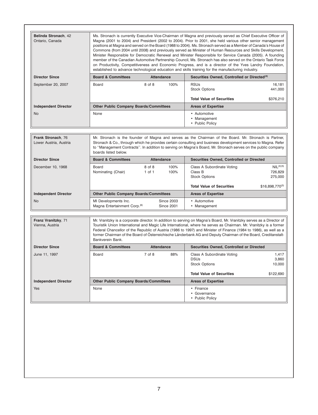| Belinda Stronach, 42<br>Ontario, Canada      | Ms. Stronach is currently Executive Vice-Chairman of Magna and previously served as Chief Executive Officer of<br>Magna (2001 to 2004) and President (2002 to 2004). Prior to 2001, she held various other senior management<br>positions at Magna and served on the Board (1988 to 2004). Ms. Stronach served as a Member of Canada's House of<br>Commons (from 2004 until 2008) and previously served as Minister of Human Resources and Skills Development,<br>Minister Responsible for Democratic Renewal and Minister Responsible for Service Canada (2005). A founding<br>member of the Canadian Automotive Partnership Council, Ms. Stronach has also served on the Ontario Task Force<br>on Productivity, Competitiveness and Economic Progress, and is a director of the Yves Landry Foundation,<br>established to advance technological education and skills training for the manufacturing industry. |                                                                                                                                                                                                                                                                                                                                           |                                        |                                                                                                                                                                                                                                                                                                                                                                                                                                                                                    |                                             |  |  |
|----------------------------------------------|-----------------------------------------------------------------------------------------------------------------------------------------------------------------------------------------------------------------------------------------------------------------------------------------------------------------------------------------------------------------------------------------------------------------------------------------------------------------------------------------------------------------------------------------------------------------------------------------------------------------------------------------------------------------------------------------------------------------------------------------------------------------------------------------------------------------------------------------------------------------------------------------------------------------|-------------------------------------------------------------------------------------------------------------------------------------------------------------------------------------------------------------------------------------------------------------------------------------------------------------------------------------------|----------------------------------------|------------------------------------------------------------------------------------------------------------------------------------------------------------------------------------------------------------------------------------------------------------------------------------------------------------------------------------------------------------------------------------------------------------------------------------------------------------------------------------|---------------------------------------------|--|--|
| <b>Director Since</b>                        | <b>Board &amp; Committees</b>                                                                                                                                                                                                                                                                                                                                                                                                                                                                                                                                                                                                                                                                                                                                                                                                                                                                                   | <b>Attendance</b>                                                                                                                                                                                                                                                                                                                         |                                        | Securities Owned, Controlled or Directed <sup>(4)</sup>                                                                                                                                                                                                                                                                                                                                                                                                                            |                                             |  |  |
| September 20, 2007                           | Board                                                                                                                                                                                                                                                                                                                                                                                                                                                                                                                                                                                                                                                                                                                                                                                                                                                                                                           | 8 of 8                                                                                                                                                                                                                                                                                                                                    | 100%                                   | <b>RSUs</b><br><b>Stock Options</b>                                                                                                                                                                                                                                                                                                                                                                                                                                                | 16,181<br>441,000                           |  |  |
|                                              |                                                                                                                                                                                                                                                                                                                                                                                                                                                                                                                                                                                                                                                                                                                                                                                                                                                                                                                 |                                                                                                                                                                                                                                                                                                                                           |                                        | <b>Total Value of Securities</b>                                                                                                                                                                                                                                                                                                                                                                                                                                                   | \$376,210                                   |  |  |
| <b>Independent Director</b>                  | <b>Other Public Company Boards/Committees</b>                                                                                                                                                                                                                                                                                                                                                                                                                                                                                                                                                                                                                                                                                                                                                                                                                                                                   |                                                                                                                                                                                                                                                                                                                                           |                                        | <b>Areas of Expertise</b>                                                                                                                                                                                                                                                                                                                                                                                                                                                          |                                             |  |  |
| <b>No</b>                                    | None                                                                                                                                                                                                                                                                                                                                                                                                                                                                                                                                                                                                                                                                                                                                                                                                                                                                                                            |                                                                                                                                                                                                                                                                                                                                           |                                        | • Automotive<br>• Management<br>• Public Policy                                                                                                                                                                                                                                                                                                                                                                                                                                    |                                             |  |  |
|                                              |                                                                                                                                                                                                                                                                                                                                                                                                                                                                                                                                                                                                                                                                                                                                                                                                                                                                                                                 |                                                                                                                                                                                                                                                                                                                                           |                                        |                                                                                                                                                                                                                                                                                                                                                                                                                                                                                    |                                             |  |  |
| Frank Stronach. 76<br>Lower Austria, Austria | boards listed below.                                                                                                                                                                                                                                                                                                                                                                                                                                                                                                                                                                                                                                                                                                                                                                                                                                                                                            | Mr. Stronach is the founder of Magna and serves as the Chairman of the Board. Mr. Stronach is Partner,<br>Stronach & Co., through which he provides certain consulting and business development services to Magna. Refer<br>to "Management Contracts". In addition to serving on Magna's Board, Mr. Stronach serves on the public company |                                        |                                                                                                                                                                                                                                                                                                                                                                                                                                                                                    |                                             |  |  |
| <b>Director Since</b>                        | <b>Board &amp; Committees</b>                                                                                                                                                                                                                                                                                                                                                                                                                                                                                                                                                                                                                                                                                                                                                                                                                                                                                   | <b>Attendance</b>                                                                                                                                                                                                                                                                                                                         |                                        | <b>Securities Owned, Controlled or Directed</b>                                                                                                                                                                                                                                                                                                                                                                                                                                    |                                             |  |  |
| December 10, 1968                            | Board<br>Nominating (Chair)                                                                                                                                                                                                                                                                                                                                                                                                                                                                                                                                                                                                                                                                                                                                                                                                                                                                                     | 8 of 8<br>$1$ of $1$                                                                                                                                                                                                                                                                                                                      | 100%<br>100%                           | Class A Subordinate Voting<br>Class B<br><b>Stock Options</b>                                                                                                                                                                                                                                                                                                                                                                                                                      | NIL <sup>(4)(5)</sup><br>726,829<br>275,000 |  |  |
|                                              |                                                                                                                                                                                                                                                                                                                                                                                                                                                                                                                                                                                                                                                                                                                                                                                                                                                                                                                 |                                                                                                                                                                                                                                                                                                                                           |                                        | <b>Total Value of Securities</b>                                                                                                                                                                                                                                                                                                                                                                                                                                                   | \$16,898,770(5)                             |  |  |
| <b>Independent Director</b>                  | <b>Other Public Company Boards/Committees</b>                                                                                                                                                                                                                                                                                                                                                                                                                                                                                                                                                                                                                                                                                                                                                                                                                                                                   |                                                                                                                                                                                                                                                                                                                                           |                                        | <b>Areas of Expertise</b>                                                                                                                                                                                                                                                                                                                                                                                                                                                          |                                             |  |  |
| No.                                          | MI Developments Inc.<br>Magna Entertainment Corp. <sup>(6)</sup>                                                                                                                                                                                                                                                                                                                                                                                                                                                                                                                                                                                                                                                                                                                                                                                                                                                |                                                                                                                                                                                                                                                                                                                                           | <b>Since 2003</b><br><b>Since 2001</b> | • Automotive<br>• Management                                                                                                                                                                                                                                                                                                                                                                                                                                                       |                                             |  |  |
| Franz Vranitzky, 71<br>Vienna, Austria       | Bankverein Bank.                                                                                                                                                                                                                                                                                                                                                                                                                                                                                                                                                                                                                                                                                                                                                                                                                                                                                                |                                                                                                                                                                                                                                                                                                                                           |                                        | Mr. Vranitzky is a corporate director. In addition to serving on Magna's Board, Mr. Vranitzky serves as a Director of<br>Touristik Union International and Magic Life International, where he serves as Chairman. Mr. Vranitzky is a former<br>Federal Chancellor of the Republic of Austria (1986 to 1997) and Minister of Finance (1984 to 1986), as well as a<br>former Chairman of the Board of Osterreichische Länderbank AG and Deputy Chairman of the Board, Creditanstalt- |                                             |  |  |
| <b>Director Since</b>                        | <b>Board &amp; Committees</b>                                                                                                                                                                                                                                                                                                                                                                                                                                                                                                                                                                                                                                                                                                                                                                                                                                                                                   | <b>Attendance</b>                                                                                                                                                                                                                                                                                                                         |                                        | <b>Securities Owned, Controlled or Directed</b>                                                                                                                                                                                                                                                                                                                                                                                                                                    |                                             |  |  |
| June 11, 1997                                | Board                                                                                                                                                                                                                                                                                                                                                                                                                                                                                                                                                                                                                                                                                                                                                                                                                                                                                                           | 7 of 8                                                                                                                                                                                                                                                                                                                                    | 88%                                    | Class A Subordinate Voting<br><b>DSUs</b><br><b>Stock Options</b>                                                                                                                                                                                                                                                                                                                                                                                                                  | 1,417<br>3,860<br>10,000                    |  |  |
|                                              |                                                                                                                                                                                                                                                                                                                                                                                                                                                                                                                                                                                                                                                                                                                                                                                                                                                                                                                 |                                                                                                                                                                                                                                                                                                                                           |                                        | <b>Total Value of Securities</b>                                                                                                                                                                                                                                                                                                                                                                                                                                                   | \$122,690                                   |  |  |
| <b>Independent Director</b>                  | <b>Other Public Company Boards/Committees</b>                                                                                                                                                                                                                                                                                                                                                                                                                                                                                                                                                                                                                                                                                                                                                                                                                                                                   |                                                                                                                                                                                                                                                                                                                                           |                                        | <b>Areas of Expertise</b>                                                                                                                                                                                                                                                                                                                                                                                                                                                          |                                             |  |  |
| Yes                                          | None                                                                                                                                                                                                                                                                                                                                                                                                                                                                                                                                                                                                                                                                                                                                                                                                                                                                                                            |                                                                                                                                                                                                                                                                                                                                           |                                        | • Finance<br>• Governance<br>• Public Policy                                                                                                                                                                                                                                                                                                                                                                                                                                       |                                             |  |  |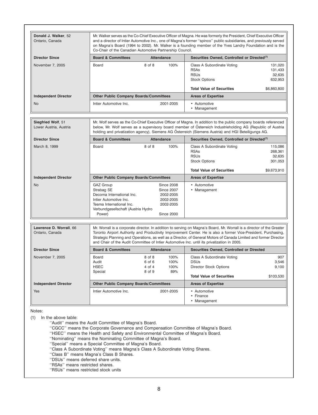| Donald J. Walker, 52<br>Ontario, Canada      | Co-Chair of the Canadian Automotive Partnership Council.                                                                                                   |                                      |                                                                                                    | Mr. Walker serves as the Co-Chief Executive Officer of Magna. He was formerly the President, Chief Executive Officer<br>and a director of Intier Automotive Inc., one of Magna's former "spinco" public subsidiaries, and previously served<br>on Magna's Board (1994 to 2002). Mr. Walker is a founding member of the Yves Landry Foundation and is the                                                                                                     |                                         |  |  |
|----------------------------------------------|------------------------------------------------------------------------------------------------------------------------------------------------------------|--------------------------------------|----------------------------------------------------------------------------------------------------|--------------------------------------------------------------------------------------------------------------------------------------------------------------------------------------------------------------------------------------------------------------------------------------------------------------------------------------------------------------------------------------------------------------------------------------------------------------|-----------------------------------------|--|--|
| <b>Director Since</b>                        | <b>Board &amp; Committees</b>                                                                                                                              |                                      | <b>Attendance</b>                                                                                  | Securities Owned, Controlled or Directed <sup>(7)</sup>                                                                                                                                                                                                                                                                                                                                                                                                      |                                         |  |  |
| November 7, 2005                             | Board                                                                                                                                                      | 8 of 8                               | 100%                                                                                               | Class A Subordinate Voting<br><b>RSAs</b><br><b>RSUs</b><br><b>Stock Options</b>                                                                                                                                                                                                                                                                                                                                                                             | 131,020<br>131,433<br>32,635<br>632,953 |  |  |
|                                              |                                                                                                                                                            |                                      |                                                                                                    | <b>Total Value of Securities</b>                                                                                                                                                                                                                                                                                                                                                                                                                             | \$6,860,800                             |  |  |
| <b>Independent Director</b>                  | <b>Other Public Company Boards/Committees</b>                                                                                                              |                                      |                                                                                                    | <b>Areas of Expertise</b>                                                                                                                                                                                                                                                                                                                                                                                                                                    |                                         |  |  |
| No.                                          | Intier Automotive Inc.                                                                                                                                     |                                      | 2001-2005                                                                                          | • Automotive<br>• Management                                                                                                                                                                                                                                                                                                                                                                                                                                 |                                         |  |  |
| Siegfried Wolf, 51<br>Lower Austria, Austria |                                                                                                                                                            |                                      |                                                                                                    | Mr. Wolf serves as the Co-Chief Executive Officer of Magna. In addition to the public company boards referenced<br>below, Mr. Wolf serves as a supervisory board member of Osterreich Industrieholding AG (Republic of Austria<br>holding and privatization agency), Siemens AG Osterreich (Siemens Austria) and HGI Beteiligungs AG.                                                                                                                        |                                         |  |  |
| <b>Director Since</b>                        | <b>Board &amp; Committees</b>                                                                                                                              |                                      | <b>Attendance</b>                                                                                  | Securities Owned, Controlled or Directed <sup>(7)</sup>                                                                                                                                                                                                                                                                                                                                                                                                      |                                         |  |  |
| March 8, 1999                                | Board                                                                                                                                                      | 8 of 8                               | 100%                                                                                               | Class A Subordinate Voting<br><b>RSAs</b><br><b>RSUs</b><br><b>Stock Options</b><br><b>Total Value of Securities</b>                                                                                                                                                                                                                                                                                                                                         | 115,086<br>268.361<br>32,635<br>301,053 |  |  |
| <b>Independent Director</b>                  | <b>Other Public Company Boards/Committees</b>                                                                                                              |                                      |                                                                                                    | <b>Areas of Expertise</b>                                                                                                                                                                                                                                                                                                                                                                                                                                    | \$9,673,910                             |  |  |
| No.                                          | GAZ Group<br>Strabag SE<br>Decoma International Inc.<br>Intier Automotive Inc.<br>Tesma International Inc.<br>Verbundgesellschaft (Austria Hydro<br>Power) |                                      | <b>Since 2008</b><br><b>Since 2007</b><br>2002-2005<br>2002-2005<br>2002-2005<br><b>Since 2000</b> | • Automotive<br>• Management                                                                                                                                                                                                                                                                                                                                                                                                                                 |                                         |  |  |
| Lawrence D. Worrall, 66<br>Ontario, Canada   |                                                                                                                                                            |                                      |                                                                                                    | Mr. Worrall is a corporate director. In addition to serving on Magna's Board, Mr. Worrall is a director of the Greater<br>Toronto Airport Authority and Productivity Improvement Center. He is also a former Vice-President, Purchasing,<br>Strategic Planning and Operations, as well as a Director, of General Motors of Canada Limited and former Director<br>and Chair of the Audit Committee of Intier Automotive Inc. until its privatization in 2005. |                                         |  |  |
| <b>Director Since</b>                        | <b>Board &amp; Committees</b>                                                                                                                              |                                      | <b>Attendance</b>                                                                                  | <b>Securities Owned, Controlled or Directed</b>                                                                                                                                                                                                                                                                                                                                                                                                              |                                         |  |  |
| November 7, 2005                             | Board<br>Audit<br><b>HSEC</b><br>Special                                                                                                                   | 8 of 8<br>6 of 6<br>4 of 4<br>8 of 9 | 100%<br>100%<br>100%<br>89%                                                                        | Class A Subordinate Voting<br><b>DSUs</b><br><b>Director Stock Options</b><br><b>Total Value of Securities</b>                                                                                                                                                                                                                                                                                                                                               | 907<br>3,546<br>9,100<br>\$103,530      |  |  |
| <b>Independent Director</b>                  | <b>Other Public Company Boards/Committees</b>                                                                                                              |                                      |                                                                                                    | <b>Areas of Expertise</b>                                                                                                                                                                                                                                                                                                                                                                                                                                    |                                         |  |  |
| Yes                                          | Intier Automotive Inc.                                                                                                                                     |                                      | 2001-2005                                                                                          | • Automotive<br>• Finance<br>• Management                                                                                                                                                                                                                                                                                                                                                                                                                    |                                         |  |  |

(1) In the above table:

''Audit'' means the Audit Committee of Magna's Board.

''CGCC'' means the Corporate Governance and Compensation Committee of Magna's Board.

''HSEC'' means the Health and Safety and Environmental Committee of Magna's Board.

''Nominating'' means the Nominating Committee of Magna's Board.

''Special'' means a Special Committee of Magna's Board.

''Class A Subordinate Voting'' means Magna's Class A Subordinate Voting Shares.

''Class B'' means Magna's Class B Shares.

''DSUs'' means deferred share units.

''RSAs'' means restricted shares.

''RSUs'' means restricted stock units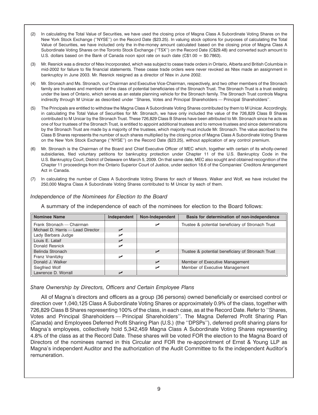- (2) In calculating the Total Value of Securities, we have used the closing price of Magna Class A Subordinate Voting Shares on the New York Stock Exchange (''NYSE'') on the Record Date (\$23.25). In valuing stock options for purposes of calculating the Total Value of Securities, we have included only the in-the-money amount calculated based on the closing price of Magna Class A Subordinate Voting Shares on the Toronto Stock Exchange (''TSX'') on the Record Date (C\$29.48) and converted such amount to U.S. dollars based on the Bank of Canada noon spot rate on such date  $(C$1.00 = $0.7863)$ .
- (3) Mr. Resnick was a director of Ntex Incorporated, which was subject to cease trade orders in Ontario, Alberta and British Columbia in mid-2002 for failure to file financial statements. These cease trade orders were never revoked as Ntex made an assignment in bankruptcy in June 2003. Mr. Resnick resigned as a director of Ntex in June 2002.
- (4) Mr. Stronach and Ms. Stronach, our Chairman and Executive Vice-Chairman, respectively, and two other members of the Stronach family are trustees and members of the class of potential beneficiaries of the Stronach Trust. The Stronach Trust is a trust existing under the laws of Ontario, which serves as an estate planning vehicle for the Stronach family. The Stronach Trust controls Magna indirectly through M Unicar as described under ''Shares, Votes and Principal Shareholders — Principal Shareholders''.
- (5) The Principals are entitled to withdraw the Magna Class A Subordinate Voting Shares contributed by them to M Unicar. Accordingly, in calculating the Total Value of Securities for Mr. Stronach, we have only included the value of the 726,829 Class B Shares contributed to M Unicar by the Stronach Trust. These 726,829 Class B Shares have been attributed to Mr. Stronach since he acts as one of four trustees of the Stronach Trust, is entitled to appoint additional trustees and to remove trustees and since determinations by the Stronach Trust are made by a majority of the trustees, which majority must include Mr. Stronach. The value ascribed to the Class B Shares represents the number of such shares multiplied by the closing price of Magna Class A Subordinate Voting Shares on the New York Stock Exchange (''NYSE'') on the Record Date (\$23.25), without application of any control premium.
- (6) Mr. Stronach is the Chairman of the Board and Chief Executive Officer of MEC which, together with certain of its wholly-owned subsidiaries, filed voluntary petitions for bankruptcy protection under Chapter 11 of the U.S. Bankruptcy Code in the U.S. Bankruptcy Court, District of Delaware on March 5, 2009. On that same date, MEC also sought and obtained recognition of the Chapter 11 proceedings from the Ontario Superior Court of Justice, under section 18.6 of the Companies' Creditors Arrangement Act in Canada.
- (7) In calculating the number of Class A Subordinate Voting Shares for each of Messrs. Walker and Wolf, we have included the 250,000 Magna Class A Subordinate Voting Shares contributed to M Unicar by each of them.

| <b>Nominee Name</b>               | Independent | Non-Independent | Basis for determination of non-independence       |
|-----------------------------------|-------------|-----------------|---------------------------------------------------|
| Frank Stronach — Chairman         |             | ↙               | Trustee & potential beneficiary of Stronach Trust |
| Michael D. Harris - Lead Director | $\sqrt{ }$  |                 |                                                   |
| Lady Barbara Judge                | ▰           |                 |                                                   |
| Louis E. Lataif                   | $\sqrt{ }$  |                 |                                                   |
| Donald Resnick                    | ▰           |                 |                                                   |
| Belinda Stronach                  |             | $\sqrt{ }$      | Trustee & potential beneficiary of Stronach Trust |
| Franz Vranitzky                   | ▰           |                 |                                                   |
| Donald J. Walker                  |             | $\sqrt{ }$      | Member of Executive Management                    |
| Siegfried Wolf                    |             | مما             | Member of Executive Management                    |
| Lawrence D. Worrall               | ↙           |                 |                                                   |

*Independence of the Nominees for Election to the Board*

A summary of the independence of each of the nominees for election to the Board follows:

*Share Ownership by Directors, Officers and Certain Employee Plans*

All of Magna's directors and officers as a group (36 persons) owned beneficially or exercised control or direction over 1,040,125 Class A Subordinate Voting Shares or approximately 0.9% of the class, together with 726,829 Class B Shares representing 100% of the class, in each case, as at the Record Date. Refer to ''Shares, Votes and Principal Shareholders — Principal Shareholders''. The Magna Deferred Profit Sharing Plan (Canada) and Employees Deferred Profit Sharing Plan (U.S.) (the ''DPSPs''), deferred profit sharing plans for Magna's employees, collectively hold 5,342,459 Magna Class A Subordinate Voting Shares representing 4.8% of the class as at the Record Date. These shares will be voted FOR the election to the Magna Board of Directors of the nominees named in this Circular and FOR the re-appointment of Ernst & Young LLP as Magna's independent Auditor and the authorization of the Audit Committee to fix the independent Auditor's remuneration.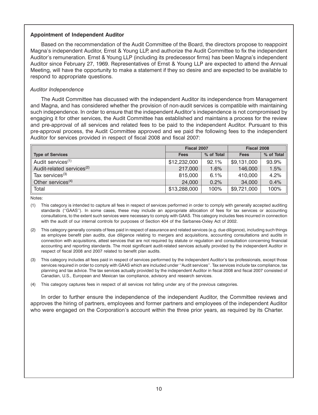# **Appointment of Independent Auditor**

Based on the recommendation of the Audit Committee of the Board, the directors propose to reappoint Magna's independent Auditor, Ernst & Young LLP, and authorize the Audit Committee to fix the independent Auditor's remuneration. Ernst & Young LLP (including its predecessor firms) has been Magna's independent Auditor since February 27, 1969. Representatives of Ernst & Young LLP are expected to attend the Annual Meeting, will have the opportunity to make a statement if they so desire and are expected to be available to respond to appropriate questions.

# *Auditor Independence*

The Audit Committee has discussed with the independent Auditor its independence from Management and Magna, and has considered whether the provision of non-audit services is compatible with maintaining such independence. In order to ensure that the independent Auditor's independence is not compromised by engaging it for other services, the Audit Committee has established and maintains a process for the review and pre-approval of all services and related fees to be paid to the independent Auditor. Pursuant to this pre-approval process, the Audit Committee approved and we paid the following fees to the independent Auditor for services provided in respect of fiscal 2008 and fiscal 2007:

|                                       | Fiscal 2007  |            | Fiscal 2008 |            |
|---------------------------------------|--------------|------------|-------------|------------|
| <b>Type of Services</b>               | <b>Fees</b>  | % of Total | <b>Fees</b> | % of Total |
| Audit services <sup>(1)</sup>         | \$12,232,000 | 92.1%      | \$9,131,000 | 93.9%      |
| Audit-related services <sup>(2)</sup> | 217,000      | 1.6%       | 146,000     | 1.5%       |
| Tax services $(3)$                    | 815,000      | 6.1%       | 410,000     | 4.2%       |
| Other services <sup>(4)</sup>         | 24,000       | 0.2%       | 34,000      | 0.4%       |
| Total                                 | \$13,288,000 | 100%       | \$9,721,000 | 100%       |

Notes:

- (1) This category is intended to capture all fees in respect of services performed in order to comply with generally accepted auditing standards (''GAAS''). In some cases, these may include an appropriate allocation of fees for tax services or accounting consultations, to the extent such services were necessary to comply with GAAS. This category includes fees incurred in connection with the audit of our internal controls for purposes of Section 404 of the Sarbanes-Oxley Act of 2002.
- (2) This category generally consists of fees paid in respect of assurance and related services (e.g. due diligence), including such things as employee benefit plan audits, due diligence relating to mergers and acquisitions, accounting consultations and audits in connection with acquisitions, attest services that are not required by statute or regulation and consultation concerning financial accounting and reporting standards. The most significant audit-related services actually provided by the independent Auditor in respect of fiscal 2008 and 2007 related to benefit plan audits.
- (3) This category includes all fees paid in respect of services performed by the independent Auditor's tax professionals, except those services required in order to comply with GAAS which are included under ''Audit services''. Tax services include tax compliance, tax planning and tax advice. The tax services actually provided by the independent Auditor in fiscal 2008 and fiscal 2007 consisted of Canadian, U.S., European and Mexican tax compliance, advisory and research services.
- (4) This category captures fees in respect of all services not falling under any of the previous categories.

In order to further ensure the independence of the independent Auditor, the Committee reviews and approves the hiring of partners, employees and former partners and employees of the independent Auditor who were engaged on the Corporation's account within the three prior years, as required by its Charter.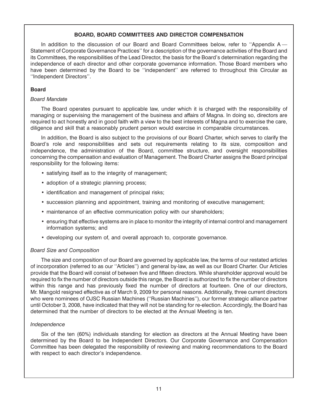# **BOARD, BOARD COMMITTEES AND DIRECTOR COMPENSATION**

In addition to the discussion of our Board and Board Committees below, refer to "Appendix A — Statement of Corporate Governance Practices'' for a description of the governance activities of the Board and its Committees, the responsibilities of the Lead Director, the basis for the Board's determination regarding the independence of each director and other corporate governance information. Those Board members who have been determined by the Board to be "independent" are referred to throughout this Circular as ''Independent Directors''.

# **Board**

# *Board Mandate*

The Board operates pursuant to applicable law, under which it is charged with the responsibility of managing or supervising the management of the business and affairs of Magna. In doing so, directors are required to act honestly and in good faith with a view to the best interests of Magna and to exercise the care, diligence and skill that a reasonably prudent person would exercise in comparable circumstances.

In addition, the Board is also subject to the provisions of our Board Charter, which serves to clarify the Board's role and responsibilities and sets out requirements relating to its size, composition and independence, the administration of the Board, committee structure, and oversight responsibilities concerning the compensation and evaluation of Management. The Board Charter assigns the Board principal responsibility for the following items:

- satisfying itself as to the integrity of management;
- adoption of a strategic planning process;
- identification and management of principal risks;
- succession planning and appointment, training and monitoring of executive management;
- maintenance of an effective communication policy with our shareholders;
- ensuring that effective systems are in place to monitor the integrity of internal control and management information systems; and
- developing our system of, and overall approach to, corporate governance.

# *Board Size and Composition*

The size and composition of our Board are governed by applicable law, the terms of our restated articles of incorporation (referred to as our ''Articles'') and general by-law, as well as our Board Charter. Our Articles provide that the Board will consist of between five and fifteen directors. While shareholder approval would be required to fix the number of directors outside this range, the Board is authorized to fix the number of directors within this range and has previously fixed the number of directors at fourteen. One of our directors, Mr. Mangold resigned effective as of March 9, 2009 for personal reasons. Additionally, three current directors who were nominees of OJSC Russian Machines (''Russian Machines''), our former strategic alliance partner until October 3, 2008, have indicated that they will not be standing for re-election. Accordingly, the Board has determined that the number of directors to be elected at the Annual Meeting is ten.

# *Independence*

Six of the ten (60%) individuals standing for election as directors at the Annual Meeting have been determined by the Board to be Independent Directors. Our Corporate Governance and Compensation Committee has been delegated the responsibility of reviewing and making recommendations to the Board with respect to each director's independence.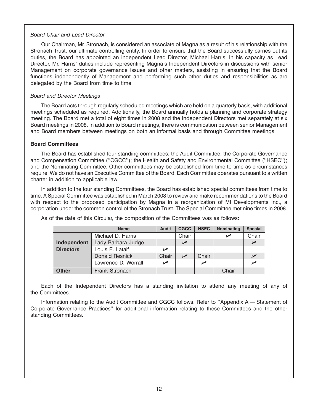# *Board Chair and Lead Director*

Our Chairman, Mr. Stronach, is considered an associate of Magna as a result of his relationship with the Stronach Trust, our ultimate controlling entity. In order to ensure that the Board successfully carries out its duties, the Board has appointed an independent Lead Director, Michael Harris. In his capacity as Lead Director, Mr. Harris' duties include representing Magna's Independent Directors in discussions with senior Management on corporate governance issues and other matters, assisting in ensuring that the Board functions independently of Management and performing such other duties and responsibilities as are delegated by the Board from time to time.

# *Board and Director Meetings*

The Board acts through regularly scheduled meetings which are held on a quarterly basis, with additional meetings scheduled as required. Additionally, the Board annually holds a planning and corporate strategy meeting. The Board met a total of eight times in 2008 and the Independent Directors met separately at six Board meetings in 2008. In addition to Board meetings, there is communication between senior Management and Board members between meetings on both an informal basis and through Committee meetings.

# **Board Committees**

The Board has established four standing committees: the Audit Committee; the Corporate Governance and Compensation Committee (''CGCC''); the Health and Safety and Environmental Committee (''HSEC''); and the Nominating Committee. Other committees may be established from time to time as circumstances require. We do not have an Executive Committee of the Board. Each Committee operates pursuant to a written charter in addition to applicable law.

In addition to the four standing Committees, the Board has established special committees from time to time. A Special Committee was established in March 2008 to review and make recommendations to the Board with respect to the proposed participation by Magna in a reorganization of MI Developments Inc., a corporation under the common control of the Stronach Trust. The Special Committee met nine times in 2008.

|                  | <b>Audit</b>        | <b>CGCC</b> | <b>HSEC</b>           | Nominating | <b>Special</b> |                |
|------------------|---------------------|-------------|-----------------------|------------|----------------|----------------|
|                  | Michael D. Harris   |             | Chair                 |            |                | Chair          |
| Independent      | Lady Barbara Judge  |             | $\blacktriangleright$ |            |                | مما            |
| <b>Directors</b> | Louis E. Lataif     | مما         |                       |            |                |                |
|                  | Donald Resnick      | Chair       | $\sqrt{ }$            | Chair      |                | $\overline{V}$ |
|                  | Lawrence D. Worrall | ✔           |                       | مما        |                |                |
| <b>Other</b>     | Frank Stronach      |             |                       |            | Chair          |                |

As of the date of this Circular, the composition of the Committees was as follows:

Each of the Independent Directors has a standing invitation to attend any meeting of any of the Committees.

Information relating to the Audit Committee and CGCC follows. Refer to ''Appendix A — Statement of Corporate Governance Practices'' for additional information relating to these Committees and the other standing Committees.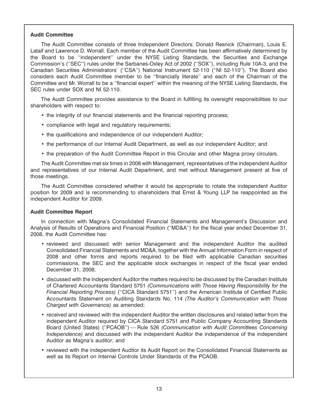# **Audit Committee**

The Audit Committee consists of three Independent Directors: Donald Resnick (Chairman), Louis E. Lataif and Lawrence D. Worrall. Each member of the Audit Committee has been affirmatively determined by the Board to be ''independent'' under the NYSE Listing Standards, the Securities and Exchange Commission's (''SEC'') rules under the Sarbanes-Oxley Act of 2002 (''SOX''), including Rule 10A-3, and the Canadian Securities Administrators' (''CSA'') National Instrument 52-110 (''NI 52-110''). The Board also considers each Audit Committee member to be ''financially literate'' and each of the Chairman of the Committee and Mr. Worrall to be a ''financial expert'' within the meaning of the NYSE Listing Standards, the SEC rules under SOX and NI 52-110.

The Audit Committee provides assistance to the Board in fulfilling its oversight responsibilities to our shareholders with respect to:

- the integrity of our financial statements and the financial reporting process;
- compliance with legal and regulatory requirements;
- the qualifications and independence of our independent Auditor;
- the performance of our Internal Audit Department, as well as our independent Auditor; and
- the preparation of the Audit Committee Report in this Circular and other Magna proxy circulars.

The Audit Committee met six times in 2008 with Management, representatives of the independent Auditor and representatives of our Internal Audit Department, and met without Management present at five of those meetings.

The Audit Committee considered whether it would be appropriate to rotate the independent Auditor position for 2009 and is recommending to shareholders that Ernst & Young LLP be reappointed as the independent Auditor for 2009.

# **Audit Committee Report**

In connection with Magna's Consolidated Financial Statements and Management's Discussion and Analysis of Results of Operations and Financial Position (''MD&A'') for the fiscal year ended December 31, 2008, the Audit Committee has:

- reviewed and discussed with senior Management and the independent Auditor the audited Consolidated Financial Statements and MD&A, together with the Annual Information Form in respect of 2008 and other forms and reports required to be filed with applicable Canadian securities commissions, the SEC and the applicable stock exchanges in respect of the fiscal year ended December 31, 2008;
- discussed with the independent Auditor the matters required to be discussed by the Canadian Institute of Chartered Accountants Standard 5751 *(Communications with Those Having Responsibility for the Financial Reporting Process)* (''CICA Standard 5751'') and the American Institute of Certified Public Accountants Statement on Auditing Standards No. 114 *(The Auditor's Communication with Those Charged with Governance)* as amended;
- received and reviewed with the independent Auditor the written disclosures and related letter from the independent Auditor required by CICA Standard 5751 and Public Company Accounting Standards Board (United States) (''PCAOB'') — Rule 526 *(Communication with Audit Committees Concerning Independence)* and discussed with the independent Auditor the independence of the independent Auditor as Magna's auditor; and
- reviewed with the independent Auditor its Audit Report on the Consolidated Financial Statements as well as its Report on Internal Controls Under Standards of the PCAOB.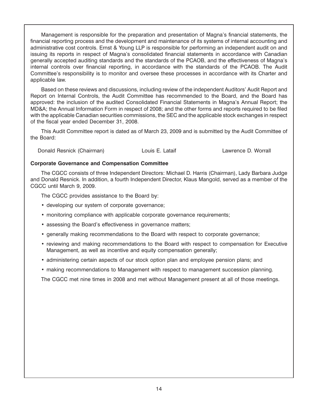Management is responsible for the preparation and presentation of Magna's financial statements, the financial reporting process and the development and maintenance of its systems of internal accounting and administrative cost controls. Ernst & Young LLP is responsible for performing an independent audit on and issuing its reports in respect of Magna's consolidated financial statements in accordance with Canadian generally accepted auditing standards and the standards of the PCAOB, and the effectiveness of Magna's internal controls over financial reporting, in accordance with the standards of the PCAOB. The Audit Committee's responsibility is to monitor and oversee these processes in accordance with its Charter and applicable law.

Based on these reviews and discussions, including review of the independent Auditors' Audit Report and Report on Internal Controls, the Audit Committee has recommended to the Board, and the Board has approved: the inclusion of the audited Consolidated Financial Statements in Magna's Annual Report; the MD&A; the Annual Information Form in respect of 2008; and the other forms and reports required to be filed with the applicable Canadian securities commissions, the SEC and the applicable stock exchanges in respect of the fiscal year ended December 31, 2008.

This Audit Committee report is dated as of March 23, 2009 and is submitted by the Audit Committee of the Board:

Donald Resnick (Chairman) Louis E. Lataif Lawrence D. Worrall

# **Corporate Governance and Compensation Committee**

The CGCC consists of three Independent Directors: Michael D. Harris (Chairman), Lady Barbara Judge and Donald Resnick. In addition, a fourth Independent Director, Klaus Mangold, served as a member of the CGCC until March 9, 2009.

The CGCC provides assistance to the Board by:

- developing our system of corporate governance;
- monitoring compliance with applicable corporate governance requirements;
- assessing the Board's effectiveness in governance matters;
- generally making recommendations to the Board with respect to corporate governance;
- reviewing and making recommendations to the Board with respect to compensation for Executive Management, as well as incentive and equity compensation generally;
- administering certain aspects of our stock option plan and employee pension plans; and
- making recommendations to Management with respect to management succession planning.

The CGCC met nine times in 2008 and met without Management present at all of those meetings.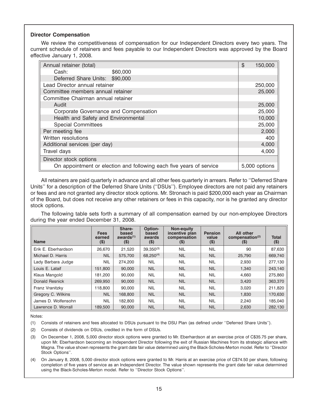## **Director Compensation**

We review the competitiveness of compensation for our Independent Directors every two years. The current schedule of retainers and fees payable to our Independent Directors was approved by the Board effective January 1, 2008.

| Annual retainer (total)               |                                                                     | \$<br>150,000 |
|---------------------------------------|---------------------------------------------------------------------|---------------|
| Cash:                                 | \$60,000                                                            |               |
| Deferred Share Units: \$90,000        |                                                                     |               |
| Lead Director annual retainer         |                                                                     | 250,000       |
| Committee members annual retainer     |                                                                     | 25,000        |
| Committee Chairman annual retainer    |                                                                     |               |
| Audit                                 |                                                                     | 25,000        |
| Corporate Governance and Compensation |                                                                     | 25,000        |
| Health and Safety and Environmental   |                                                                     | 10,000        |
| <b>Special Committees</b>             |                                                                     | 25,000        |
| Per meeting fee                       |                                                                     | 2,000         |
| Written resolutions                   |                                                                     | 400           |
| Additional services (per day)         |                                                                     | 4,000         |
| Travel days                           |                                                                     | 4,000         |
| Director stock options                |                                                                     |               |
|                                       | On appointment or election and following each five years of service | 5,000 options |

All retainers are paid quarterly in advance and all other fees quarterly in arrears. Refer to ''Deferred Share Units'' for a description of the Deferred Share Units (''DSUs''). Employee directors are not paid any retainers or fees and are not granted any director stock options. Mr. Stronach is paid \$200,000 each year as Chairman of the Board, but does not receive any other retainers or fees in this capacity, nor is he granted any director stock options.

The following table sets forth a summary of all compensation earned by our non-employee Directors during the year ended December 31, 2008.

| <b>Name</b>         | <b>Fees</b><br>earned<br>(\$) | Share-<br>based<br>awards $(1)$<br>$($ \$) | Option-<br>based<br>awards<br>$($ \$) | <b>Non-equity</b><br>incentive plan<br>compensation<br>$($ \$) | <b>Pension</b><br>value<br>$($ \$) | <b>All other</b><br>compensation $(2)$<br>$($ \$) | <b>Total</b><br>$($ \$) |
|---------------------|-------------------------------|--------------------------------------------|---------------------------------------|----------------------------------------------------------------|------------------------------------|---------------------------------------------------|-------------------------|
| Erik E. Eberhardson | 26.670                        | 21.520                                     | $39.350^{(3)}$                        | <b>NIL</b>                                                     | <b>NIL</b>                         | 90                                                | 87,630                  |
| Michael D. Harris   | <b>NIL</b>                    | 575.700                                    | $68.250^{(4)}$                        | <b>NIL</b>                                                     | <b>NIL</b>                         | 25,790                                            | 669,740                 |
| Lady Barbara Judge  | <b>NIL</b>                    | 274.200                                    | <b>NIL</b>                            | <b>NIL</b>                                                     | <b>NIL</b>                         | 2.930                                             | 277.130                 |
| Louis E. Lataif     | 151.800                       | 90,000                                     | <b>NIL</b>                            | <b>NIL</b>                                                     | <b>NIL</b>                         | 1.340                                             | 243.140                 |
| Klaus Mangold       | 181.200                       | 90,000                                     | <b>NIL</b>                            | <b>NIL</b>                                                     | <b>NIL</b>                         | 4.660                                             | 275,860                 |
| Donald Resnick      | 269,950                       | 90,000                                     | <b>NIL</b>                            | <b>NIL</b>                                                     | <b>NIL</b>                         | 3,420                                             | 363,370                 |
| Franz Vranitzky     | 118,800                       | 90.000                                     | <b>NIL</b>                            | <b>NIL</b>                                                     | <b>NIL</b>                         | 3.020                                             | 211,820                 |
| Gregory C. Wilkins  | <b>NIL</b>                    | 168,800                                    | <b>NIL</b>                            | <b>NIL</b>                                                     | <b>NIL</b>                         | 1.830                                             | 170,630                 |
| James D. Wolfensohn | <b>NIL</b>                    | 182,800                                    | <b>NIL</b>                            | <b>NIL</b>                                                     | <b>NIL</b>                         | 2.240                                             | 185,040                 |
| Lawrence D. Worrall | 189.500                       | 90,000                                     | <b>NIL</b>                            | <b>NIL</b>                                                     | <b>NIL</b>                         | 2,630                                             | 282,130                 |

Notes:

(1) Consists of retainers and fees allocated to DSUs pursuant to the DSU Plan (as defined under ''Deferred Share Units'').

(2) Consists of dividends on DSUs, credited in the form of DSUs.

- (3) On December 1, 2008, 5,000 director stock options were granted to Mr. Eberhardson at an exercise price of C\$35.75 per share, upon Mr. Eberhardson becoming an Independent Director following the exit of Russian Machines from its strategic alliance with Magna. The value shown represents the grant date fair value determined using the Black-Scholes-Merton model. Refer to ''Director Stock Options''.
- (4) On January 8, 2008, 5,000 director stock options were granted to Mr. Harris at an exercise price of C\$74.50 per share, following completion of five years of service as an Independent Director. The value shown represents the grant date fair value determined using the Black-Scholes-Merton model. Refer to ''Director Stock Options''.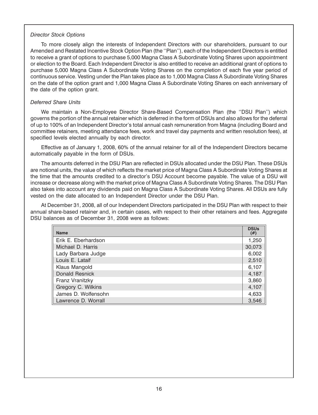### *Director Stock Options*

To more closely align the interests of Independent Directors with our shareholders, pursuant to our Amended and Restated Incentive Stock Option Plan (the ''Plan''), each of the Independent Directors is entitled to receive a grant of options to purchase 5,000 Magna Class A Subordinate Voting Shares upon appointment or election to the Board. Each Independent Director is also entitled to receive an additional grant of options to purchase 5,000 Magna Class A Subordinate Voting Shares on the completion of each five year period of continuous service. Vesting under the Plan takes place as to 1,000 Magna Class A Subordinate Voting Shares on the date of the option grant and 1,000 Magna Class A Subordinate Voting Shares on each anniversary of the date of the option grant.

# *Deferred Share Units*

We maintain a Non-Employee Director Share-Based Compensation Plan (the ''DSU Plan'') which governs the portion of the annual retainer which is deferred in the form of DSUs and also allows for the deferral of up to 100% of an Independent Director's total annual cash remuneration from Magna (including Board and committee retainers, meeting attendance fees, work and travel day payments and written resolution fees), at specified levels elected annually by each director.

Effective as of January 1, 2008, 60% of the annual retainer for all of the Independent Directors became automatically payable in the form of DSUs.

The amounts deferred in the DSU Plan are reflected in DSUs allocated under the DSU Plan. These DSUs are notional units, the value of which reflects the market price of Magna Class A Subordinate Voting Shares at the time that the amounts credited to a director's DSU Account become payable. The value of a DSU will increase or decrease along with the market price of Magna Class A Subordinate Voting Shares. The DSU Plan also takes into account any dividends paid on Magna Class A Subordinate Voting Shares. All DSUs are fully vested on the date allocated to an Independent Director under the DSU Plan.

At December 31, 2008, all of our Independent Directors participated in the DSU Plan with respect to their annual share-based retainer and, in certain cases, with respect to their other retainers and fees. Aggregate DSU balances as of December 31, 2008 were as follows:

| <b>Name</b>           | <b>DSUs</b><br>(# ) |
|-----------------------|---------------------|
| Erik E. Eberhardson   | 1,250               |
| Michael D. Harris     | 30,073              |
| Lady Barbara Judge    | 6,002               |
| Louis E. Lataif       | 2,510               |
| Klaus Mangold         | 6,107               |
| <b>Donald Resnick</b> | 4,187               |
| Franz Vranitzky       | 3,860               |
| Gregory C. Wilkins    | 4,107               |
| James D. Wolfensohn   | 4,633               |
| Lawrence D. Worrall   | 3,546               |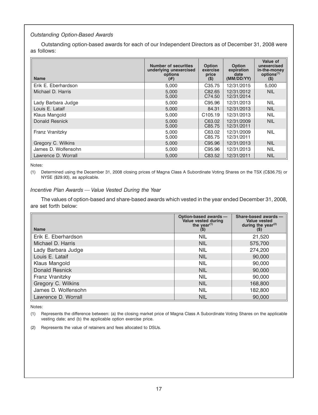# *Outstanding Option-Based Awards*

Outstanding option-based awards for each of our Independent Directors as of December 31, 2008 were as follows:

| <b>Name</b>         | <b>Number of securities</b><br>underlying unexercised<br>options<br>(#) | <b>Option</b><br>exercise<br>price<br>$($ \$) | <b>Option</b><br>expiration<br>date<br>(MM/DD/YY) | Value of<br>unexercised<br>in-the-money<br>options <sup>(1)</sup><br>$($ \$) |
|---------------------|-------------------------------------------------------------------------|-----------------------------------------------|---------------------------------------------------|------------------------------------------------------------------------------|
| Erik E. Eberhardson | 5.000                                                                   | C <sub>35.75</sub>                            | 12/31/2015                                        | 5,000                                                                        |
| Michael D. Harris   | 5,000<br>5,000                                                          | C82.65<br>C74.50                              | 12/31/2012<br>12/31/2014                          | <b>NIL</b>                                                                   |
| Lady Barbara Judge  | 5,000                                                                   | C95.96                                        | 12/31/2013                                        | <b>NIL</b>                                                                   |
| Louis E. Lataif     | 5,000                                                                   | 84.31                                         | 12/31/2013                                        | <b>NIL</b>                                                                   |
| Klaus Mangold       | 5,000                                                                   | C <sub>105.19</sub>                           | 12/31/2013                                        | <b>NIL</b>                                                                   |
| Donald Resnick      | 5,000<br>5,000                                                          | C63.02<br>C85.75                              | 12/31/2009<br>12/31/2011                          | <b>NIL</b>                                                                   |
| Franz Vranitzky     | 5,000<br>5,000                                                          | C63.02<br>C85.75                              | 12/31/2009<br>12/31/2011                          | <b>NIL</b>                                                                   |
| Gregory C. Wilkins  | 5,000                                                                   | C95.96                                        | 12/31/2013                                        | <b>NIL</b>                                                                   |
| James D. Wolfensohn | 5,000                                                                   | C95.96                                        | 12/31/2013                                        | <b>NIL</b>                                                                   |
| Lawrence D. Worrall | 5,000                                                                   | C83.52                                        | 12/31/2011                                        | <b>NIL</b>                                                                   |

Notes:

(1) Determined using the December 31, 2008 closing prices of Magna Class A Subordinate Voting Shares on the TSX (C\$36.75) or NYSE (\$29.93), as applicable.

### *Incentive Plan Awards — Value Vested During the Year*

The values of option-based and share-based awards which vested in the year ended December 31, 2008, are set forth below:

| <b>Name</b>           | Option-based awards -<br>Value vested during<br>the year <sup>(1)</sup><br>$($ \$) | Share-based awards -<br><b>Value vested</b><br>during the year $(2)$<br>$(\$)$ |
|-----------------------|------------------------------------------------------------------------------------|--------------------------------------------------------------------------------|
| Erik E. Eberhardson   | <b>NIL</b>                                                                         | 21,520                                                                         |
| Michael D. Harris     | <b>NIL</b>                                                                         | 575,700                                                                        |
| Lady Barbara Judge    | <b>NIL</b>                                                                         | 274,200                                                                        |
| Louis E. Lataif       | <b>NIL</b>                                                                         | 90,000                                                                         |
| Klaus Mangold         | <b>NIL</b>                                                                         | 90,000                                                                         |
| <b>Donald Resnick</b> | <b>NIL</b>                                                                         | 90,000                                                                         |
| Franz Vranitzky       | <b>NIL</b>                                                                         | 90,000                                                                         |
| Gregory C. Wilkins    | <b>NIL</b>                                                                         | 168,800                                                                        |
| James D. Wolfensohn   | <b>NIL</b>                                                                         | 182,800                                                                        |
| Lawrence D. Worrall   | <b>NIL</b>                                                                         | 90,000                                                                         |

Notes:

(1) Represents the difference between: (a) the closing market price of Magna Class A Subordinate Voting Shares on the applicable vesting date; and (b) the applicable option exercise price.

(2) Represents the value of retainers and fees allocated to DSUs.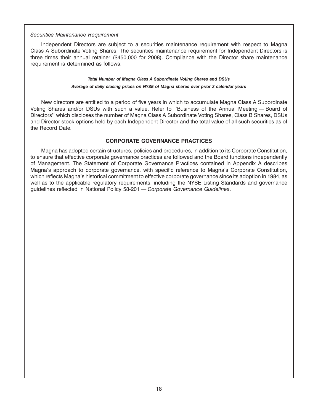### *Securities Maintenance Requirement*

Independent Directors are subject to a securities maintenance requirement with respect to Magna Class A Subordinate Voting Shares. The securities maintenance requirement for Independent Directors is three times their annual retainer (\$450,000 for 2008). Compliance with the Director share maintenance requirement is determined as follows:

## *Total Number of Magna Class A Subordinate Voting Shares and DSUs Average of daily closing prices on NYSE of Magna shares over prior 3 calendar years*

New directors are entitled to a period of five years in which to accumulate Magna Class A Subordinate Voting Shares and/or DSUs with such a value. Refer to ''Business of the Annual Meeting — Board of Directors'' which discloses the number of Magna Class A Subordinate Voting Shares, Class B Shares, DSUs and Director stock options held by each Independent Director and the total value of all such securities as of the Record Date.

# **CORPORATE GOVERNANCE PRACTICES**

Magna has adopted certain structures, policies and procedures, in addition to its Corporate Constitution, to ensure that effective corporate governance practices are followed and the Board functions independently of Management. The Statement of Corporate Governance Practices contained in Appendix A describes Magna's approach to corporate governance, with specific reference to Magna's Corporate Constitution, which reflects Magna's historical commitment to effective corporate governance since its adoption in 1984, as well as to the applicable regulatory requirements, including the NYSE Listing Standards and governance guidelines reflected in National Policy 58-201 — *Corporate Governance Guidelines*.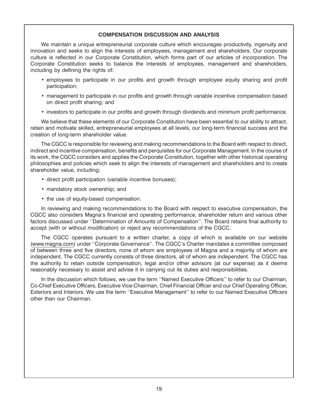# **COMPENSATION DISCUSSION AND ANALYSIS**

We maintain a unique entrepreneurial corporate culture which encourages productivity, ingenuity and innovation and seeks to align the interests of employees, management and shareholders. Our corporate culture is reflected in our Corporate Constitution, which forms part of our articles of incorporation. The Corporate Constitution seeks to balance the interests of employees, management and shareholders, including by defining the rights of:

- employees to participate in our profits and growth through employee equity sharing and profit participation;
- management to participate in our profits and growth through variable incentive compensation based on direct profit sharing; and
- investors to participate in our profits and growth through dividends and minimum profit performance.

We believe that these elements of our Corporate Constitution have been essential to our ability to attract, retain and motivate skilled, entrepreneurial employees at all levels, our long-term financial success and the creation of long-term shareholder value.

The CGCC is responsible for reviewing and making recommendations to the Board with respect to direct, indirect and incentive compensation, benefits and perquisites for our Corporate Management. In the course of its work, the CGCC considers and applies the Corporate Constitution, together with other historical operating philosophies and policies which seek to align the interests of management and shareholders and to create shareholder value, including:

- direct profit participation (variable incentive bonuses);
- mandatory stock ownership; and
- the use of equity-based compensation.

In reviewing and making recommendations to the Board with respect to executive compensation, the CGCC also considers Magna's financial and operating performance, shareholder return and various other factors discussed under ''Determination of Amounts of Compensation''. The Board retains final authority to accept (with or without modification) or reject any recommendations of the CGCC.

The CGCC operates pursuant to a written charter, a copy of which is available on our website (www.magna.com) under ''Corporate Governance''. The CGCC's Charter mandates a committee composed of between three and five directors, none of whom are employees of Magna and a majority of whom are independent. The CGCC currently consists of three directors, all of whom are independent. The CGCC has the authority to retain outside compensation, legal and/or other advisors (at our expense) as it deems reasonably necessary to assist and advise it in carrying out its duties and responsibilities.

In the discussion which follows, we use the term ''Named Executive Officers'' to refer to our Chairman, Co-Chief Executive Officers, Executive Vice-Chairman, Chief Financial Officer and our Chief Operating Officer, Exteriors and Interiors. We use the term ''Executive Management'' to refer to our Named Executive Officers other than our Chairman.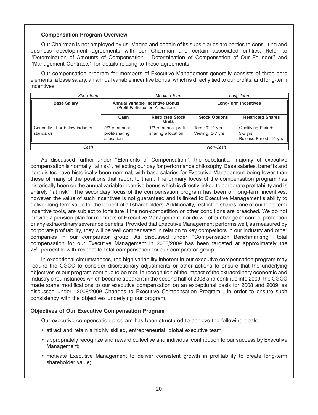# **Compensation Program Overview**

Our Chairman is not employed by us. Magna and certain of its subsidiaries are parties to consulting and business development agreements with our Chairman and certain associated entities. Refer to ''Determination of Amounts of Compensation — Determination of Compensation of Our Founder'' and ''Management Contracts'' for details relating to these agreements.

Our compensation program for members of Executive Management generally consists of three core elements: a base salary, an annual variable incentive bonus, which is directly tied to our profits, and long-term incentives.

| Short-Term                                  |                                                                             | Medium-Term                                 | Long-Term                          |                                                                  |
|---------------------------------------------|-----------------------------------------------------------------------------|---------------------------------------------|------------------------------------|------------------------------------------------------------------|
| <b>Base Salary</b>                          | <b>Annual Variable Incentive Bonus</b><br>(Profit Participation Allocation) |                                             | <b>Long-Term Incentives</b>        |                                                                  |
|                                             | Cash                                                                        | <b>Restricted Stock</b><br><b>Units</b>     | <b>Stock Options</b>               | <b>Restricted Shares</b>                                         |
| Generally at or below industry<br>standards | 2/3 of annual<br>profit-sharing<br>allocation                               | 1/3 of annual profit-<br>sharing allocation | Term: 7-10 yrs<br>Vesting: 3-7 yrs | <b>Qualifying Period:</b><br>$3-5$ yrs<br>Release Period: 10 yrs |
| Cash                                        |                                                                             | Non-Cash                                    |                                    |                                                                  |

As discussed further under ''Elements of Compensation'', the substantial majority of executive compensation is normally ''at risk'', reflecting our pay for performance philosophy. Base salaries, benefits and perquisites have historically been nominal, with base salaries for Executive Management being lower than those of many of the positions that report to them. The primary focus of the compensation program has historically been on the annual variable incentive bonus which is directly linked to corporate profitability and is entirely ''at risk''. The secondary focus of the compensation program has been on long-term incentives; however, the value of such incentives is not guaranteed and is linked to Executive Management's ability to deliver long-term value for the benefit of all shareholders. Additionally, restricted shares, one of our long-term incentive tools, are subject to forfeiture if the non-competition or other conditions are breached. We do not provide a pension plan for members of Executive Management, nor do we offer change of control protection or any extraordinary severance benefits. Provided that Executive Management performs well, as measured by corporate profitability, they will be well compensated in relation to key competitors in our industry and other companies in our comparator group. As discussed under ''Compensation Benchmarking'', total compensation for our Executive Management in 2008/2009 has been targeted at approximately the 75<sup>th</sup> percentile with respect to total compensation for our comparator group.

In exceptional circumstances, the high variability inherent in our executive compensation program may require the CGCC to consider discretionary adjustments or other actions to ensure that the underlying objectives of our program continue to be met. In recognition of the impact of the extraordinary economic and industry circumstances which became apparent in the second half of 2008 and continue into 2009, the CGCC made some modifications to our executive compensation on an exceptional basis for 2008 and 2009, as discussed under ''2008/2009 Changes to Executive Compensation Program'', in order to ensure such consistency with the objectives underlying our program.

# **Objectives of Our Executive Compensation Program**

Our executive compensation program has been structured to achieve the following goals:

- attract and retain a highly skilled, entrepreneurial, global executive team;
- appropriately recognize and reward collective and individual contribution to our success by Executive Management;
- motivate Executive Management to deliver consistent growth in profitability to create long-term shareholder value;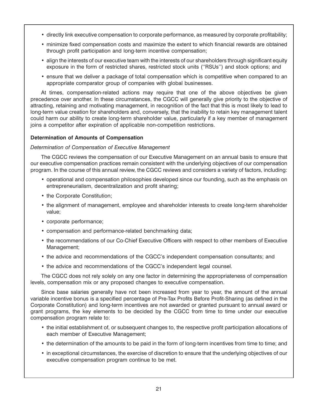- directly link executive compensation to corporate performance, as measured by corporate profitability;
- minimize fixed compensation costs and maximize the extent to which financial rewards are obtained through profit participation and long-term incentive compensation;
- align the interests of our executive team with the interests of our shareholders through significant equity exposure in the form of restricted shares, restricted stock units (''RSUs'') and stock options; and
- ensure that we deliver a package of total compensation which is competitive when compared to an appropriate comparator group of companies with global businesses.

At times, compensation-related actions may require that one of the above objectives be given precedence over another. In these circumstances, the CGCC will generally give priority to the objective of attracting, retaining and motivating management, in recognition of the fact that this is most likely to lead to long-term value creation for shareholders and, conversely, that the inability to retain key management talent could harm our ability to create long-term shareholder value, particularly if a key member of management joins a competitor after expiration of applicable non-competition restrictions.

# **Determination of Amounts of Compensation**

# *Determination of Compensation of Executive Management*

The CGCC reviews the compensation of our Executive Management on an annual basis to ensure that our executive compensation practices remain consistent with the underlying objectives of our compensation program. In the course of this annual review, the CGCC reviews and considers a variety of factors, including:

- operational and compensation philosophies developed since our founding, such as the emphasis on entrepreneurialism, decentralization and profit sharing;
- the Corporate Constitution;
- the alignment of management, employee and shareholder interests to create long-term shareholder value;
- corporate performance;
- compensation and performance-related benchmarking data;
- the recommendations of our Co-Chief Executive Officers with respect to other members of Executive Management;
- the advice and recommendations of the CGCC's independent compensation consultants; and
- the advice and recommendations of the CGCC's independent legal counsel.

The CGCC does not rely solely on any one factor in determining the appropriateness of compensation levels, compensation mix or any proposed changes to executive compensation.

Since base salaries generally have not been increased from year to year, the amount of the annual variable incentive bonus is a specified percentage of Pre-Tax Profits Before Profit-Sharing (as defined in the Corporate Constitution) and long-term incentives are not awarded or granted pursuant to annual award or grant programs, the key elements to be decided by the CGCC from time to time under our executive compensation program relate to:

- the initial establishment of, or subsequent changes to, the respective profit participation allocations of each member of Executive Management;
- the determination of the amounts to be paid in the form of long-term incentives from time to time; and
- in exceptional circumstances, the exercise of discretion to ensure that the underlying objectives of our executive compensation program continue to be met.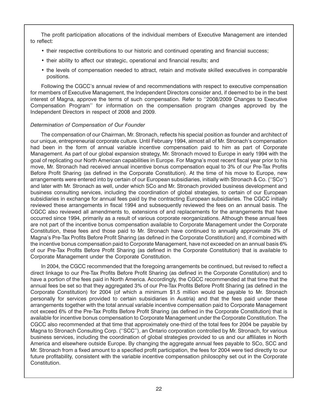The profit participation allocations of the individual members of Executive Management are intended to reflect:

- their respective contributions to our historic and continued operating and financial success;
- their ability to affect our strategic, operational and financial results; and
- the levels of compensation needed to attract, retain and motivate skilled executives in comparable positions.

Following the CGCC's annual review of and recommendations with respect to executive compensation for members of Executive Management, the Independent Directors consider and, if deemed to be in the best interest of Magna, approve the terms of such compensation. Refer to ''2008/2009 Changes to Executive Compensation Program'' for information on the compensation program changes approved by the Independent Directors in respect of 2008 and 2009.

# *Determination of Compensation of Our Founder*

The compensation of our Chairman, Mr. Stronach, reflects his special position as founder and architect of our unique, entrepreneurial corporate culture. Until February 1994, almost all of Mr. Stronach's compensation had been in the form of annual variable incentive compensation paid to him as part of Corporate Management. As part of our global expansion strategy, Mr. Stronach moved to Europe in early 1994 with the goal of replicating our North American capabilities in Europe. For Magna's most recent fiscal year prior to his move, Mr. Stronach had received annual incentive bonus compensation equal to 3% of our Pre-Tax Profits Before Profit Sharing (as defined in the Corporate Constitution). At the time of his move to Europe, new arrangements were entered into by certain of our European subsidiaries, initially with Stronach & Co. (''SCo'') and later with Mr. Stronach as well, under which SCo and Mr. Stronach provided business development and business consulting services, including the coordination of global strategies, to certain of our European subsidiaries in exchange for annual fees paid by the contracting European subsidiaries. The CGCC initially reviewed these arrangements in fiscal 1994 and subsequently reviewed the fees on an annual basis. The CGCC also reviewed all amendments to, extensions of and replacements for the arrangements that have occurred since 1994, primarily as a result of various corporate reorganizations. Although these annual fees are not part of the incentive bonus compensation available to Corporate Management under the Corporate Constitution, these fees and those paid to Mr. Stronach have continued to annually approximate 3% of Magna's Pre-Tax Profits Before Profit Sharing (as defined in the Corporate Constitution) and, if combined with the incentive bonus compensation paid to Corporate Management, have not exceeded on an annual basis 6% of our Pre-Tax Profits Before Profit Sharing (as defined in the Corporate Constitution) that is available to Corporate Management under the Corporate Constitution.

In 2004, the CGCC recommended that the foregoing arrangements be continued, but revised to reflect a direct linkage to our Pre-Tax Profits Before Profit Sharing (as defined in the Corporate Constitution) and to have a portion of the fees paid in North America. Accordingly, the CGCC recommended at that time that the annual fees be set so that they aggregated 3% of our Pre-Tax Profits Before Profit Sharing (as defined in the Corporate Constitution) for 2004 (of which a minimum \$1.5 million would be payable to Mr. Stronach personally for services provided to certain subsidiaries in Austria) and that the fees paid under these arrangements together with the total annual variable incentive compensation paid to Corporate Management not exceed 6% of the Pre-Tax Profits Before Profit Sharing (as defined in the Corporate Constitution) that is available for incentive bonus compensation to Corporate Management under the Corporate Constitution. The CGCC also recommended at that time that approximately one-third of the total fees for 2004 be payable by Magna to Stronach Consulting Corp. (''SCC''), an Ontario corporation controlled by Mr. Stronach, for various business services, including the coordination of global strategies provided to us and our affiliates in North America and elsewhere outside Europe. By changing the aggregate annual fees payable to SCo, SCC and Mr. Stronach from a fixed amount to a specified profit participation, the fees for 2004 were tied directly to our future profitability, consistent with the variable incentive compensation philosophy set out in the Corporate Constitution.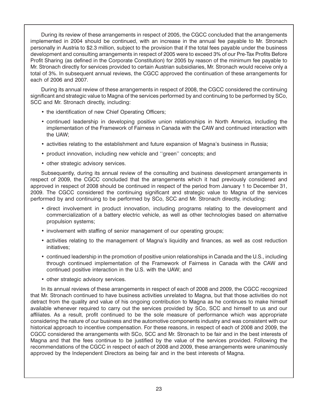During its review of these arrangements in respect of 2005, the CGCC concluded that the arrangements implemented in 2004 should be continued, with an increase in the annual fee payable to Mr. Stronach personally in Austria to \$2.3 million, subject to the provision that if the total fees payable under the business development and consulting arrangements in respect of 2005 were to exceed 3% of our Pre-Tax Profits Before Profit Sharing (as defined in the Corporate Constitution) for 2005 by reason of the minimum fee payable to Mr. Stronach directly for services provided to certain Austrian subsidiaries, Mr. Stronach would receive only a total of 3%. In subsequent annual reviews, the CGCC approved the continuation of these arrangements for each of 2006 and 2007.

During its annual review of these arrangements in respect of 2008, the CGCC considered the continuing significant and strategic value to Magna of the services performed by and continuing to be performed by SCo, SCC and Mr. Stronach directly, including:

- the identification of new Chief Operating Officers;
- continued leadership in developing positive union relationships in North America, including the implementation of the Framework of Fairness in Canada with the CAW and continued interaction with the UAW;
- activities relating to the establishment and future expansion of Magna's business in Russia;
- product innovation, including new vehicle and ''green'' concepts; and
- other strategic advisory services.

Subsequently, during its annual review of the consulting and business development arrangements in respect of 2009, the CGCC concluded that the arrangements which it had previously considered and approved in respect of 2008 should be continued in respect of the period from January 1 to December 31, 2009. The CGCC considered the continuing significant and strategic value to Magna of the services performed by and continuing to be performed by SCo, SCC and Mr. Stronach directly, including:

- direct involvement in product innovation, including programs relating to the development and commercialization of a battery electric vehicle, as well as other technologies based on alternative propulsion systems;
- involvement with staffing of senior management of our operating groups;
- activities relating to the management of Magna's liquidity and finances, as well as cost reduction initiatives;
- continued leadership in the promotion of positive union relationships in Canada and the U.S., including through continued implementation of the Framework of Fairness in Canada with the CAW and continued positive interaction in the U.S. with the UAW; and
- other strategic advisory services.

In its annual reviews of these arrangements in respect of each of 2008 and 2009, the CGCC recognized that Mr. Stronach continued to have business activities unrelated to Magna, but that those activities do not detract from the quality and value of his ongoing contribution to Magna as he continues to make himself available whenever required to carry out the services provided by SCo, SCC and himself to us and our affiliates. As a result, profit continued to be the sole measure of performance which was appropriate considering the nature of our business and the automotive components industry and was consistent with our historical approach to incentive compensation. For these reasons, in respect of each of 2008 and 2009, the CGCC considered the arrangements with SCo, SCC and Mr. Stronach to be fair and in the best interests of Magna and that the fees continue to be justified by the value of the services provided. Following the recommendations of the CGCC in respect of each of 2008 and 2009, these arrangements were unanimously approved by the Independent Directors as being fair and in the best interests of Magna.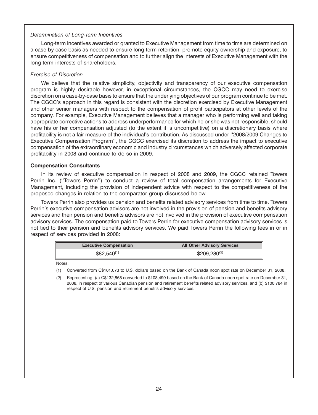## *Determination of Long-Term Incentives*

Long-term incentives awarded or granted to Executive Management from time to time are determined on a case-by-case basis as needed to ensure long-term retention, promote equity ownership and exposure, to ensure competitiveness of compensation and to further align the interests of Executive Management with the long-term interests of shareholders.

## *Exercise of Discretion*

We believe that the relative simplicity, objectivity and transparency of our executive compensation program is highly desirable however, in exceptional circumstances, the CGCC may need to exercise discretion on a case-by-case basis to ensure that the underlying objectives of our program continue to be met. The CGCC's approach in this regard is consistent with the discretion exercised by Executive Management and other senior managers with respect to the compensation of profit participators at other levels of the company. For example, Executive Management believes that a manager who is performing well and taking appropriate corrective actions to address underperformance for which he or she was not responsible, should have his or her compensation adjusted (to the extent it is uncompetitive) on a discretionary basis where profitability is not a fair measure of the individual's contribution. As discussed under ''2008/2009 Changes to Executive Compensation Program'', the CGCC exercised its discretion to address the impact to executive compensation of the extraordinary economic and industry circumstances which adversely affected corporate profitability in 2008 and continue to do so in 2009.

### **Compensation Consultants**

In its review of executive compensation in respect of 2008 and 2009, the CGCC retained Towers Perrin Inc. (''Towers Perrin'') to conduct a review of total compensation arrangements for Executive Management, including the provision of independent advice with respect to the competitiveness of the proposed changes in relation to the comparator group discussed below.

Towers Perrin also provides us pension and benefits related advisory services from time to time. Towers Perrin's executive compensation advisors are not involved in the provision of pension and benefits advisory services and their pension and benefits advisors are not involved in the provision of executive compensation advisory services. The compensation paid to Towers Perrin for executive compensation advisory services is not tied to their pension and benefits advisory services. We paid Towers Perrin the following fees in or in respect of services provided in 2008:

| <b>Executive Compensation</b> | <b>All Other Advisory Services</b> |
|-------------------------------|------------------------------------|
| $$82,540^{(1)}$               | $$209,280^{(2)}$                   |

Notes:

(1) Converted from C\$101,073 to U.S. dollars based on the Bank of Canada noon spot rate on December 31, 2008.

(2) Representing: (a) C\$132,868 converted to \$108,499 based on the Bank of Canada noon spot rate on December 31, 2008, in respect of various Canadian pension and retirement benefits related advisory services, and (b) \$100,784 in respect of U.S. pension and retirement benefits advisory services.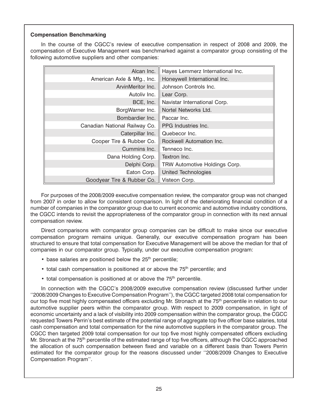# **Compensation Benchmarking**

In the course of the CGCC's review of executive compensation in respect of 2008 and 2009, the compensation of Executive Management was benchmarked against a comparator group consisting of the following automotive suppliers and other companies:

| Alcan Inc.                    | Hayes Lemmerz International Inc. |
|-------------------------------|----------------------------------|
| American Axle & Mfg., Inc.    | Honeywell International Inc.     |
| ArvinMeritor Inc.             | Johnson Controls Inc.            |
| Autoliv Inc.                  | Lear Corp.                       |
| BCE, Inc.                     | Navistar International Corp.     |
| BorgWarner Inc.               | Nortel Networks Ltd.             |
| Bombardier Inc.               | Paccar Inc.                      |
| Canadian National Railway Co. | PPG Industries Inc.              |
| Caterpillar Inc.              | Quebecor Inc.                    |
| Cooper Tire & Rubber Co.      | Rockwell Automation Inc.         |
| Cummins Inc.                  | Tenneco Inc.                     |
| Dana Holding Corp.            | Textron Inc.                     |
| Delphi Corp.                  | TRW Automotive Holdings Corp.    |
| Eaton Corp.                   | <b>United Technologies</b>       |
| Goodyear Tire & Rubber Co.    | Visteon Corp.                    |

For purposes of the 2008/2009 executive compensation review, the comparator group was not changed from 2007 in order to allow for consistent comparison. In light of the deteriorating financial condition of a number of companies in the comparator group due to current economic and automotive industry conditions, the CGCC intends to revisit the appropriateness of the comparator group in connection with its next annual compensation review.

Direct comparisons with comparator group companies can be difficult to make since our executive compensation program remains unique. Generally, our executive compensation program has been structured to ensure that total compensation for Executive Management will be above the median for that of companies in our comparator group. Typically, under our executive compensation program:

- $\bullet$  base salaries are positioned below the 25<sup>th</sup> percentile;
- $\bullet$  total cash compensation is positioned at or above the 75<sup>th</sup> percentile; and
- total compensation is positioned at or above the 75<sup>th</sup> percentile.

In connection with the CGCC's 2008/2009 executive compensation review (discussed further under ''2008/2009 Changes to Executive Compensation Program''), the CGCC targeted 2008 total compensation for our top five most highly compensated officers excluding Mr. Stronach at the 75<sup>th</sup> percentile in relation to our automotive supplier peers within the comparator group. With respect to 2009 compensation, in light of economic uncertainty and a lack of visibility into 2009 compensation within the comparator group, the CGCC requested Towers Perrin's best estimate of the potential range of aggregate top five officer base salaries, total cash compensation and total compensation for the nine automotive suppliers in the comparator group. The CGCC then targeted 2009 total compensation for our top five most highly compensated officers excluding Mr. Stronach at the 75<sup>th</sup> percentile of the estimated range of top five officers, although the CGCC approached the allocation of such compensation between fixed and variable on a different basis than Towers Perrin estimated for the comparator group for the reasons discussed under ''2008/2009 Changes to Executive Compensation Program''.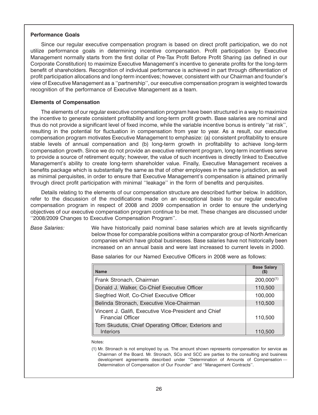## **Performance Goals**

Since our regular executive compensation program is based on direct profit participation, we do not utilize performance goals in determining incentive compensation. Profit participation by Executive Management normally starts from the first dollar of Pre-Tax Profit Before Profit Sharing (as defined in our Corporate Constitution) to maximize Executive Management's incentive to generate profits for the long-term benefit of shareholders. Recognition of individual performance is achieved in part through differentiation of profit participation allocations and long-term incentives; however, consistent with our Chairman and founder's view of Executive Management as a ''partnership'', our executive compensation program is weighted towards recognition of the performance of Executive Management as a team.

## **Elements of Compensation**

The elements of our regular executive compensation program have been structured in a way to maximize the incentive to generate consistent profitability and long-term profit growth. Base salaries are nominal and thus do not provide a significant level of fixed income, while the variable incentive bonus is entirely ''at risk'', resulting in the potential for fluctuation in compensation from year to year. As a result, our executive compensation program motivates Executive Management to emphasize: (a) consistent profitability to ensure stable levels of annual compensation and (b) long-term growth in profitability to achieve long-term compensation growth. Since we do not provide an executive retirement program, long-term incentives serve to provide a source of retirement equity; however, the value of such incentives is directly linked to Executive Management's ability to create long-term shareholder value. Finally, Executive Management receives a benefits package which is substantially the same as that of other employees in the same jurisdiction, as well as minimal perquisites, in order to ensure that Executive Management's compensation is attained primarily through direct profit participation with minimal ''leakage'' in the form of benefits and perquisites.

Details relating to the elements of our compensation structure are described further below. In addition, refer to the discussion of the modifications made on an exceptional basis to our regular executive compensation program in respect of 2008 and 2009 compensation in order to ensure the underlying objectives of our executive compensation program continue to be met. These changes are discussed under ''2008/2009 Changes to Executive Compensation Program''.

*Base Salaries:* We have historically paid nominal base salaries which are at levels significantly below those for comparable positions within a comparator group of North American companies which have global businesses. Base salaries have not historically been increased on an annual basis and were last increased to current levels in 2000.

| <b>Name</b>                                                                       | <b>Base Salary</b><br>$($ \$) |
|-----------------------------------------------------------------------------------|-------------------------------|
| Frank Stronach, Chairman                                                          | $200,000^{(1)}$               |
| Donald J. Walker, Co-Chief Executive Officer                                      | 110,500                       |
| Siegfried Wolf, Co-Chief Executive Officer                                        | 100,000                       |
| Belinda Stronach, Executive Vice-Chairman                                         | 110,500                       |
| Vincent J. Galifi, Executive Vice-President and Chief<br><b>Financial Officer</b> | 110.500                       |

Base salaries for our Named Executive Officers in 2008 were as follows:

Notes:

(1) Mr. Stronach is not employed by us. The amount shown represents compensation for service as Chairman of the Board. Mr. Stronach, SCo and SCC are parties to the consulting and business development agreements described under ''Determination of Amounts of Compensation — Determination of Compensation of Our Founder'' and ''Management Contracts''.

Interiors 110,500

Tom Skudutis, Chief Operating Officer, Exteriors and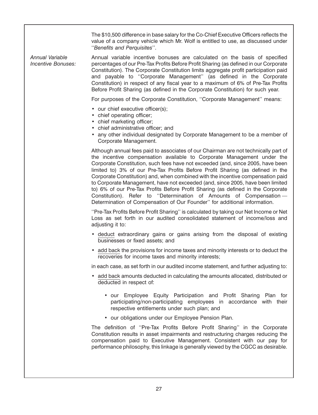The \$10,500 difference in base salary for the Co-Chief Executive Officers reflects the value of a company vehicle which Mr. Wolf is entitled to use, as discussed under ''*Benefits and Perquisites*''.

*Annual Variable* Annual variable incentive bonuses are calculated on the basis of specified *Incentive Bonuses:* percentages of our Pre-Tax Profits Before Profit Sharing (as defined in our Corporate Constitution). The Corporate Constitution limits aggregate profit participation paid and payable to ''Corporate Management'' (as defined in the Corporate Constitution) in respect of any fiscal year to a maximum of 6% of Pre-Tax Profits Before Profit Sharing (as defined in the Corporate Constitution) for such year.

For purposes of the Corporate Constitution, ''Corporate Management'' means:

- our chief executive officer(s);
- chief operating officer;
- chief marketing officer;
- chief administrative officer; and
- any other individual designated by Corporate Management to be a member of Corporate Management.

Although annual fees paid to associates of our Chairman are not technically part of the incentive compensation available to Corporate Management under the Corporate Constitution, such fees have not exceeded (and, since 2005, have been limited to) 3% of our Pre-Tax Profits Before Profit Sharing (as defined in the Corporate Constitution) and, when combined with the incentive compensation paid to Corporate Management, have not exceeded (and, since 2005, have been limited to) 6% of our Pre-Tax Profits Before Profit Sharing (as defined in the Corporate Constitution). Refer to ''Determination of Amounts of Compensation — Determination of Compensation of Our Founder'' for additional information.

''Pre-Tax Profits Before Profit Sharing'' is calculated by taking our Net Income or Net Loss as set forth in our audited consolidated statement of income/loss and adjusting it to:

- deduct extraordinary gains or gains arising from the disposal of existing businesses or fixed assets; and
- add back the provisions for income taxes and minority interests or to deduct the recoveries for income taxes and minority interests;

in each case, as set forth in our audited income statement, and further adjusting to:

- add back amounts deducted in calculating the amounts allocated, distributed or deducted in respect of:
	- our Employee Equity Participation and Profit Sharing Plan for participating/non-participating employees in accordance with their respective entitlements under such plan; and
	- our obligations under our Employee Pension Plan.

The definition of ''Pre-Tax Profits Before Profit Sharing'' in the Corporate Constitution results in asset impairments and restructuring charges reducing the compensation paid to Executive Management. Consistent with our pay for performance philosophy, this linkage is generally viewed by the CGCC as desirable.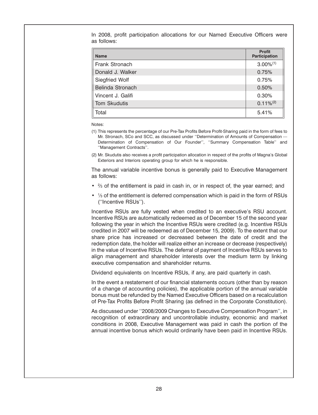In 2008, profit participation allocations for our Named Executive Officers were as follows:

| <b>Name</b>       | <b>Profit</b><br><b>Participation</b> |
|-------------------|---------------------------------------|
| Frank Stronach    | $3.00\%$ <sup>(1)</sup>               |
| Donald J. Walker  | 0.75%                                 |
| Siegfried Wolf    | 0.75%                                 |
| Belinda Stronach  | 0.50%                                 |
| Vincent J. Galifi | 0.30%                                 |
| Tom Skudutis      | $0.11\%/2}$                           |
| Total             | 5.41%                                 |

Notes:

- (1) This represents the percentage of our Pre-Tax Profits Before Profit-Sharing paid in the form of fees to Mr. Stronach, SCo and SCC, as discussed under ''Determination of Amounts of Compensation — Determination of Compensation of Our Founder'', ''Summary Compensation Table'' and ''Management Contracts''.
- (2) Mr. Skudutis also receives a profit participation allocation in respect of the profits of Magna's Global Exteriors and Interiors operating group for which he is responsible.

The annual variable incentive bonus is generally paid to Executive Management as follows:

- $\frac{2}{3}$  of the entitlement is paid in cash in, or in respect of, the year earned; and
- 1/<sub>3</sub> of the entitlement is deferred compensation which is paid in the form of RSUs (''Incentive RSUs'').

Incentive RSUs are fully vested when credited to an executive's RSU account. Incentive RSUs are automatically redeemed as of December 15 of the second year following the year in which the Incentive RSUs were credited (e.g. Incentive RSUs credited in 2007 will be redeemed as of December 15, 2009). To the extent that our share price has increased or decreased between the date of credit and the redemption date, the holder will realize either an increase or decrease (respectively) in the value of Incentive RSUs. The deferral of payment of Incentive RSUs serves to align management and shareholder interests over the medium term by linking executive compensation and shareholder returns.

Dividend equivalents on Incentive RSUs, if any, are paid quarterly in cash.

In the event a restatement of our financial statements occurs (other than by reason of a change of accounting policies), the applicable portion of the annual variable bonus must be refunded by the Named Executive Officers based on a recalculation of Pre-Tax Profits Before Profit Sharing (as defined in the Corporate Constitution).

As discussed under ''2008/2009 Changes to Executive Compensation Program'', in recognition of extraordinary and uncontrollable industry, economic and market conditions in 2008, Executive Management was paid in cash the portion of the annual incentive bonus which would ordinarily have been paid in Incentive RSUs.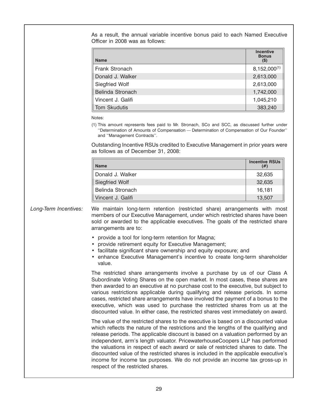As a result, the annual variable incentive bonus paid to each Named Executive Officer in 2008 was as follows:

| <b>Name</b>           | <b>Incentive</b><br><b>Bonus</b><br>$(\$)$ |
|-----------------------|--------------------------------------------|
| Frank Stronach        | $8,152,000^{(1)}$                          |
| Donald J. Walker      | 2,613,000                                  |
| <b>Siegfried Wolf</b> | 2,613,000                                  |
| Belinda Stronach      | 1,742,000                                  |
| Vincent J. Galifi     | 1,045,210                                  |
| Tom Skudutis          | 383,240                                    |

Notes:

(1) This amount represents fees paid to Mr. Stronach, SCo and SCC, as discussed further under ''Determination of Amounts of Compensation — Determination of Compensation of Our Founder'' and ''Management Contracts''.

Outstanding Incentive RSUs credited to Executive Management in prior years were as follows as of December 31, 2008:

| <b>Name</b>           | <b>Incentive RSUs</b> |
|-----------------------|-----------------------|
| Donald J. Walker      | 32,635                |
| <b>Siegfried Wolf</b> | 32,635                |
| Belinda Stronach      | 16,181                |
| Vincent J. Galifi     | 13.507                |

*Long-Term Incentives:* We maintain long-term retention (restricted share) arrangements with most members of our Executive Management, under which restricted shares have been sold or awarded to the applicable executives. The goals of the restricted share arrangements are to:

- provide a tool for long-term retention for Magna;
- provide retirement equity for Executive Management;
- facilitate significant share ownership and equity exposure; and
- enhance Executive Management's incentive to create long-term shareholder value.

The restricted share arrangements involve a purchase by us of our Class A Subordinate Voting Shares on the open market. In most cases, these shares are then awarded to an executive at no purchase cost to the executive, but subject to various restrictions applicable during qualifying and release periods. In some cases, restricted share arrangements have involved the payment of a bonus to the executive, which was used to purchase the restricted shares from us at the discounted value. In either case, the restricted shares vest immediately on award.

The value of the restricted shares to the executive is based on a discounted value which reflects the nature of the restrictions and the lengths of the qualifying and release periods. The applicable discount is based on a valuation performed by an independent, arm's length valuator. PricewaterhouseCoopers LLP has performed the valuations in respect of each award or sale of restricted shares to date. The discounted value of the restricted shares is included in the applicable executive's income for income tax purposes. We do not provide an income tax gross-up in respect of the restricted shares.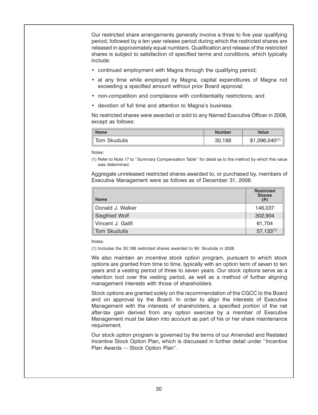Our restricted share arrangements generally involve a three to five year qualifying period, followed by a ten year release period during which the restricted shares are released in approximately equal numbers. Qualification and release of the restricted shares is subject to satisfaction of specified terms and conditions, which typically include:

- continued employment with Magna through the qualifying period;
- at any time while employed by Magna, capital expenditures of Magna not exceeding a specified amount without prior Board approval;
- non-competition and compliance with confidentiality restrictions; and
- devotion of full time and attention to Magna's business.

No restricted shares were awarded or sold to any Named Executive Officer in 2008, except as follows:

| <b>Name</b>  | <b>Number</b> | <b>Value</b>       |
|--------------|---------------|--------------------|
| īom Skudutis | 30,188        | $$1,096,040^{(1)}$ |

Notes:

(1) Refer to Note 17 to ''Summary Compensation Table'' for detail as to the method by which this value was determined.

Aggregate unreleased restricted shares awarded to, or purchased by, members of Executive Management were as follows as of December 31, 2008:

| <b>Name</b>           | <b>Restricted</b><br><b>Shares</b><br>(# ) |
|-----------------------|--------------------------------------------|
| Donald J. Walker      | 146,037                                    |
| <b>Siegfried Wolf</b> | 302,904                                    |
| Vincent J. Galifi     | 61,704                                     |
| <b>Tom Skudutis</b>   | $57,133^{(1)}$                             |

Notes:

(1) Includes the 30,188 restricted shares awarded to Mr. Skudutis in 2008.

We also maintain an incentive stock option program, pursuant to which stock options are granted from time to time, typically with an option term of seven to ten years and a vesting period of three to seven years. Our stock options serve as a retention tool over the vesting period, as well as a method of further aligning management interests with those of shareholders.

Stock options are granted solely on the recommendation of the CGCC to the Board and on approval by the Board. In order to align the interests of Executive Management with the interests of shareholders, a specified portion of the net after-tax gain derived from any option exercise by a member of Executive Management must be taken into account as part of his or her share maintenance requirement.

Our stock option program is governed by the terms of our Amended and Restated Incentive Stock Option Plan, which is discussed in further detail under ''Incentive Plan Awards — Stock Option Plan''.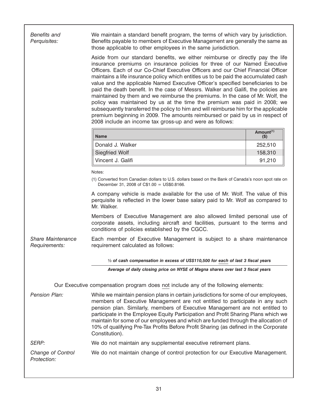| <b>Benefits and</b><br>Perquisites:       | We maintain a standard benefit program, the terms of which vary by jurisdiction.<br>Benefits payable to members of Executive Management are generally the same as<br>those applicable to other employees in the same jurisdiction.                                                                                                                                                                                                                                                                                                                                                                                                                                                                                                                                                                                                                                                                                   |                                  |
|-------------------------------------------|----------------------------------------------------------------------------------------------------------------------------------------------------------------------------------------------------------------------------------------------------------------------------------------------------------------------------------------------------------------------------------------------------------------------------------------------------------------------------------------------------------------------------------------------------------------------------------------------------------------------------------------------------------------------------------------------------------------------------------------------------------------------------------------------------------------------------------------------------------------------------------------------------------------------|----------------------------------|
|                                           | Aside from our standard benefits, we either reimburse or directly pay the life<br>insurance premiums on insurance policies for three of our Named Executive<br>Officers. Each of our Co-Chief Executive Officers and our Chief Financial Officer<br>maintains a life insurance policy which entitles us to be paid the accumulated cash<br>value and the applicable Named Executive Officer's specified beneficiaries to be<br>paid the death benefit. In the case of Messrs. Walker and Galifi, the policies are<br>maintained by them and we reimburse the premiums. In the case of Mr. Wolf, the<br>policy was maintained by us at the time the premium was paid in 2008; we<br>subsequently transferred the policy to him and will reimburse him for the applicable<br>premium beginning in 2009. The amounts reimbursed or paid by us in respect of<br>2008 include an income tax gross-up and were as follows: |                                  |
|                                           | <b>Name</b>                                                                                                                                                                                                                                                                                                                                                                                                                                                                                                                                                                                                                                                                                                                                                                                                                                                                                                          | Amount <sup>(1)</sup><br>$($ \$) |
|                                           | Donald J. Walker                                                                                                                                                                                                                                                                                                                                                                                                                                                                                                                                                                                                                                                                                                                                                                                                                                                                                                     | 252,510                          |
|                                           | <b>Siegfried Wolf</b>                                                                                                                                                                                                                                                                                                                                                                                                                                                                                                                                                                                                                                                                                                                                                                                                                                                                                                | 158,310                          |
|                                           | Vincent J. Galifi                                                                                                                                                                                                                                                                                                                                                                                                                                                                                                                                                                                                                                                                                                                                                                                                                                                                                                    | 91,210                           |
|                                           | (1) Converted from Canadian dollars to U.S. dollars based on the Bank of Canada's noon spot rate on<br>December 31, 2008 of $C$1.00 = US$0.8166$ .<br>A company vehicle is made available for the use of Mr. Wolf. The value of this<br>perquisite is reflected in the lower base salary paid to Mr. Wolf as compared to<br>Mr. Walker.<br>Members of Executive Management are also allowed limited personal use of<br>corporate assets, including aircraft and facilities, pursuant to the terms and<br>conditions of policies established by the CGCC.                                                                                                                                                                                                                                                                                                                                                             |                                  |
| <b>Share Maintenance</b><br>Requirements: | Each member of Executive Management is subject to a share maintenance<br>requirement calculated as follows:                                                                                                                                                                                                                                                                                                                                                                                                                                                                                                                                                                                                                                                                                                                                                                                                          |                                  |
|                                           | $\frac{1}{3}$ of cash compensation in excess of US\$110,500 for each of last 3 fiscal years                                                                                                                                                                                                                                                                                                                                                                                                                                                                                                                                                                                                                                                                                                                                                                                                                          |                                  |
|                                           | Average of daily closing price on NYSE of Magna shares over last 3 fiscal years                                                                                                                                                                                                                                                                                                                                                                                                                                                                                                                                                                                                                                                                                                                                                                                                                                      |                                  |
|                                           | Our Executive compensation program does not include any of the following elements:                                                                                                                                                                                                                                                                                                                                                                                                                                                                                                                                                                                                                                                                                                                                                                                                                                   |                                  |
| Pension Plan:                             | While we maintain pension plans in certain jurisdictions for some of our employees,<br>members of Executive Management are not entitled to participate in any such<br>pension plan. Similarly, members of Executive Management are not entitled to<br>participate in the Employee Equity Participation and Profit Sharing Plans which we<br>maintain for some of our employees and which are funded through the allocation of<br>10% of qualifying Pre-Tax Profits Before Profit Sharing (as defined in the Corporate<br>Constitution).                                                                                                                                                                                                                                                                                                                                                                              |                                  |
| SERP:                                     | We do not maintain any supplemental executive retirement plans.                                                                                                                                                                                                                                                                                                                                                                                                                                                                                                                                                                                                                                                                                                                                                                                                                                                      |                                  |
| Change of Control<br>Protection:          | We do not maintain change of control protection for our Executive Management.                                                                                                                                                                                                                                                                                                                                                                                                                                                                                                                                                                                                                                                                                                                                                                                                                                        |                                  |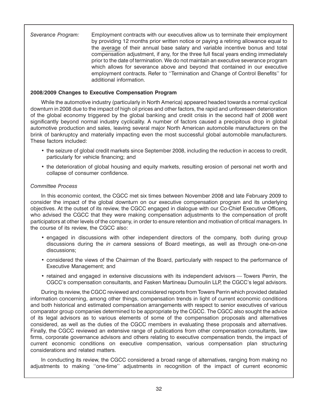*Severance Program:* Employment contracts with our executives allow us to terminate their employment by providing 12 months prior written notice or paying a retiring allowance equal to the average of their annual base salary and variable incentive bonus and total compensation adjustment, if any, for the three full fiscal years ending immediately prior to the date of termination. We do not maintain an executive severance program which allows for severance above and beyond that contained in our executive employment contracts. Refer to ''Termination and Change of Control Benefits'' for additional information.

# **2008/2009 Changes to Executive Compensation Program**

While the automotive industry (particularly in North America) appeared headed towards a normal cyclical downturn in 2008 due to the impact of high oil prices and other factors, the rapid and unforeseen deterioration of the global economy triggered by the global banking and credit crisis in the second half of 2008 went significantly beyond normal industry cyclicality. A number of factors caused a precipitous drop in global automotive production and sales, leaving several major North American automobile manufacturers on the brink of bankruptcy and materially impacting even the most successful global automobile manufacturers. These factors included:

- the seizure of global credit markets since September 2008, including the reduction in access to credit, particularly for vehicle financing; and
- the deterioration of global housing and equity markets, resulting erosion of personal net worth and collapse of consumer confidence.

# *Committee Process*

In this economic context, the CGCC met six times between November 2008 and late February 2009 to consider the impact of the global downturn on our executive compensation program and its underlying objectives. At the outset of its review, the CGCC engaged in dialogue with our Co-Chief Executive Officers, who advised the CGCC that they were making compensation adjustments to the compensation of profit participators at other levels of the company, in order to ensure retention and motivation of critical managers. In the course of its review, the CGCC also:

- engaged in discussions with other independent directors of the company, both during group discussions during the *in camera* sessions of Board meetings, as well as through one-on-one discussions;
- considered the views of the Chairman of the Board, particularly with respect to the performance of Executive Management; and
- retained and engaged in extensive discussions with its independent advisors Towers Perrin, the CGCC's compensation consultants, and Fasken Martineau Dumoulin LLP, the CGCC's legal advisors.

During its review, the CGCC reviewed and considered reports from Towers Perrin which provided detailed information concerning, among other things, compensation trends in light of current economic conditions and both historical and estimated compensation arrangements with respect to senior executives of various comparator group companies determined to be appropriate by the CGCC. The CGCC also sought the advice of its legal advisors as to various elements of some of the compensation proposals and alternatives considered, as well as the duties of the CGCC members in evaluating these proposals and alternatives. Finally, the CGCC reviewed an extensive range of publications from other compensation consultants, law firms, corporate governance advisors and others relating to executive compensation trends, the impact of current economic conditions on executive compensation, various compensation plan structuring considerations and related matters.

In conducting its review, the CGCC considered a broad range of alternatives, ranging from making no adjustments to making ''one-time'' adjustments in recognition of the impact of current economic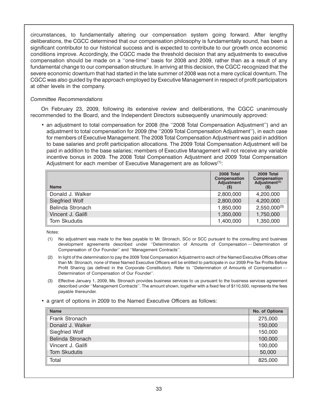circumstances, to fundamentally altering our compensation system going forward. After lengthy deliberations, the CGCC determined that our compensation philosophy is fundamentally sound, has been a significant contributor to our historical success and is expected to contribute to our growth once economic conditions improve. Accordingly, the CGCC made the threshold decision that any adjustments to executive compensation should be made on a ''one-time'' basis for 2008 and 2009, rather than as a result of any fundamental change to our compensation structure. In arriving at this decision, the CGCC recognized that the severe economic downturn that had started in the late summer of 2008 was not a mere cyclical downturn. The CGCC was also guided by the approach employed by Executive Management in respect of profit participators at other levels in the company.

# *Committee Recommendations*

On February 23, 2009, following its extensive review and deliberations, the CGCC unanimously recommended to the Board, and the Independent Directors subsequently unanimously approved:

• an adjustment to total compensation for 2008 (the ''2008 Total Compensation Adjustment'') and an adjustment to total compensation for 2009 (the ''2009 Total Compensation Adjustment''), in each case for members of Executive Management. The 2008 Total Compensation Adjustment was paid in addition to base salaries and profit participation allocations. The 2009 Total Compensation Adjustment will be paid in addition to the base salaries; members of Executive Management will not receive any variable incentive bonus in 2009. The 2008 Total Compensation Adjustment and 2009 Total Compensation Adjustment for each member of Executive Management are as follows $(1)$ :

| <b>Name</b>       | 2008 Total<br><b>Compensation</b><br><b>Adjustment</b><br>(S) | 2009 Total<br>Compensation<br>Adjustment <sup>(2)</sup><br>$($ \$) |
|-------------------|---------------------------------------------------------------|--------------------------------------------------------------------|
| Donald J. Walker  | 2,800,000                                                     | 4,200,000                                                          |
| Siegfried Wolf    | 2,800,000                                                     | 4,200,000                                                          |
| Belinda Stronach  | 1,850,000                                                     | $2,550,000^{(3)}$                                                  |
| Vincent J. Galifi | 1,350,000                                                     | 1,750,000                                                          |
| Tom Skudutis      | 1,400,000                                                     | 1,350,000                                                          |

Notes:

- (1) No adjustment was made to the fees payable to Mr. Stronach, SCo or SCC pursuant to the consulting and business development agreements described under ''Determination of Amounts of Compensation — Determination of Compensation of Our Founder'' and ''Management Contracts''.
- (2) In light of the determination to pay the 2009 Total Compensation Adjustment to each of the Named Executive Officers other than Mr. Stronach, none of these Named Executive Officers will be entitled to participate in our 2009 Pre-Tax Profits Before Profit Sharing (as defined in the Corporate Constitution). Refer to "Determination of Amounts of Compensation -Determination of Compensation of Our Founder''.
- (3) Effective January 1, 2009, Ms. Stronach provides business services to us pursuant to the business services agreement described under ''Management Contracts''. The amount shown, together with a fixed fee of \$110,500, represents the fees payable thereunder.
- a grant of options in 2009 to the Named Executive Officers as follows:

| <b>Name</b>         | No. of Options |
|---------------------|----------------|
| Frank Stronach      | 275,000        |
| Donald J. Walker    | 150,000        |
| Siegfried Wolf      | 150,000        |
| Belinda Stronach    | 100,000        |
| Vincent J. Galifi   | 100,000        |
| <b>Tom Skudutis</b> | 50,000         |
| Total               | 825,000        |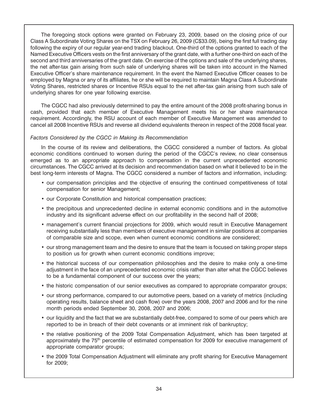The foregoing stock options were granted on February 23, 2009, based on the closing price of our Class A Subordinate Voting Shares on the TSX on February 26, 2009 (C\$33.09), being the first full trading day following the expiry of our regular year-end trading blackout. One-third of the options granted to each of the Named Executive Officers vests on the first anniversary of the grant date, with a further one-third on each of the second and third anniversaries of the grant date. On exercise of the options and sale of the underlying shares, the net after-tax gain arising from such sale of underlying shares will be taken into account in the Named Executive Officer's share maintenance requirement. In the event the Named Executive Officer ceases to be employed by Magna or any of its affiliates, he or she will be required to maintain Magna Class A Subordinate Voting Shares, restricted shares or Incentive RSUs equal to the net after-tax gain arising from such sale of underlying shares for one year following exercise.

The CGCC had also previously determined to pay the entire amount of the 2008 profit-sharing bonus in cash, provided that each member of Executive Management meets his or her share maintenance requirement. Accordingly, the RSU account of each member of Executive Management was amended to cancel all 2008 Incentive RSUs and reverse all dividend equivalents thereon in respect of the 2008 fiscal year.

# *Factors Considered by the CGCC in Making its Recommendation*

In the course of its review and deliberations, the CGCC considered a number of factors. As global economic conditions continued to worsen during the period of the CGCC's review, no clear consensus emerged as to an appropriate approach to compensation in the current unprecedented economic circumstances. The CGCC arrived at its decision and recommendation based on what it believed to be in the best long-term interests of Magna. The CGCC considered a number of factors and information, including:

- our compensation principles and the objective of ensuring the continued competitiveness of total compensation for senior Management;
- our Corporate Constitution and historical compensation practices;
- the precipitous and unprecedented decline in external economic conditions and in the automotive industry and its significant adverse effect on our profitability in the second half of 2008;
- management's current financial projections for 2009, which would result in Executive Management receiving substantially less than members of executive management in similar positions at companies of comparable size and scope, even when current economic conditions are considered;
- our strong management team and the desire to ensure that the team is focused on taking proper steps to position us for growth when current economic conditions improve;
- the historical success of our compensation philosophies and the desire to make only a one-time adjustment in the face of an unprecedented economic crisis rather than alter what the CGCC believes to be a fundamental component of our success over the years;
- the historic compensation of our senior executives as compared to appropriate comparator groups;
- our strong performance, compared to our automotive peers, based on a variety of metrics (including operating results, balance sheet and cash flow) over the years 2008, 2007 and 2006 and for the nine month periods ended September 30, 2008, 2007 and 2006;
- our liquidity and the fact that we are substantially debt-free, compared to some of our peers which are reported to be in breach of their debt covenants or at imminent risk of bankruptcy;
- the relative positioning of the 2009 Total Compensation Adjustment, which has been targeted at approximately the 75<sup>th</sup> percentile of estimated compensation for 2009 for executive management of appropriate comparator groups;
- the 2009 Total Compensation Adjustment will eliminate any profit sharing for Executive Management for 2009;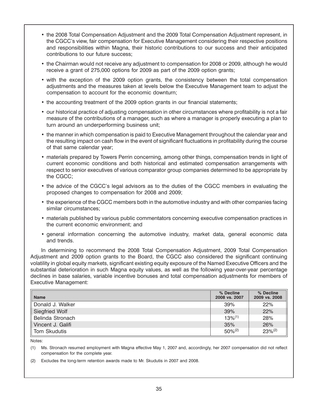- the 2008 Total Compensation Adjustment and the 2009 Total Compensation Adjustment represent, in the CGCC's view, fair compensation for Executive Management considering their respective positions and responsibilities within Magna, their historic contributions to our success and their anticipated contributions to our future success;
- the Chairman would not receive any adjustment to compensation for 2008 or 2009, although he would receive a grant of 275,000 options for 2009 as part of the 2009 option grants;
- with the exception of the 2009 option grants, the consistency between the total compensation adjustments and the measures taken at levels below the Executive Management team to adjust the compensation to account for the economic downturn;
- the accounting treatment of the 2009 option grants in our financial statements;
- our historical practice of adjusting compensation in other circumstances where profitability is not a fair measure of the contributions of a manager, such as where a manager is properly executing a plan to turn around an underperforming business unit;
- the manner in which compensation is paid to Executive Management throughout the calendar year and the resulting impact on cash flow in the event of significant fluctuations in profitability during the course of that same calendar year;
- materials prepared by Towers Perrin concerning, among other things, compensation trends in light of current economic conditions and both historical and estimated compensation arrangements with respect to senior executives of various comparator group companies determined to be appropriate by the CGCC;
- the advice of the CGCC's legal advisors as to the duties of the CGCC members in evaluating the proposed changes to compensation for 2008 and 2009;
- the experience of the CGCC members both in the automotive industry and with other companies facing similar circumstances;
- materials published by various public commentators concerning executive compensation practices in the current economic environment; and
- general information concerning the automotive industry, market data, general economic data and trends.

In determining to recommend the 2008 Total Compensation Adjustment, 2009 Total Compensation Adjustment and 2009 option grants to the Board, the CGCC also considered the significant continuing volatility in global equity markets, significant existing equity exposure of the Named Executive Officers and the substantial deterioration in such Magna equity values, as well as the following year-over-year percentage declines in base salaries, variable incentive bonuses and total compensation adjustments for members of Executive Management:

| <b>Name</b>           | % Decline<br>2008 vs. 2007 | % Decline<br>2009 vs. 2008 |
|-----------------------|----------------------------|----------------------------|
| Donald J. Walker      | 39%                        | 22%                        |
| <b>Siegfried Wolf</b> | 39%                        | 22%                        |
| Belinda Stronach      | $13\%^{(1)}$               | 28%                        |
| Vincent J. Galifi     | 35%                        | 26%                        |
| Tom Skudutis          | $50\%^{(2)}$               | $23\%^{(2)}$               |

Notes:

(1) Ms. Stronach resumed employment with Magna effective May 1, 2007 and, accordingly, her 2007 compensation did not reflect compensation for the complete year.

(2) Excludes the long-term retention awards made to Mr. Skudutis in 2007 and 2008.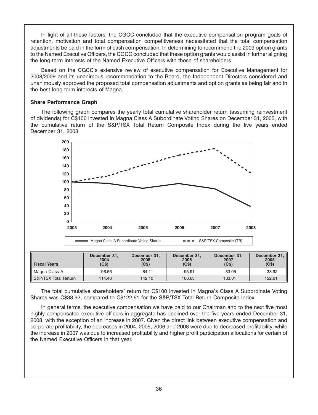In light of all these factors, the CGCC concluded that the executive compensation program goals of retention, motivation and total compensation competitiveness necessitated that the total compensation adjustments be paid in the form of cash compensation. In determining to recommend the 2009 option grants to the Named Executive Officers, the CGCC concluded that these option grants would assist in further aligning the long-term interests of the Named Executive Officers with those of shareholders.

Based on the CGCC's extensive review of executive compensation for Executive Management for 2008/2009 and its unanimous recommendation to the Board, the Independent Directors considered and unanimously approved the proposed total compensation adjustments and option grants as being fair and in the best long-term interests of Magna.

## **Share Performance Graph**

The following graph compares the yearly total cumulative shareholder return (assuming reinvestment of dividends) for C\$100 invested in Magna Class A Subordinate Voting Shares on December 31, 2003, with the cumulative return of the S&P/TSX Total Return Composite Index during the five years ended December 31, 2008.



| <b>Fiscal Years</b>  | December 31,<br>2004<br>(C\$) | December 31.<br>2005<br>(C\$) | December 31,<br>2006<br>(C <sub>\$</sub> ) | December 31.<br>2007<br>(C\$) | December 31.<br>2008<br>(C <sub>\$</sub> ) |
|----------------------|-------------------------------|-------------------------------|--------------------------------------------|-------------------------------|--------------------------------------------|
| Magna Class A        | 96.56                         | 84.11                         | 95.91                                      | 83.05                         | 38.92                                      |
| S&P/TSX Total Return | 114.48                        | 142.10                        | 166.63                                     | 183.01                        | 122.61                                     |

The total cumulative shareholders' return for C\$100 invested in Magna's Class A Subordinate Voting Shares was C\$38.92, compared to C\$122.61 for the S&P/TSX Total Return Composite Index.

In general terms, the executive compensation we have paid to our Chairman and to the next five most highly compensated executive officers in aggregate has declined over the five years ended December 31, 2008, with the exception of an increase in 2007. Given the direct link between executive compensation and corporate profitability, the decreases in 2004, 2005, 2006 and 2008 were due to decreased profitability, while the increase in 2007 was due to increased profitability and higher profit participation allocations for certain of the Named Executive Officers in that year.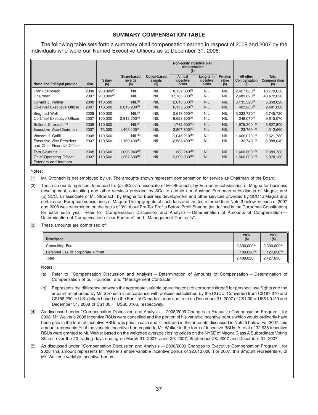# **SUMMARY COMPENSATION TABLE**

The following table sets forth a summary of all compensation earned in respect of 2008 and 2007 by the individuals who were our Named Executive Officers as at December 31, 2008.

|                                                                                   |              |                    |                                                  |                                 | Non-equity incentive plan<br>compensation     |                                 |                                   |                                                      |                                     |
|-----------------------------------------------------------------------------------|--------------|--------------------|--------------------------------------------------|---------------------------------|-----------------------------------------------|---------------------------------|-----------------------------------|------------------------------------------------------|-------------------------------------|
| Name and Principal position                                                       | Year         | Salary<br>(5)      | Share-based<br>awards<br>$($ \$                  | Option-based<br>awards<br>$($)$ | Annual<br>incentive<br>plans                  | Long-term<br>incentive<br>plans | <b>Pension</b><br>value<br>$($ \$ | All other<br>Compensation<br>(5)                     | <b>Total</b><br>Compensation<br>(S) |
| Frank Stronach                                                                    | 2008         | $200,000^{(1)}$    | <b>NIL</b>                                       | <b>NIL</b>                      | $8,152,000^{(2)}$                             | <b>NIL</b>                      | <b>NIL</b>                        | $2,427,630^{(3)}$                                    | 10,779,630                          |
| Chairman                                                                          | 2007         | $200.000^{(1)}$    | <b>NIL</b>                                       | <b>NIL</b>                      | 37.783.000(2)                                 | <b>NIL</b>                      | <b>NIL</b>                        | $2,489,620^{(3)}$                                    | 40,472,620                          |
| Donald J. Walker                                                                  | 2008         | 110.500            | NIL <sup>(4)</sup>                               | <b>NIL</b>                      | $2.613.000^{(5)}$                             | <b>NIL</b>                      | <b>NIL</b>                        | $3,135,320^{(6)}$                                    | 5,858,820                           |
| Co-Chief Executive Officer                                                        | 2007         | 110,500            | $2,813,200^{(4)}$                                | <b>NIL</b>                      | $6,153,500^{(5)}$                             | <b>NIL</b>                      | <b>NIL</b>                        | 403.880 <sup>(6)</sup>                               | 9,481,080                           |
| Siegfried Wolf                                                                    | 2008         | 100.000            | NIL <sup>(7)</sup>                               | <b>NIL</b>                      | $2.613.000^{(8)}$                             | <b>NIL</b>                      | <b>NIL</b>                        | $3.032.720^{(9)}$                                    | 5,745,720                           |
| Co-Chief Executive Officer                                                        | 2007         | 100.000            | $2.813.200^{(7)}$                                | <b>NIL</b>                      | $6,653,800^{(8)}$                             | <b>NIL</b>                      | <b>NIL</b>                        | 248.070(9)                                           | 9,815,070                           |
| Belinda Stronach <sup>(10)</sup>                                                  | 2008         | 110,500            | NIL <sup>(11)</sup>                              | <b>NIL</b>                      | 1,742,000 <sup>(12)</sup>                     | <b>NIL</b>                      | <b>NIL</b>                        | $1,975,300^{(13)}$                                   | 3,827,800                           |
| Executive Vice-Chairman                                                           | 2007         | 73,000             | $1,408,100^{(11)}$                               | <b>NIL</b>                      | 2,807,800 <sup>(12)</sup>                     | <b>NIL</b>                      | <b>NIL</b>                        | $23,760^{(13)}$                                      | 4,312,660                           |
| Vincent J. Galifi<br>Executive Vice-President<br>and Chief Financial Officer      | 2008<br>2007 | 110.500<br>110.500 | NIL <sup>(14)</sup><br>1,160,400 <sup>(14)</sup> | <b>NIL</b><br><b>NIL</b>        | 1,045,210 <sup>(15)</sup><br>2,584,400(15)    | <b>NIL</b><br><b>NIL</b>        | <b>NIL</b><br><b>NIL</b>          | 1,466,070 <sup>(16)</sup><br>132.740 <sup>(16)</sup> | 2,621,780<br>3,988,040              |
| <b>Tom Skudutis</b><br>Chief Operating Officer,<br><b>Exteriors and Interiors</b> | 2008<br>2007 | 110.500<br>110.500 | $1,096,040^{(17)}$<br>$1.267.680^{(17)}$         | <b>NIL</b><br><b>NIL</b>        | 383.240 <sup>(18)</sup><br>$2,200,000^{(18)}$ | <b>NIL</b><br><b>NIL</b>        | <b>NIL</b><br><b>NIL</b>          | $1,400,000^{(19)}$<br>$1.500.000^{(19)}$             | 2,989,780<br>5,078,180              |

Notes:

(1) Mr. Stronach is not employed by us. The amounts shown represent compensation for service as Chairman of the Board.

(2) These amounts represent fees paid to: (a) SCo, an associate of Mr. Stronach, by European subsidiaries of Magna for business development, consulting and other services provided by SCo to certain non-Austrian European subsidiaries of Magna; and (b) SCC, an associate of Mr. Stronach, by Magna for business development and other services provided by SCC to Magna and certain non-European subsidiaries of Magna. The aggregate of such fees and the fee referred to in Note 3 below, in each of 2007 and 2008 was determined on the basis of 3% of our Pre-Tax Profits Before Profit Sharing (as defined in the Corporate Constitution) for each such year. Refer to "Compensation Discussion and Analysis - Determination of Amounts of Compensation -Determination of Compensation of our Founder'' and ''Management Contracts''.

(3) These amounts are comprised of:

| <b>Description</b>                 | 2007<br>$($ \$)        | 2008<br>$($ \$)   |
|------------------------------------|------------------------|-------------------|
| <b>Consulting Fee</b>              | $2,300,000^{(a)}$      | $2,300,000^{(a)}$ |
| Personal use of corporate aircraft | 189.620 <sup>(b)</sup> | $127.630^{(b)}$   |
| Total                              | 2,489,620              | 2,427,630         |

Notes:

- (a) Refer to ''Compensation Discussion and Analysis Determination of Amounts of Compensation Determination of Compensation of our Founder'' and ''Management Contracts''.
- (b) Represents the difference between the aggregate variable operating cost of corporate aircraft for personal use flights and the amount reimbursed by Mr. Stronach in accordance with policies established by the CGCC. Converted from C\$187,370 and C\$156,290 to U.S. dollars based on the Bank of Canada's noon spot rate on December 31, 2007 of C\$1.00 = US\$1.0120 and December 31, 2008 of  $C$1.00 = US$0.8166$ , respectively.
- (4) As discussed under ''Compensation Discussion and Analysis 2008/2009 Changes to Executive Compensation Program'', for 2008, Mr. Walker's 2008 Incentive RSUs were cancelled and the portion of his variable incentive bonus which would ordinarily have been paid in the form of Incentive RSUs was paid in cash and is included in the amounts discussed in Note 5 below. For 2007, this amount represents 1⁄3 of the variable incentive bonus paid to Mr. Walker in the form of Incentive RSUs. A total of 32,635 Incentive RSUs were granted to Mr. Walker based on the weighted average closing prices on the NYSE of Magna Class A Subordinate Voting Shares over the 20 trading days ending on March 31, 2007, June 29, 2007, September 28, 2007 and December 31, 2007.
- (5) As discussed under ''Compensation Discussion and Analysis 2008/2009 Changes to Executive Compensation Program'', for 2008, this amount represents Mr. Walker's entire variable incentive bonus of \$2,613,000. For 2007, this amount represents 2⁄3 of Mr. Walker's variable incentive bonus.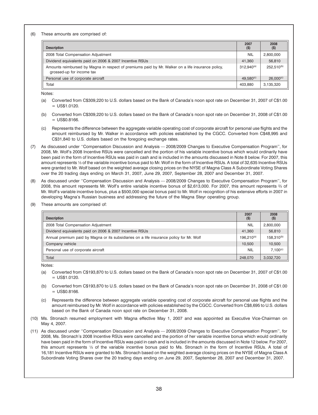(6) These amounts are comprised of:

| <b>Description</b>                                                                                                             | 2007<br>$($ \$)       | 2008<br>$($ \$)        |
|--------------------------------------------------------------------------------------------------------------------------------|-----------------------|------------------------|
| 2008 Total Compensation Adjustment                                                                                             | <b>NIL</b>            | 2,800,000              |
| Dividend equivalents paid on 2006 & 2007 Incentive RSUs                                                                        | 41,360                | 56,810                 |
| Amounts reimbursed by Magna in respect of premiums paid by Mr. Walker on a life insurance policy,<br>grossed-up for income tax | $312.940^{(a)}$       | 252.510 <sup>(b)</sup> |
| Personal use of corporate aircraft                                                                                             | 49.580 <sup>(c)</sup> | $26.000^{(c)}$         |
| Total                                                                                                                          | 403,880               | 3,135,320              |

Notes:

- (a) Converted from C\$309,220 to U.S. dollars based on the Bank of Canada's noon spot rate on December 31, 2007 of C\$1.00  $=$  US\$1.0120.
- (b) Converted from C\$309,220 to U.S. dollars based on the Bank of Canada's noon spot rate on December 31, 2008 of C\$1.00  $=$  US\$0.8166.
- (c) Represents the difference between the aggregate variable operating cost of corporate aircraft for personal use flights and the amount reimbursed by Mr. Walker in accordance with policies established by the CGCC. Converted from C\$48,995 and C\$31,840 to U.S. dollars based on the foregoing exchange rates.
- (7) As discussed under ''Compensation Discussion and Analysis 2008/2009 Changes to Executive Compensation Program'', for 2008, Mr. Wolf's 2008 Incentive RSUs were cancelled and the portion of his variable incentive bonus which would ordinarily have been paid in the form of Incentive RSUs was paid in cash and is included in the amounts discussed in Note 8 below. For 2007, this amount represents 1⁄3 of the variable incentive bonus paid to Mr. Wolf in the form of Incentive RSUs. A total of 32,635 Incentive RSUs were granted to Mr. Wolf based on the weighted average closing prices on the NYSE of Magna Class A Subordinate Voting Shares over the 20 trading days ending on March 31, 2007, June 29, 2007, September 28, 2007 and December 31, 2007.
- (8) As discussed under ''Compensation Discussion and Analysis 2008/2009 Changes to Executive Compensation Program'', for 2008, this amount represents Mr. Wolf's entire variable incentive bonus of \$2,613,000. For 2007, this amount represents 2⁄3 of Mr. Wolf's variable incentive bonus, plus a \$500,000 special bonus paid to Mr. Wolf in recognition of his extensive efforts in 2007 in developing Magna's Russian business and addressing the future of the Magna Steyr operating group.
- (9) These amounts are comprised of:

| <b>Description</b>                                                                       | 2007<br>$($ \$) | 2008<br>$($ \$)        |
|------------------------------------------------------------------------------------------|-----------------|------------------------|
| 2008 Total Compensation Adjustment                                                       | <b>NIL</b>      | 2,800,000              |
| Dividend equivalents paid on 2006 & 2007 Incentive RSUs                                  | 41,360          | 56,810                 |
| Annual premium paid by Magna or its subsidiaries on a life insurance policy for Mr. Wolf | $196.210^{(a)}$ | 158,310 <sup>(b)</sup> |
| Company vehicle                                                                          | 10.500          | 10.500                 |
| Personal use of corporate aircraft                                                       | <b>NIL</b>      | $7.100^{(c)}$          |
| Total                                                                                    | 248,070         | 3,032,720              |

Notes:

- (a) Converted from C\$193,870 to U.S. dollars based on the Bank of Canada's noon spot rate on December 31, 2007 of C\$1.00  $=$  US\$1.0120.
- (b) Converted from C\$193,870 to U.S. dollars based on the Bank of Canada's noon spot rate on December 31, 2008 of C\$1.00  $=$  US\$0.8166.
- (c) Represents the difference between aggregate variable operating cost of corporate aircraft for personal use flights and the amount reimbursed by Mr. Wolf in accordance with policies established by the CGCC. Converted from C\$8,695 to U.S. dollars based on the Bank of Canada noon spot rate on December 31, 2008.
- (10) Ms. Stronach resumed employment with Magna effective May 1, 2007 and was appointed as Executive Vice-Chairman on May 4, 2007.
- (11) As discussed under ''Compensation Discussion and Analysis 2008/2009 Changes to Executive Compensation Program'', for 2008, Ms. Stronach's 2008 Incentive RSUs were cancelled and the portion of her variable incentive bonus which would ordinarily have been paid in the form of Incentive RSUs was paid in cash and is included in the amounts discussed in Note 12 below. For 2007, this amount represents 1/3 of the variable incentive bonus paid to Ms. Stronach in the form of Incentive RSUs. A total of 16,181 Incentive RSUs were granted to Ms. Stronach based on the weighted average closing prices on the NYSE of Magna Class A Subordinate Voting Shares over the 20 trading days ending on June 29, 2007, September 28, 2007 and December 31, 2007.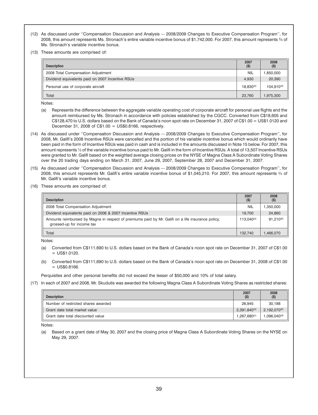- (12) As discussed under ''Compensation Discussion and Analysis 2008/2009 Changes to Executive Compensation Program'', for 2008, this amount represents Ms. Stronach's entire variable incentive bonus of \$1,742,000. For 2007, this amount represents 2⁄3 of Ms. Stronach's variable incentive bonus.
- (13) These amounts are comprised of:

| <b>Description</b>                               | 2007<br>$($ \$) | 2008<br>$($ \$) |
|--------------------------------------------------|-----------------|-----------------|
| 2008 Total Compensation Adjustment               | <b>NIL</b>      | .850,000        |
| Dividend equivalents paid on 2007 Incentive RSUs | 4,930           | 20,390          |
| Personal use of corporate aircraft               | $18.830^{(a)}$  | $104.910^{(a)}$ |
| Total                                            | 23.760          | .975.300        |

Notes:

- (a) Represents the difference between the aggregate variable operating cost of corporate aircraft for personal use flights and the amount reimbursed by Ms. Stronach in accordance with policies established by the CGCC. Converted from C\$18,605 and C\$128,470 to U.S. dollars based on the Bank of Canada's noon spot rate on December 31, 2007 of C\$1.00 = US\$1.0120 and December 31, 2008 of  $C$1.00 = US$0.8166$ , respectively.
- (14) As discussed under ''Compensation Discussion and Analysis 2008/2009 Changes to Executive Compensation Program'', for 2008, Mr. Galifi's 2008 Incentive RSUs were cancelled and the portion of his variable incentive bonus which would ordinarily have been paid in the form of Incentive RSUs was paid in cash and is included in the amounts discussed in Note 15 below. For 2007, this amount represents 1/3 of the variable incentive bonus paid to Mr. Galifi in the form of Incentive RSUs. A total of 13,507 Incentive RSUs were granted to Mr. Galifi based on the weighted average closing prices on the NYSE of Magna Class A Subordinate Voting Shares over the 20 trading days ending on March 31, 2007, June 29, 2007, September 28, 2007 and December 31, 2007.
- (15) As discussed under ''Compensation Discussion and Analysis 2008/2009 Changes to Executive Compensation Program'', for 2008, this amount represents Mr. Galifi's entire variable incentive bonus of \$1,045,210. For 2007, this amount represents 2⁄3 of Mr. Galifi's variable incentive bonus.
- (16) These amounts are comprised of:

| <b>Description</b>                                                                                                             | 2007<br>$($ \$) | 2008<br>$($ \$) |
|--------------------------------------------------------------------------------------------------------------------------------|-----------------|-----------------|
| 2008 Total Compensation Adjustment                                                                                             | <b>NIL</b>      | ,350,000        |
| Dividend equivalents paid on 2006 & 2007 Incentive RSUs                                                                        | 19.700          | 24,860          |
| Amounts reimbursed by Magna in respect of premiums paid by Mr. Galifi on a life insurance policy,<br>grossed-up for income tax | $113.040^{(a)}$ | $91.210^{(b)}$  |
| Total                                                                                                                          | 132.740         | .466.070        |

Notes:

- (a) Converted from C\$111,690 to U.S. dollars based on the Bank of Canada's noon spot rate on December 31, 2007 of C\$1.00  $=$  US\$1.0120.
- (b) Converted from C\$111,690 to U.S. dollars based on the Bank of Canada's noon spot rate on December 31, 2008 of C\$1.00  $=$  US\$0.8166.

Perquisites and other personal benefits did not exceed the lesser of \$50,000 and 10% of total salary.

(17) In each of 2007 and 2008, Mr. Skudutis was awarded the following Magna Class A Subordinate Voting Shares as restricted shares:

| <b>Description</b>                  | 2007<br>$($ \$)   | 2008<br>$($ \$)   |
|-------------------------------------|-------------------|-------------------|
| Number of restricted shares awarded | 26.945            | 30.188            |
| Grant date total market value       | $2,391,840^{(a)}$ | $2,192,070^{(b)}$ |
| Grant date total discounted value   | $1.267.680^{(c)}$ | $1.096.040^{(d)}$ |

Notes:

(a) Based on a grant date of May 30, 2007 and the closing price of Magna Class A Subordinate Voting Shares on the NYSE on May 29, 2007.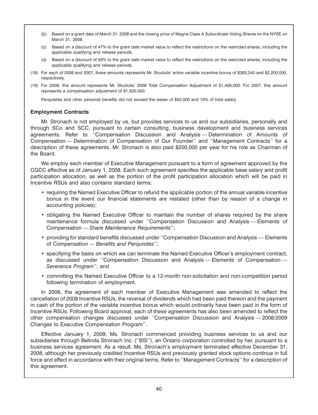- (b) Based on a grant date of March 31, 2008 and the closing price of Magna Class A Subordinate Voting Shares on the NYSE on March 31, 2008.
- (c) Based on a discount of 47% to the grant date market value to reflect the restrictions on the restricted shares, including the applicable qualifying and release periods.
- (d) Based on a discount of 50% to the grant date market value to reflect the restrictions on the restricted shares, including the applicable qualifying and release periods.
- (18) For each of 2008 and 2007, these amounts represents Mr. Skudutis' entire variable incentive bonus of \$383,240 and \$2,200,000, respectively.
- (19) For 2008, this amount represents Mr. Skudutis' 2008 Total Compensation Adjustment of \$1,400,000. For 2007, this amount represents a compensation adjustment of \$1,500,000.

Perquisites and other personal benefits did not exceed the lesser of \$50,000 and 10% of total salary.

### **Employment Contracts**

Mr. Stronach is not employed by us, but provides services to us and our subsidiaries, personally and through SCo and SCC, pursuant to certain consulting, business development and business services agreements. Refer to ''Compensation Discussion and Analysis — Determination of Amounts of Compensation — Determination of Compensation of Our Founder'' and ''Management Contracts'' for a description of these agreements. Mr. Stronach is also paid \$200,000 per year for his role as Chairman of the Board.

We employ each member of Executive Management pursuant to a form of agreement approved by the CGCC effective as of January 1, 2008. Each such agreement specifies the applicable base salary and profit participation allocation, as well as the portion of the profit participation allocation which will be paid in Incentive RSUs and also contains standard terms:

- requiring the Named Executive Officer to refund the applicable portion of the annual variable incentive bonus in the event our financial statements are restated (other than by reason of a change in accounting policies);
- obligating the Named Executive Officer to maintain the number of shares required by the share maintenance formula discussed under ''Compensation Discussion and Analysis — Elements of Compensation — *Share Maintenance Requirements*'';
- providing for standard benefits discussed under ''Compensation Discussion and Analysis Elements of Compensation — *Benefits and Perquisites*'';
- specifying the basis on which we can terminate the Named Executive Officer's employment contract, as discussed under "Compensation Discussion and Analysis - Elements of Compensation -*Severance Program*''; and
- committing the Named Executive Officer to a 12-month non-solicitation and non-competition period following termination of employment.

In 2008, the agreement of each member of Executive Management was amended to reflect the cancellation of 2008 Incentive RSUs, the reversal of dividends which had been paid thereon and the payment in cash of the portion of the variable incentive bonus which would ordinarily have been paid in the form of Incentive RSUs. Following Board approval, each of these agreements has also been amended to reflect the other compensation changes discussed under ''Compensation Discussion and Analysis — 2008/2009 Changes to Executive Compensation Program''.

Effective January 1, 2009, Ms. Stronach commenced providing business services to us and our subsidiaries through Belinda Stronach Inc. (''BSI''), an Ontario corporation controlled by her, pursuant to a business services agreement. As a result, Ms. Stronach's employment terminated effective December 31, 2008, although her previously credited Incentive RSUs and previously granted stock options continue in full force and effect in accordance with their original terms. Refer to ''Management Contracts'' for a description of this agreement.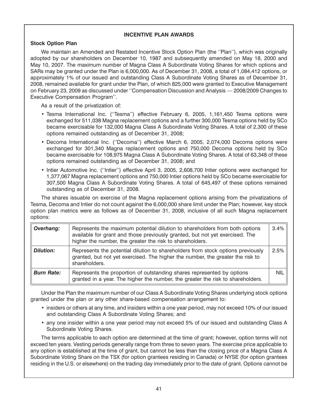# **INCENTIVE PLAN AWARDS**

# **Stock Option Plan**

We maintain an Amended and Restated Incentive Stock Option Plan (the ''Plan''), which was originally adopted by our shareholders on December 10, 1987 and subsequently amended on May 18, 2000 and May 10, 2007. The maximum number of Magna Class A Subordinate Voting Shares for which options and SARs may be granted under the Plan is 6,000,000. As of December 31, 2008, a total of 1,084,412 options, or approximately 1% of our issued and outstanding Class A Subordinate Voting Shares as of December 31, 2008, remained available for grant under the Plan, of which 825,000 were granted to Executive Management on February 23, 2009 as discussed under ''Compensation Discussion and Analysis — 2008/2009 Changes to Executive Compensation Program''.

As a result of the privatization of:

- Tesma International Inc. (''Tesma'') effective February 6, 2005, 1,161,450 Tesma options were exchanged for 511,038 Magna replacement options and a further 300,000 Tesma options held by SCo became exercisable for 132,000 Magna Class A Subordinate Voting Shares. A total of 2,300 of these options remained outstanding as of December 31, 2008;
- Decoma International Inc. (''Decoma'') effective March 6, 2005, 2,074,000 Decoma options were exchanged for 301,340 Magna replacement options and 750,000 Decoma options held by SCo became exercisable for 108,975 Magna Class A Subordinate Voting Shares. A total of 63,348 of these options remained outstanding as of December 31, 2008; and
- Intier Automotive Inc. (''Intier'') effective April 3, 2005, 2,608,700 Intier options were exchanged for 1,377,067 Magna replacement options and 750,000 Intier options held by SCo became exercisable for 307,500 Magna Class A Subordinate Voting Shares. A total of 645,497 of these options remained outstanding as of December 31, 2008.

The shares issuable on exercise of the Magna replacement options arising from the privatizations of Tesma, Decoma and Intier do not count against the 6,000,000 share limit under the Plan; however, key stock option plan metrics were as follows as of December 31, 2008, inclusive of all such Magna replacement options:

| Overhang:         | Represents the maximum potential dilution to shareholders from both options<br>available for grant and those previously granted, but not yet exercised. The<br>higher the number, the greater the risk to shareholders. | 3.4% |
|-------------------|-------------------------------------------------------------------------------------------------------------------------------------------------------------------------------------------------------------------------|------|
| <b>Dilution:</b>  | Represents the potential dilution to shareholders from stock options previously<br>granted, but not yet exercised. The higher the number, the greater the risk to<br>shareholders.                                      | 2.5% |
| <b>Burn Rate:</b> | Represents the proportion of outstanding shares represented by options<br>granted in a year. The higher the number, the greater the risk to shareholders.                                                               | NIL. |

Under the Plan the maximum number of our Class A Subordinate Voting Shares underlying stock options granted under the plan or any other share-based compensation arrangement to:

- insiders or others at any time, and insiders within a one year period, may not exceed 10% of our issued and outstanding Class A Subordinate Voting Shares; and
- any one insider within a one year period may not exceed 5% of our issued and outstanding Class A Subordinate Voting Shares.

The terms applicable to each option are determined at the time of grant; however, option terms will not exceed ten years. Vesting periods generally range from three to seven years. The exercise price applicable to any option is established at the time of grant, but cannot be less than the closing price of a Magna Class A Subordinate Voting Share on the TSX (for option grantees residing in Canada) or NYSE (for option grantees residing in the U.S. or elsewhere) on the trading day immediately prior to the date of grant. Options cannot be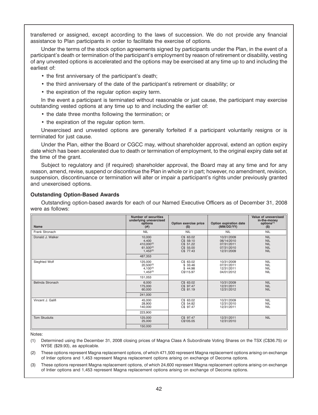transferred or assigned, except according to the laws of succession. We do not provide any financial assistance to Plan participants in order to facilitate the exercise of options.

Under the terms of the stock option agreements signed by participants under the Plan, in the event of a participant's death or termination of the participant's employment by reason of retirement or disability, vesting of any unvested options is accelerated and the options may be exercised at any time up to and including the earliest of:

- the first anniversary of the participant's death;
- the third anniversary of the date of the participant's retirement or disability; or
- the expiration of the regular option expiry term.

In the event a participant is terminated without reasonable or just cause, the participant may exercise outstanding vested options at any time up to and including the earlier of:

• the date three months following the termination; or

• the expiration of the regular option term.

Unexercised and unvested options are generally forfeited if a participant voluntarily resigns or is terminated for just cause.

Under the Plan, either the Board or CGCC may, without shareholder approval, extend an option expiry date which has been accelerated due to death or termination of employment, to the original expiry date set at the time of the grant.

Subject to regulatory and (if required) shareholder approval, the Board may at any time and for any reason, amend, revise, suspend or discontinue the Plan in whole or in part; however, no amendment, revision, suspension, discontinuance or termination will alter or impair a participant's rights under previously granted and unexercised options.

#### **Outstanding Option-Based Awards**

Outstanding option-based awards for each of our Named Executive Officers as of December 31, 2008 were as follows:

| <b>Name</b>         | <b>Number of securities</b><br>underlying unexercised<br>options<br>(# )    | Option exercise price<br>$($                                  | Option expiration date<br>(MM/DD/YY)                               | Value of unexercised<br>in-the-money<br>options <sup>(1)</sup><br>$(\$)$ |
|---------------------|-----------------------------------------------------------------------------|---------------------------------------------------------------|--------------------------------------------------------------------|--------------------------------------------------------------------------|
| Frank Stronach      | <b>NIL</b>                                                                  | <b>NIL</b>                                                    | <b>NIL</b>                                                         | <b>NIL</b>                                                               |
| Donald J. Walker    | 10,000<br>4.400<br>410,000(2)<br>$61,500^{(2)}$<br>$1,453^{(2)}$<br>487,353 | C\$ 63.02<br>C\$ 59.10<br>C\$ 51.22<br>C\$ 55.00<br>C\$ 77.43 | 10/31/2009<br>06/14/2010<br>07/31/2011<br>07/31/2010<br>12/31/2009 | <b>NIL</b><br><b>NIL</b><br><b>NIL</b><br><b>NIL</b><br><b>NIL</b>       |
| Siegfried Wolf      | 125.000<br>$20,500^{(3)}$<br>$4.100^{(3)}$<br>$1,453^{(3)}$<br>151.053      | C\$ 63.02<br>\$33.46<br>\$44.98<br>C\$115.97                  | 10/31/2009<br>07/31/2011<br>12/31/2011<br>04/01/2012               | <b>NIL</b><br><b>NIL</b><br><b>NIL</b><br><b>NIL</b>                     |
| Belinda Stronach    | 6,000<br>175,000<br>60,000<br>241,000                                       | C\$ 63.02<br>C\$ 97.47<br>C\$ 81.19                           | 10/31/2009<br>12/31/2011<br>12/31/2012                             | <b>NIL</b><br><b>NIL</b><br><b>NIL</b>                                   |
| Vincent J. Galifi   | 45,000<br>28,900<br>140,000<br>223,900                                      | C\$ 63.02<br>C\$ 54.82<br>C\$ 97.47                           | 10/31/2009<br>12/31/2010<br>12/31/2011                             | <b>NIL</b><br><b>NIL</b><br><b>NIL</b>                                   |
| <b>Tom Skudutis</b> | 125,000<br>25,000<br>150,000                                                | C\$ 97.47<br>C\$105.05                                        | 12/31/2011<br>12/31/2010                                           | <b>NIL</b>                                                               |

Notes:

(1) Determined using the December 31, 2008 closing prices of Magna Class A Subordinate Voting Shares on the TSX (C\$36.75) or NYSE (\$29.93), as applicable.

(2) These options represent Magna replacement options, of which 471,500 represent Magna replacement options arising on exchange of Intier options and 1,453 represent Magna replacement options arising on exchange of Decoma options.

(3) These options represent Magna replacement options, of which 24,600 represent Magna replacement options arising on exchange of Intier options and 1,453 represent Magna replacement options arising on exchange of Decoma options.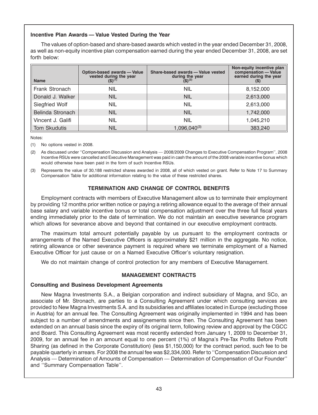# **Incentive Plan Awards — Value Vested During the Year**

The values of option-based and share-based awards which vested in the year ended December 31, 2008, as well as non-equity incentive plan compensation earned during the year ended December 31, 2008, are set forth below:

| <b>Name</b>       | Option-based awards - Value<br>vested during the year<br>(\$) <sup>(1)</sup> | Share-based awards - Value vested<br>during the year $(\$)^{(2)}$ | Non-equity incentive plan<br>compensation - Value<br>earned during the year |
|-------------------|------------------------------------------------------------------------------|-------------------------------------------------------------------|-----------------------------------------------------------------------------|
| Frank Stronach    | <b>NIL</b>                                                                   | <b>NIL</b>                                                        | 8,152,000                                                                   |
| Donald J. Walker  | <b>NIL</b>                                                                   | <b>NIL</b>                                                        | 2,613,000                                                                   |
| Siegfried Wolf    | <b>NIL</b>                                                                   | <b>NIL</b>                                                        | 2,613,000                                                                   |
| Belinda Stronach  | <b>NIL</b>                                                                   | <b>NIL</b>                                                        | 1,742,000                                                                   |
| Vincent J. Galifi | <b>NIL</b>                                                                   | <b>NIL</b>                                                        | 1,045,210                                                                   |
| Tom Skudutis      | <b>NIL</b>                                                                   | $1,096,040^{(3)}$                                                 | 383,240                                                                     |

Notes:

(1) No options vested in 2008.

(2) As discussed under ''Compensation Discussion and Analysis — 2008/2009 Changes to Executive Compensation Program'', 2008 Incentive RSUs were cancelled and Executive Management was paid in cash the amount of the 2008 variable incentive bonus which would otherwise have been paid in the form of such Incentive RSUs.

(3) Represents the value of 30,188 restricted shares awarded in 2008, all of which vested on grant. Refer to Note 17 to Summary Compensation Table for additional information relating to the value of these restricted shares.

# **TERMINATION AND CHANGE OF CONTROL BENEFITS**

Employment contracts with members of Executive Management allow us to terminate their employment by providing 12 months prior written notice or paying a retiring allowance equal to the average of their annual base salary and variable incentive bonus or total compensation adjustment over the three full fiscal years ending immediately prior to the date of termination. We do not maintain an executive severance program which allows for severance above and beyond that contained in our executive employment contracts.

The maximum total amount potentially payable by us pursuant to the employment contracts or arrangements of the Named Executive Officers is approximately \$21 million in the aggregate. No notice, retiring allowance or other severance payment is required where we terminate employment of a Named Executive Officer for just cause or on a Named Executive Officer's voluntary resignation.

We do not maintain change of control protection for any members of Executive Management.

# **MANAGEMENT CONTRACTS**

#### **Consulting and Business Development Agreements**

New Magna Investments S.A., a Belgian corporation and indirect subsidiary of Magna, and SCo, an associate of Mr. Stronach, are parties to a Consulting Agreement under which consulting services are provided to New Magna Investments S.A. and its subsidiaries and affiliates located in Europe (excluding those in Austria) for an annual fee. The Consulting Agreement was originally implemented in 1994 and has been subject to a number of amendments and assignements since then. The Consulting Agreement has been extended on an annual basis since the expiry of its original term, following review and approval by the CGCC and Board. This Consulting Agreement was most recently extended from January 1, 2009 to December 31, 2009, for an annual fee in an amount equal to one percent (1%) of Magna's Pre-Tax Profits Before Profit Sharing (as defined in the Corporate Constitution) (less \$1,150,000) for the contract period, such fee to be payable quarterly in arrears. For 2008 the annual fee was \$2,334,000. Refer to ''Compensation Discussion and Analysis — Determination of Amounts of Compensation — Determination of Compensation of Our Founder'' and ''Summary Compensation Table''.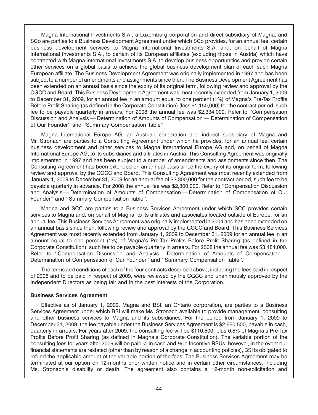Magna International Investments S.A., a Luxemburg corporation and direct subsidiary of Magna, and SCo are parties to a Business Development Agreement under which SCo provides, for an annual fee, certain business development services to Magna International Investments S.A. and, on behalf of Magna International Investments S.A., to certain of its European affiliates (excluding those in Austria) which have contracted with Magna International Investments S.A. to develop business opportunities and provide certain other services on a global basis to achieve the global business development plan of each such Magna European affiliate. The Business Development Agreement was originally implemented in 1997 and has been subject to a number of amendments and assignments since then. The Business Development Agreement has been extended on an annual basis since the expiry of its original term, following review and approval by the CGCC and Board. This Business Development Agreement was most recently extended from January 1, 2009 to December 31, 2009, for an annual fee in an amount equal to one percent (1%) of Magna's Pre-Tax Profits Before Profit Sharing (as defined in the Corporate Constitution) (less \$1,150,000) for the contract period, such fee to be payable quarterly in arrears. For 2008 the annual fee was \$2,334,000. Refer to ''Compensation Discussion and Analysis — Determination of Amounts of Compensation — Determination of Compensation of Our Founder'' and ''Summary Compensation Table''.

Magna International Europe AG, an Austrian corporation and indirect subsidiary of Magna and Mr. Stronach are parties to a Consulting Agreement under which he provides, for an annual fee, certain business development and other services to Magna International Europe AG and, on behalf of Magna International Europe AG, to its subsidiaries and affiliates in Austria. This Consulting Agreement was originally implemented in 1997 and has been subject to a number of amendments and assignments since then. The Consulting Agreement has been extended on an annual basis since the expiry of its original term, following review and approval by the CGCC and Board. This Consulting Agreement was most recently extended from January 1, 2009 to December 31, 2009 for an annual fee of \$2,300,000 for the contract period, such fee to be payable quarterly in advance. For 2008 the annual fee was \$2,300,000. Refer to ''Compensation Discussion and Analysis — Determination of Amounts of Compensation — Determination of Compensation of Our Founder'' and ''Summary Compensation Table''.

Magna and SCC are parties to a Business Services Agreement under which SCC provides certain services to Magna and, on behalf of Magna, to its affiliates and associates located outside of Europe, for an annual fee. This Business Services Agreement was originally implemented in 2004 and has been extended on an annual basis since then, following review and approval by the CGCC and Board. This Business Services Agreement was most recently extended from January 1, 2009 to December 31, 2009 for an annual fee in an amount equal to one percent (1%) of Magna's Pre-Tax Profits Before Profit Sharing (as defined in the Corporate Constitution), such fee to be payable quarterly in arrears. For 2008 the annual fee was \$3,484,000. Refer to "Compensation Discussion and Analysis — Determination of Amounts of Compensation -Determination of Compensation of Our Founder'' and ''Summary Compensation Table''.

The terms and conditions of each of the four contracts described above, including the fees paid in respect of 2008 and to be paid in respect of 2009, were reviewed by the CGCC and unanimously approved by the Independent Directors as being fair and in the best interests of the Corporation.

#### **Business Services Agreement**

Effective as of January 1, 2009, Magna and BSI, an Ontario corporation, are parties to a Business Services Agreement under which BSI will make Ms. Stronach available to provide management, consulting and other business services to Magna and its subsidiaries. For the period from January 1, 2009 to December 31, 2009, the fee payable under the Business Services Agreement is \$2,660,500, payable in cash, quarterly in arrears. For years after 2009, the consulting fee will be \$110,500, plus 0.5% of Magna's Pre-Tax Profits Before Profit Sharing (as defined in Magna's Corporate Constitution). The variable portion of the consulting fees for years after 2009 will be paid <sup>2</sup>/<sub>3</sub> in cash and <sup>1</sup>/<sub>3</sub> in Incentive RSUs; however, in the event our financial statements are restated (other than by reason of a change in accounting policies), BSI is obligated to refund the applicable amount of the variable portion of the fees. The Business Services Agreement may be terminated at our option on 12-months prior written notice and in certain other circumstances, including Ms. Stronach's disability or death. The agreement also contains a 12-month non-solicitation and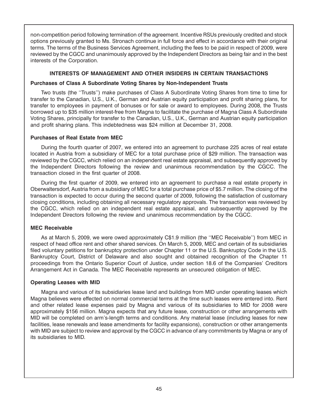non-competition period following termination of the agreement. Incentive RSUs previously credited and stock options previously granted to Ms. Stronach continue in full force and effect in accordance with their original terms. The terms of the Business Services Agreement, including the fees to be paid in respect of 2009, were reviewed by the CGCC and unanimously approved by the Independent Directors as being fair and in the best interests of the Corporation.

# **INTERESTS OF MANAGEMENT AND OTHER INSIDERS IN CERTAIN TRANSACTIONS**

# **Purchases of Class A Subordinate Voting Shares by Non-Independent Trusts**

Two trusts (the ''Trusts'') make purchases of Class A Subordinate Voting Shares from time to time for transfer to the Canadian, U.S., U.K., German and Austrian equity participation and profit sharing plans, for transfer to employees in payment of bonuses or for sale or award to employees. During 2008, the Trusts borrowed up to \$35 million interest-free from Magna to facilitate the purchase of Magna Class A Subordinate Voting Shares, principally for transfer to the Canadian, U.S., U.K., German and Austrian equity participation and profit sharing plans. This indebtedness was \$24 million at December 31, 2008.

# **Purchases of Real Estate from MEC**

During the fourth quarter of 2007, we entered into an agreement to purchase 225 acres of real estate located in Austria from a subsidiary of MEC for a total purchase price of \$29 million. The transaction was reviewed by the CGCC, which relied on an independent real estate appraisal, and subsequently approved by the Independent Directors following the review and unanimous recommendation by the CGCC. The transaction closed in the first quarter of 2008.

During the first quarter of 2009, we entered into an agreement to purchase a real estate property in Oberwaltersdorf, Austria from a subsidiary of MEC for a total purchase price of \$5.7 million. The closing of the transaction is expected to occur during the second quarter of 2009, following the satisfaction of customary closing conditions, including obtaining all necessary regulatory approvals. The transaction was reviewed by the CGCC, which relied on an independent real estate appraisal, and subsequently approved by the Independent Directors following the review and unanimous recommendation by the CGCC.

# **MEC Receivable**

As at March 5, 2009, we were owed approximately C\$1.9 million (the ''MEC Receivable'') from MEC in respect of head office rent and other shared services. On March 5, 2009, MEC and certain of its subsidiaries filed voluntary petitions for bankruptcy protection under Chapter 11 or the U.S. Bankruptcy Code in the U.S. Bankruptcy Court, District of Delaware and also sought and obtained recognition of the Chapter 11 proceedings from the Ontario Superior Court of Justice, under section 18.6 of the Companies' Creditors Arrangement Act in Canada. The MEC Receivable represents an unsecured obligation of MEC.

# **Operating Leases with MID**

Magna and various of its subsidiaries lease land and buildings from MID under operating leases which Magna believes were effected on normal commercial terms at the time such leases were entered into. Rent and other related lease expenses paid by Magna and various of its subsidiaries to MID for 2008 were approximately \$156 million. Magna expects that any future lease, construction or other arrangements with MID will be completed on arm's-length terms and conditions. Any material lease (including leases for new facilities, lease renewals and lease amendments for facility expansions), construction or other arrangements with MID are subject to review and approval by the CGCC in advance of any commitments by Magna or any of its subsidiaries to MID.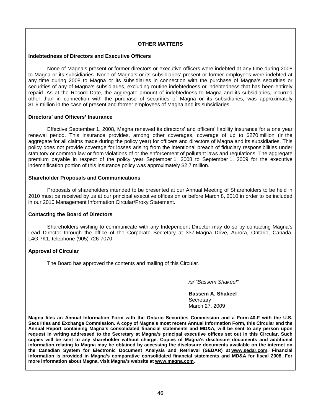### **OTHER MATTERS**

#### **Indebtedness of Directors and Executive Officers**

None of Magna's present or former directors or executive officers were indebted at any time during 2008 to Magna or its subsidiaries. None of Magna's or its subsidiaries' present or former employees were indebted at any time during 2008 to Magna or its subsidiaries in connection with the purchase of Magna's securities or securities of any of Magna's subsidiaries, excluding routine indebtedness or indebtedness that has been entirely repaid. As at the Record Date, the aggregate amount of indebtedness to Magna and its subsidiaries, incurred other than in connection with the purchase of securities of Magna or its subsidiaries, was approximately \$1.9 million in the case of present and former employees of Magna and its subsidiaries.

#### **Directors' and Officers' Insurance**

Effective September 1, 2008, Magna renewed its directors' and officers' liability insurance for a one year renewal period. This insurance provides, among other coverages, coverage of up to \$270 million (in the aggregate for all claims made during the policy year) for officers and directors of Magna and its subsidiaries. This policy does not provide coverage for losses arising from the intentional breach of fiduciary responsibilities under statutory or common law or from violations of or the enforcement of pollutant laws and regulations. The aggregate premium payable in respect of the policy year September 1, 2008 to September 1, 2009 for the executive indemnification portion of this insurance policy was approximately \$2.7 million.

#### **Shareholder Proposals and Communications**

Proposals of shareholders intended to be presented at our Annual Meeting of Shareholders to be held in 2010 must be received by us at our principal executive offices on or before March 8, 2010 in order to be included in our 2010 Management Information Circular/Proxy Statement.

### **Contacting the Board of Directors**

Shareholders wishing to communicate with any Independent Director may do so by contacting Magna's Lead Director through the office of the Corporate Secretary at 337 Magna Drive, Aurora, Ontario, Canada, L4G 7K1, telephone (905) 726-7070.

### **Approval of Circular**

The Board has approved the contents and mailing of this Circular.

*/s/ "Bassem Shakeel"* 

**Bassem A. Shakeel Secretary** March 27, 2009

**Magna files an Annual Information Form with the Ontario Securities Commission and a Form 40-F with the U.S. Securities and Exchange Commission. A copy of Magna's most recent Annual Information Form, this Circular and the Annual Report containing Magna's consolidated financial statements and MD&A, will be sent to any person upon request in writing addressed to the Secretary at Magna's principal executive offices set out in this Circular. Such copies will be sent to any shareholder without charge. Copies of Magna's disclosure documents and additional information relating to Magna may be obtained by accessing the disclosure documents available on the internet on the Canadian System for Electronic Document Analysis and Retrieval (SEDAR) at www.sedar.com. Financial information is provided in Magna's comparative consolidated financial statements and MD&A for fiscal 2008. For more information about Magna, visit Magna's website at www.magna.com.**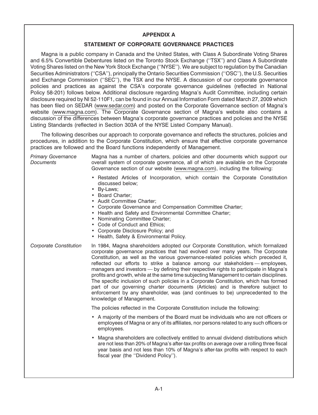# **APPENDIX A**

# **STATEMENT OF CORPORATE GOVERNANCE PRACTICES**

Magna is a public company in Canada and the United States, with Class A Subordinate Voting Shares and 6.5% Convertible Debentures listed on the Toronto Stock Exchange (''TSX'') and Class A Subordinate Voting Shares listed on the New York Stock Exchange (''NYSE''). We are subject to regulation by the Canadian Securities Administrators (''CSA''), principally the Ontario Securities Commission (''OSC''), the U.S. Securities and Exchange Commission (''SEC''), the TSX and the NYSE. A discussion of our corporate governance policies and practices as against the CSA's corporate governance guidelines (reflected in National Policy 58-201) follows below. Additional disclosure regarding Magna's Audit Committee, including certain disclosure required by NI 52-110F1, can be found in our Annual Information Form dated March 27, 2009 which has been filed on SEDAR (www.sedar.com) and posted on the Corporate Governance section of Magna's website (www.magna.com). The Corporate Governance section of Magna's website also contains a discussion of the differences between Magna's corporate governance practices and policies and the NYSE Listing Standards (reflected in Section 303A of the NYSE Listed Company Manual).

The following describes our approach to corporate governance and reflects the structures, policies and procedures, in addition to the Corporate Constitution, which ensure that effective corporate governance practices are followed and the Board functions independently of Management.

| <b>Primary Governance</b><br><b>Documents</b> | Magna has a number of charters, policies and other documents which support our<br>overall system of corporate governance, all of which are available on the Corporate<br>Governance section of our website (www.magna.com), including the following:                                                                                                                                                                                                                                                                                                                                                                                                                                                                                                                                                                      |
|-----------------------------------------------|---------------------------------------------------------------------------------------------------------------------------------------------------------------------------------------------------------------------------------------------------------------------------------------------------------------------------------------------------------------------------------------------------------------------------------------------------------------------------------------------------------------------------------------------------------------------------------------------------------------------------------------------------------------------------------------------------------------------------------------------------------------------------------------------------------------------------|
|                                               | • Restated Articles of Incorporation, which contain the Corporate Constitution<br>discussed below;<br>By-Laws;<br>$\bullet$<br>• Board Charter;<br>• Audit Committee Charter;<br>Corporate Governance and Compensation Committee Charter;<br>• Health and Safety and Environmental Committee Charter;<br>• Nominating Committee Charter;<br>• Code of Conduct and Ethics;<br>Corporate Disclosure Policy; and<br>٠<br>• Health, Safety & Environmental Policy.                                                                                                                                                                                                                                                                                                                                                            |
| Corporate Constitution                        | In 1984, Magna shareholders adopted our Corporate Constitution, which formalized<br>corporate governance practices that had evolved over many years. The Corporate<br>Constitution, as well as the various governance-related policies which preceded it,<br>reflected our efforts to strike a balance among our stakeholders — employees,<br>managers and investors - by defining their respective rights to participate in Magna's<br>profits and growth, while at the same time subjecting Management to certain disciplines.<br>The specific inclusion of such policies in a Corporate Constitution, which has formed<br>part of our governing charter documents (Articles) and is therefore subject to<br>enforcement by any shareholder, was (and continues to be) unprecedented to the<br>knowledge of Management. |
|                                               | The policies reflected in the Corporate Constitution include the following:                                                                                                                                                                                                                                                                                                                                                                                                                                                                                                                                                                                                                                                                                                                                               |
|                                               | • A majority of the members of the Board must be individuals who are not officers or<br>employees of Magna or any of its affiliates, nor persons related to any such officers or<br>employees.                                                                                                                                                                                                                                                                                                                                                                                                                                                                                                                                                                                                                            |
|                                               | Magna shareholders are collectively entitled to annual dividend distributions which<br>$\bullet$<br>are not less than 20% of Magna's after-tax profits on average over a rolling three fiscal<br>year basis and not less than 10% of Magna's after-tax profits with respect to each<br>fiscal year (the "Dividend Policy").                                                                                                                                                                                                                                                                                                                                                                                                                                                                                               |
|                                               |                                                                                                                                                                                                                                                                                                                                                                                                                                                                                                                                                                                                                                                                                                                                                                                                                           |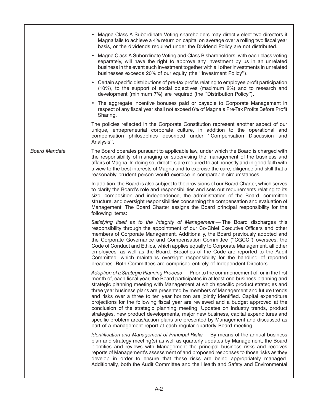|                      | • Magna Class A Subordinate Voting shareholders may directly elect two directors if<br>Magna fails to achieve a 4% return on capital on average over a rolling two fiscal year<br>basis, or the dividends required under the Dividend Policy are not distributed.                                                                                                                                                                                                                                                                                                                                                                                                                                                                                                                                                                                                                         |
|----------------------|-------------------------------------------------------------------------------------------------------------------------------------------------------------------------------------------------------------------------------------------------------------------------------------------------------------------------------------------------------------------------------------------------------------------------------------------------------------------------------------------------------------------------------------------------------------------------------------------------------------------------------------------------------------------------------------------------------------------------------------------------------------------------------------------------------------------------------------------------------------------------------------------|
|                      | • Magna Class A Subordinate Voting and Class B shareholders, with each class voting<br>separately, will have the right to approve any investment by us in an unrelated<br>business in the event such investment together with all other investments in unrelated<br>businesses exceeds 20% of our equity (the "Investment Policy").                                                                                                                                                                                                                                                                                                                                                                                                                                                                                                                                                       |
|                      | • Certain specific distributions of pre-tax profits relating to employee profit participation<br>(10%), to the support of social objectives (maximum 2%) and to research and<br>development (minimum 7%) are required (the "Distribution Policy").                                                                                                                                                                                                                                                                                                                                                                                                                                                                                                                                                                                                                                        |
|                      | • The aggregate incentive bonuses paid or payable to Corporate Management in<br>respect of any fiscal year shall not exceed 6% of Magna's Pre-Tax Profits Before Profit<br>Sharing.                                                                                                                                                                                                                                                                                                                                                                                                                                                                                                                                                                                                                                                                                                       |
|                      | The policies reflected in the Corporate Constitution represent another aspect of our<br>unique, entrepreneurial corporate culture, in addition to the operational and<br>compensation philosophies described under "Compensation Discussion and<br>Analysis".                                                                                                                                                                                                                                                                                                                                                                                                                                                                                                                                                                                                                             |
| <b>Board Mandate</b> | The Board operates pursuant to applicable law, under which the Board is charged with<br>the responsibility of managing or supervising the management of the business and<br>affairs of Magna. In doing so, directors are required to act honestly and in good faith with<br>a view to the best interests of Magna and to exercise the care, diligence and skill that a<br>reasonably prudent person would exercise in comparable circumstances.                                                                                                                                                                                                                                                                                                                                                                                                                                           |
|                      | In addition, the Board is also subject to the provisions of our Board Charter, which serves<br>to clarify the Board's role and responsibilities and sets out requirements relating to its<br>size, composition and independence, the administration of the Board, committee<br>structure, and oversight responsibilities concerning the compensation and evaluation of<br>Management. The Board Charter assigns the Board principal responsibility for the<br>following items:                                                                                                                                                                                                                                                                                                                                                                                                            |
|                      | Satisfying Itself as to the Integrity of Management - The Board discharges this<br>responsibility through the appointment of our Co-Chief Executive Officers and other<br>members of Corporate Management. Additionally, the Board previously adopted and<br>the Corporate Governance and Compensation Committee ("CGCC") oversees, the<br>Code of Conduct and Ethics, which applies equally to Corporate Management, all other<br>employees, as well as the Board. Breaches of the Code are reported to the Audit<br>Committee, which maintains oversight responsibility for the handling of reported<br>breaches. Both Committees are comprised entirely of Independent Directors.                                                                                                                                                                                                      |
|                      | Adoption of a Strategic Planning Process — Prior to the commencement of, or in the first<br>month of, each fiscal year, the Board participates in at least one business planning and<br>strategic planning meeting with Management at which specific product strategies and<br>three year business plans are presented by members of Management and future trends<br>and risks over a three to ten year horizon are jointly identified. Capital expenditure<br>projections for the following fiscal year are reviewed and a budget approved at the<br>conclusion of the strategic planning meeting. Updates on industry trends, product<br>strategies, new product developments, major new business, capital expenditures and<br>specific problem areas/action plans are presented by Management and discussed as<br>part of a management report at each regular quarterly Board meeting. |
|                      | Identification and Management of Principal Risks - By means of the annual business<br>plan and strategy meeting(s) as well as quarterly updates by Management, the Board<br>identifies and reviews with Management the principal business risks and receives<br>reports of Management's assessment of and proposed responses to those risks as they<br>develop in order to ensure that these risks are being appropriately managed.<br>Additionally, both the Audit Committee and the Health and Safety and Environmental                                                                                                                                                                                                                                                                                                                                                                 |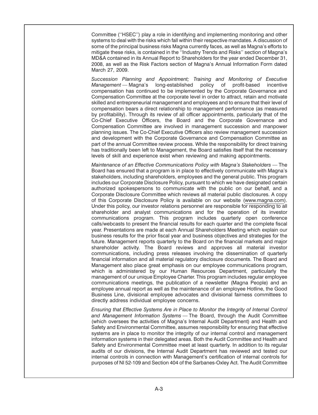Committee (''HSEC'') play a role in identifying and implementing monitoring and other systems to deal with the risks which fall within their respective mandates. A discussion of some of the principal business risks Magna currently faces, as well as Magna's efforts to mitigate these risks, is contained in the ''Industry Trends and Risks'' section of Magna's MD&A contained in its Annual Report to Shareholders for the year ended December 31, 2008, as well as the Risk Factors section of Magna's Annual Information Form dated March 27, 2009.

*Succession Planning and Appointment; Training and Monitoring of Executive Management* — Magna's long-established policy of profit-based incentive compensation has continued to be implemented by the Corporate Governance and Compensation Committee at the corporate level in order to attract, retain and motivate skilled and entrepreneurial management and employees and to ensure that their level of compensation bears a direct relationship to management performance (as measured by profitability). Through its review of all officer appointments, particularly that of the Co-Chief Executive Officers, the Board and the Corporate Governance and Compensation Committee are involved in management succession and manpower planning issues. The Co-Chief Executive Officers also review management succession and development with the Corporate Governance and Compensation Committee as part of the annual Committee review process. While the responsibility for direct training has traditionally been left to Management, the Board satisfies itself that the necessary levels of skill and experience exist when reviewing and making appointments.

*Maintenance of an Effective Communications Policy with Magna's Stakeholders* — The Board has ensured that a program is in place to effectively communicate with Magna's stakeholders, including shareholders, employees and the general public. This program includes our Corporate Disclosure Policy, pursuant to which we have designated certain authorized spokespersons to communicate with the public on our behalf, and a Corporate Disclosure Committee which reviews all material public disclosures. A copy of this Corporate Disclosure Policy is available on our website (www.magna.com). Under this policy, our investor relations personnel are responsible for responding to all shareholder and analyst communications and for the operation of its investor communications program. This program includes quarterly open conference calls/webcasts to present the financial results for each quarter and the complete fiscal year. Presentations are made at each Annual Shareholders Meeting which explain our business results for the prior fiscal year and business objectives and strategies for the future. Management reports quarterly to the Board on the financial markets and major shareholder activity. The Board reviews and approves all material investor communications, including press releases involving the dissemination of quarterly financial information and all material regulatory disclosure documents. The Board and Management also place great emphasis on our employee communications program, which is administered by our Human Resources Department, particularly the management of our unique Employee Charter. This program includes regular employee communications meetings, the publication of a newsletter (Magna People) and an employee annual report as well as the maintenance of an employee Hotline, the Good Business Line, divisional employee advocates and divisional fairness committees to directly address individual employee concerns.

*Ensuring that Effective Systems Are in Place to Monitor the Integrity of Internal Control and Management Information Systems* — The Board, through the Audit Committee (which oversees the activities of Magna's Internal Audit Department) and Health and Safety and Environmental Committee, assumes responsibility for ensuring that effective systems are in place to monitor the integrity of our internal control and management information systems in their delegated areas. Both the Audit Committee and Health and Safety and Environmental Committee meet at least quarterly. In addition to its regular audits of our divisions, the Internal Audit Department has reviewed and tested our internal controls in connection with Management's certification of internal controls for purposes of NI 52-109 and Section 404 of the Sarbanes-Oxley Act. The Audit Committee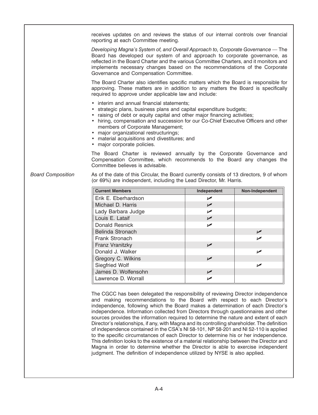receives updates on and reviews the status of our internal controls over financial reporting at each Committee meeting. *Developing Magna's System of, and Overall Approach to, Corporate Governance —* The Board has developed our system of and approach to corporate governance, as reflected in the Board Charter and the various Committee Charters, and it monitors and implements necessary changes based on the recommendations of the Corporate Governance and Compensation Committee. The Board Charter also identifies specific matters which the Board is responsible for approving. These matters are in addition to any matters the Board is specifically required to approve under applicable law and include: • interim and annual financial statements; • strategic plans, business plans and capital expenditure budgets; • raising of debt or equity capital and other major financing activities; • hiring, compensation and succession for our Co-Chief Executive Officers and other members of Corporate Management; • major organizational restructurings; • material acquisitions and divestitures; and • major corporate policies. The Board Charter is reviewed annually by the Corporate Governance and Compensation Committee, which recommends to the Board any changes the Committee believes is advisable. *Board Composition* As of the date of this Circular, the Board currently consists of 13 directors, 9 of whom (or 69%) are independent, including the Lead Director, Mr. Harris. **Current Members Current Members Independent Independent Non-Independent** Erik E. Eberhardson Michael D. Harris **Michael D. Harris** Michael D. Harris **Michael D. Harris** Michael Michael D. Michael Michael Michael Michael Michael Michael Michael Michael Michael Michael Michael Michael Michael Michael Michael Michael Lady Barbara Judge **Fig. 1**  $\sqrt{ }$ Louis E. Lataif Donald Resnick **No. 1998** Belinda Stronach **Belinda Stronach** Frank Stronach **Frank Stronach** Franz Vranitzky Donald J. Walker **Donald J. Walker** Gregory C. Wilkins **Communist Communist Communist Communist Communist Communist Communist Communist Communist Communist Communist Communist Communist Communist Communist Communist Communist Communist Communist Communist Co** Siegfried Wolf **Siegfried Wolf** James D. Wolfensohn Lawrence D. Worrall **V** The CGCC has been delegated the responsibility of reviewing Director independence and making recommendations to the Board with respect to each Director's independence, following which the Board makes a determination of each Director's independence. Information collected from Directors through questionnaires and other

sources provides the information required to determine the nature and extent of each Director's relationships, if any, with Magna and its controlling shareholder. The definition of independence contained in the CSA's NI 58-101, NP 58-201 and NI 52-110 is applied to the specific circumstances of each Director to determine his or her independence. This definition looks to the existence of a material relationship between the Director and Magna in order to determine whether the Director is able to exercise independent judgment. The definition of independence utilized by NYSE is also applied.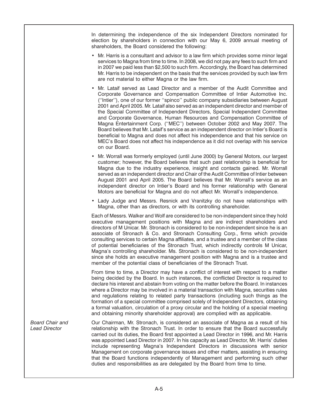In determining the independence of the six Independent Directors nominated for election by shareholders in connection with our May 6, 2009 annual meeting of shareholders, the Board considered the following:

- Mr. Harris is a consultant and advisor to a law firm which provides some minor legal services to Magna from time to time. In 2008, we did not pay any fees to such firm and in 2007 we paid less than \$2,500 to such firm. Accordingly, the Board has determined Mr. Harris to be independent on the basis that the services provided by such law firm are not material to either Magna or the law firm.
- Mr. Lataif served as Lead Director and a member of the Audit Committee and Corporate Governance and Compensation Committee of Intier Automotive Inc. (''Intier''), one of our former ''spinco'' public company subsidiaries between August 2001 and April 2005. Mr. Lataif also served as an independent director and member of the Special Committee of Independent Directors, Special Independent Committee and Corporate Governance, Human Resources and Compensation Committee of Magna Entertainment Corp. (''MEC'') between October 2002 and May 2007. The Board believes that Mr. Lataif's service as an independent director on Intier's Board is beneficial to Magna and does not affect his independence and that his service on MEC's Board does not affect his independence as it did not overlap with his service on our Board.
- Mr. Worrall was formerly employed (until June 2000) by General Motors, our largest customer; however, the Board believes that such past relationship is beneficial for Magna due to the industry experience, insight and contacts gained. Mr. Worrall served as an independent director and Chair of the Audit Committee of Intier between August 2001 and April 2005. The Board believes that Mr. Worrall's service as an independent director on Intier's Board and his former relationship with General Motors are beneficial for Magna and do not affect Mr. Worrall's independence.
- Lady Judge and Messrs. Resnick and Vranitzky do not have relationships with Magna, other than as directors, or with its controlling shareholder.

Each of Messrs. Walker and Wolf are considered to be non-independent since they hold executive management positions with Magna and are indirect shareholders and directors of M Unicar. Mr. Stronach is considered to be non-independent since he is an associate of Stronach & Co. and Stronach Consulting Corp., firms which provide consulting services to certain Magna affiliates, and a trustee and a member of the class of potential beneficiaries of the Stronach Trust, which indirectly controls M Unicar, Magna's controlling shareholder. Ms. Stronach is considered to be non-independent since she holds an executive management position with Magna and is a trustee and member of the potential class of beneficiaries of the Stronach Trust.

From time to time, a Director may have a conflict of interest with respect to a matter being decided by the Board. In such instances, the conflicted Director is required to declare his interest and abstain from voting on the matter before the Board. In instances where a Director may be involved in a material transaction with Magna, securities rules and regulations relating to related party transactions (including such things as the formation of a special committee comprised solely of Independent Directors, obtaining a formal valuation, circulation of a proxy circular and the holding of a special meeting and obtaining minority shareholder approval) are complied with as applicable.

*Board Chair and* **Courchairman, Mr. Stronach, is considered an associate of Magna as a result of his** *Lead Director* **<b>Constant Constant Interpretent** *Lead Director* **Constant Constant Constant Constant Interpretent** *Lea* relationship with the Stronach Trust. In order to ensure that the Board successfully carried out its duties, the Board first appointed a Lead Director in 1996, and Mr. Harris was appointed Lead Director in 2007. In his capacity as Lead Director, Mr. Harris' duties include representing Magna's Independent Directors in discussions with senior Management on corporate governance issues and other matters, assisting in ensuring that the Board functions independently of Management and performing such other duties and responsibilities as are delegated by the Board from time to time.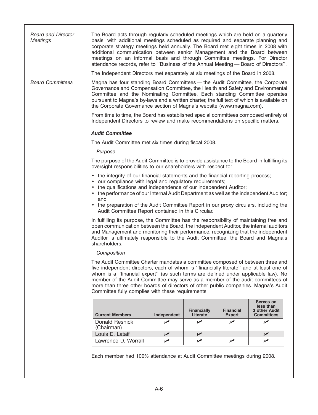*Board and Director* The Board acts through regularly scheduled meetings which are held on a quarterly *Meetings* basis, with additional meetings scheduled as required and separate planning and corporate strategy meetings held annually. The Board met eight times in 2008 with additional communication between senior Management and the Board between meetings on an informal basis and through Committee meetings. For Director attendance records, refer to ''Business of the Annual Meeting — Board of Directors''. The Independent Directors met separately at six meetings of the Board in 2008. *Board Committees* Magna has four standing Board Committees — the Audit Committee, the Corporate Governance and Compensation Committee, the Health and Safety and Environmental Committee and the Nominating Committee. Each standing Committee operates pursuant to Magna's by-laws and a written charter, the full text of which is available on the Corporate Governance section of Magna's website (www.magna.com). From time to time, the Board has established special committees composed entirely of Independent Directors to review and make recommendations on specific matters. *Audit Committee* The Audit Committee met six times during fiscal 2008. *Purpose* The purpose of the Audit Committee is to provide assistance to the Board in fulfilling its oversight responsibilities to our shareholders with respect to: • the integrity of our financial statements and the financial reporting process; • our compliance with legal and regulatory requirements; • the qualifications and independence of our independent Auditor; • the performance of our Internal Audit Department as well as the independent Auditor; and • the preparation of the Audit Committee Report in our proxy circulars, including the Audit Committee Report contained in this Circular. In fulfilling its purpose, the Committee has the responsibility of maintaining free and open communication between the Board, the independent Auditor, the internal auditors and Management and monitoring their performance, recognizing that the independent Auditor is ultimately responsible to the Audit Committee, the Board and Magna's shareholders. *Composition* The Audit Committee Charter mandates a committee composed of between three and five independent directors, each of whom is ''financially literate'' and at least one of whom is a ''financial expert'' (as such terms are defined under applicable law). No member of the Audit Committee may serve as a member of the audit committees of more than three other boards of directors of other public companies. Magna's Audit Committee fully complies with these requirements.

| <b>Current Members</b>       | Independent | <b>Financially</b><br>Literate | <b>Financial</b><br><b>Expert</b> | Serves on<br>less than<br>3 other Audit<br><b>Committees</b> |
|------------------------------|-------------|--------------------------------|-----------------------------------|--------------------------------------------------------------|
| Donald Resnick<br>(Chairman) |             |                                |                                   |                                                              |
| Louis E. Lataif              |             |                                |                                   |                                                              |
| Lawrence D. Worrall          |             |                                |                                   |                                                              |

Each member had 100% attendance at Audit Committee meetings during 2008.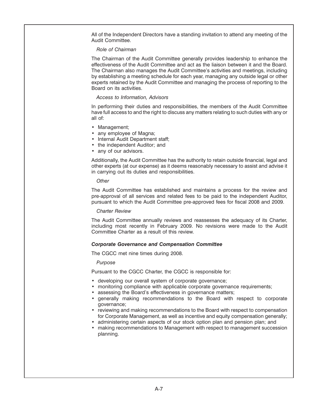All of the Independent Directors have a standing invitation to attend any meeting of the Audit Committee.

#### *Role of Chairman*

The Chairman of the Audit Committee generally provides leadership to enhance the effectiveness of the Audit Committee and act as the liaison between it and the Board. The Chairman also manages the Audit Committee's activities and meetings, including by establishing a meeting schedule for each year, managing any outside legal or other experts retained by the Audit Committee and managing the process of reporting to the Board on its activities.

#### *Access to Information, Advisors*

In performing their duties and responsibilities, the members of the Audit Committee have full access to and the right to discuss any matters relating to such duties with any or all of:

- Management;
- any employee of Magna;
- Internal Audit Department staff;
- the independent Auditor; and
- any of our advisors.

Additionally, the Audit Committee has the authority to retain outside financial, legal and other experts (at our expense) as it deems reasonably necessary to assist and advise it in carrying out its duties and responsibilities.

*Other*

The Audit Committee has established and maintains a process for the review and pre-approval of all services and related fees to be paid to the independent Auditor, pursuant to which the Audit Committee pre-approved fees for fiscal 2008 and 2009.

#### *Charter Review*

The Audit Committee annually reviews and reassesses the adequacy of its Charter, including most recently in February 2009. No revisions were made to the Audit Committee Charter as a result of this review.

#### *Corporate Governance and Compensation Committee*

The CGCC met nine times during 2008.

#### *Purpose*

Pursuant to the CGCC Charter, the CGCC is responsible for:

- developing our overall system of corporate governance;
- monitoring compliance with applicable corporate governance requirements;
- assessing the Board's effectiveness in governance matters;
- generally making recommendations to the Board with respect to corporate governance;
- reviewing and making recommendations to the Board with respect to compensation for Corporate Management, as well as incentive and equity compensation generally;
- administering certain aspects of our stock option plan and pension plan; and
- making recommendations to Management with respect to management succession planning.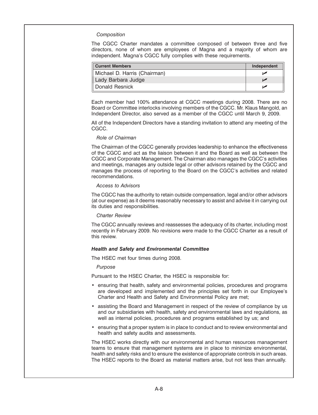#### *Composition*

The CGCC Charter mandates a committee composed of between three and five directors, none of whom are employees of Magna and a majority of whom are independent. Magna's CGCC fully complies with these requirements.

| <b>Current Members</b>       | Independent |
|------------------------------|-------------|
| Michael D. Harris (Chairman) |             |
| Lady Barbara Judge           |             |
| Donald Resnick               |             |

Each member had 100% attendance at CGCC meetings during 2008. There are no Board or Committee interlocks involving members of the CGCC. Mr. Klaus Mangold, an Independent Director, also served as a member of the CGCC until March 9, 2009.

All of the Independent Directors have a standing invitation to attend any meeting of the CGCC.

#### *Role of Chairman*

The Chairman of the CGCC generally provides leadership to enhance the effectiveness of the CGCC and act as the liaison between it and the Board as well as between the CGCC and Corporate Management. The Chairman also manages the CGCC's activities and meetings, manages any outside legal or other advisors retained by the CGCC and manages the process of reporting to the Board on the CGCC's activities and related recommendations.

#### *Access to Advisors*

The CGCC has the authority to retain outside compensation, legal and/or other advisors (at our expense) as it deems reasonably necessary to assist and advise it in carrying out its duties and responsibilities.

#### *Charter Review*

The CGCC annually reviews and reassesses the adequacy of its charter, including most recently in February 2009. No revisions were made to the CGCC Charter as a result of this review.

#### *Health and Safety and Environmental Committee*

The HSEC met four times during 2008.

#### *Purpose*

Pursuant to the HSEC Charter, the HSEC is responsible for:

- ensuring that health, safety and environmental policies, procedures and programs are developed and implemented and the principles set forth in our Employee's Charter and Health and Safety and Environmental Policy are met;
- assisting the Board and Management in respect of the review of compliance by us and our subsidiaries with health, safety and environmental laws and regulations, as well as internal policies, procedures and programs established by us; and
- ensuring that a proper system is in place to conduct and to review environmental and health and safety audits and assessments.

The HSEC works directly with our environmental and human resources management teams to ensure that management systems are in place to minimize environmental, health and safety risks and to ensure the existence of appropriate controls in such areas. The HSEC reports to the Board as material matters arise, but not less than annually.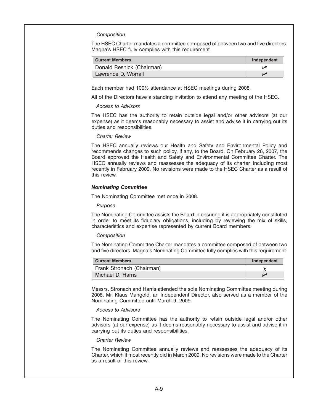#### *Composition*

The HSEC Charter mandates a committee composed of between two and five directors. Magna's HSEC fully complies with this requirement.

| <b>Current Members</b>    | Independent |
|---------------------------|-------------|
| Donald Resnick (Chairman) |             |
| Lawrence D. Worrall       |             |

Each member had 100% attendance at HSEC meetings during 2008.

All of the Directors have a standing invitation to attend any meeting of the HSEC.

#### *Access to Advisors*

The HSEC has the authority to retain outside legal and/or other advisors (at our expense) as it deems reasonably necessary to assist and advise it in carrying out its duties and responsibilities.

#### *Charter Review*

The HSEC annually reviews our Health and Safety and Environmental Policy and recommends changes to such policy, if any, to the Board. On February 26, 2007, the Board approved the Health and Safety and Environmental Committee Charter. The HSEC annually reviews and reassesses the adequacy of its charter, including most recently in February 2009. No revisions were made to the HSEC Charter as a result of this review.

#### *Nominating Committee*

The Nominating Committee met once in 2008.

#### *Purpose*

The Nominating Committee assists the Board in ensuring it is appropriately constituted in order to meet its fiduciary obligations, including by reviewing the mix of skills, characteristics and expertise represented by current Board members.

#### *Composition*

The Nominating Committee Charter mandates a committee composed of between two and five directors. Magna's Nominating Committee fully complies with this requirement.

| <b>Current Members</b>    | Independent |
|---------------------------|-------------|
| Frank Stronach (Chairman) |             |
| Michael D. Harris         |             |

Messrs. Stronach and Harris attended the sole Nominating Committee meeting during 2008. Mr. Klaus Mangold, an Independent Director, also served as a member of the Nominating Committee until March 9, 2009.

#### *Access to Advisors*

The Nominating Committee has the authority to retain outside legal and/or other advisors (at our expense) as it deems reasonably necessary to assist and advise it in carrying out its duties and responsibilities.

#### *Charter Review*

The Nominating Committee annually reviews and reassesses the adequacy of its Charter, which it most recently did in March 2009. No revisions were made to the Charter as a result of this review.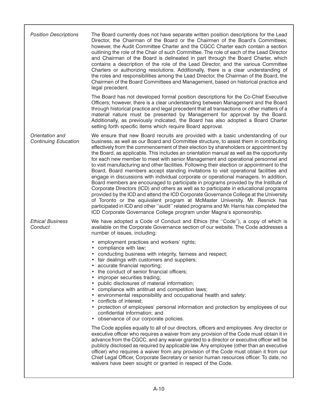| <b>Position Descriptions</b>                   | The Board currently does not have separate written position descriptions for the Lead<br>Director, the Chairman of the Board or the Chairmen of the Board's Committees;<br>however, the Audit Committee Charter and the CGCC Charter each contain a section<br>outlining the role of the Chair of such Committee. The role of each of the Lead Director<br>and Chairman of the Board is delineated in part through the Board Charter, which<br>contains a description of the role of the Lead Director, and the various Committee<br>Charters or authorizing resolutions. Additionally, there is a clear understanding of<br>the roles and responsibilities among the Lead Director, the Chairman of the Board, the<br>Chairmen of the Board Committees and Management, based on historical practice and<br>legal precedent.                                                                                                                                                                                                                                                                                                                                                                                                                                     |
|------------------------------------------------|------------------------------------------------------------------------------------------------------------------------------------------------------------------------------------------------------------------------------------------------------------------------------------------------------------------------------------------------------------------------------------------------------------------------------------------------------------------------------------------------------------------------------------------------------------------------------------------------------------------------------------------------------------------------------------------------------------------------------------------------------------------------------------------------------------------------------------------------------------------------------------------------------------------------------------------------------------------------------------------------------------------------------------------------------------------------------------------------------------------------------------------------------------------------------------------------------------------------------------------------------------------|
|                                                | The Board has not developed formal position descriptions for the Co-Chief Executive<br>Officers; however, there is a clear understanding between Management and the Board<br>through historical practice and legal precedent that all transactions or other matters of a<br>material nature must be presented by Management for approval by the Board.<br>Additionally, as previously indicated, the Board has also adopted a Board Charter<br>setting forth specific items which require Board approval.                                                                                                                                                                                                                                                                                                                                                                                                                                                                                                                                                                                                                                                                                                                                                        |
| Orientation and<br><b>Continuing Education</b> | We ensure that new Board recruits are provided with a basic understanding of our<br>business, as well as our Board and Committee structure, to assist them in contributing<br>effectively from the commencement of their election by shareholders or appointment by<br>the Board, as applicable. This includes an orientation manual as well as the opportunity<br>for each new member to meet with senior Management and operational personnel and<br>to visit manufacturing and other facilities. Following their election or appointment to the<br>Board, Board members accept standing invitations to visit operational facilities and<br>engage in discussions with individual corporate or operational managers. In addition,<br>Board members are encouraged to participate in programs provided by the Institute of<br>Corporate Directors (ICD) and others as well as to participate in educational programs<br>provided by the ICD and attend the ICD Corporate Governance College at the University<br>of Toronto or the equivalent program at McMaster University. Mr. Resnick has<br>participated in ICD and other "audit" related programs and Mr. Harris has completed the<br>ICD Corporate Governance College program under Magna's sponsorship. |
| <b>Ethical Business</b><br>Conduct             | We have adopted a Code of Conduct and Ethics (the "Code"), a copy of which is<br>available on the Corporate Governance section of our website. The Code addresses a<br>number of issues, including:                                                                                                                                                                                                                                                                                                                                                                                                                                                                                                                                                                                                                                                                                                                                                                                                                                                                                                                                                                                                                                                              |
|                                                | • employment practices and workers' rights;<br>• compliance with law;<br>• conducting business with integrity, fairness and respect;<br>fair dealings with customers and suppliers;<br>accurate financial reporting;<br>the conduct of senior financial officers;<br>improper securities trading;<br>public disclosures of material information;<br>compliance with antitrust and competition laws;<br>environmental responsibility and occupational health and safety;<br>conflicts of interest:<br>• protection of employees' personal information and protection by employees of our<br>confidential information; and<br>• observance of our corporate policies.                                                                                                                                                                                                                                                                                                                                                                                                                                                                                                                                                                                              |
|                                                | The Code applies equally to all of our directors, officers and employees. Any director or<br>executive officer who requires a waiver from any provision of the Code must obtain it in<br>advance from the CGCC, and any waiver granted to a director or executive officer will be<br>publicly disclosed as required by applicable law. Any employee (other than an executive<br>officer) who requires a waiver from any provision of the Code must obtain it from our<br>Chief Legal Officer, Corporate Secretary or senior human resources officer. To date, no<br>waivers have been sought or granted in respect of the Code.                                                                                                                                                                                                                                                                                                                                                                                                                                                                                                                                                                                                                                  |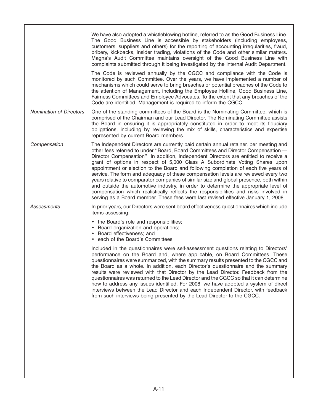|                                | We have also adopted a whistleblowing hotline, referred to as the Good Business Line.<br>The Good Business Line is accessible by stakeholders (including employees,<br>customers, suppliers and others) for the reporting of accounting irregularities, fraud,<br>bribery, kickbacks, insider trading, violations of the Code and other similar matters.<br>Magna's Audit Committee maintains oversight of the Good Business Line with<br>complaints submitted through it being investigated by the Internal Audit Department.<br>The Code is reviewed annually by the CGCC and compliance with the Code is<br>monitored by such Committee. Over the years, we have implemented a number of<br>mechanisms which could serve to bring breaches or potential breaches of the Code to<br>the attention of Management, including the Employee Hotline, Good Business Line,<br>Fairness Committees and Employee Advocates. To the extent that any breaches of the<br>Code are identified, Management is required to inform the CGCC. |
|--------------------------------|---------------------------------------------------------------------------------------------------------------------------------------------------------------------------------------------------------------------------------------------------------------------------------------------------------------------------------------------------------------------------------------------------------------------------------------------------------------------------------------------------------------------------------------------------------------------------------------------------------------------------------------------------------------------------------------------------------------------------------------------------------------------------------------------------------------------------------------------------------------------------------------------------------------------------------------------------------------------------------------------------------------------------------|
| <b>Nomination of Directors</b> | One of the standing committees of the Board is the Nominating Committee, which is<br>comprised of the Chairman and our Lead Director. The Nominating Committee assists<br>the Board in ensuring it is appropriately constituted in order to meet its fiduciary<br>obligations, including by reviewing the mix of skills, characteristics and expertise<br>represented by current Board members.                                                                                                                                                                                                                                                                                                                                                                                                                                                                                                                                                                                                                                 |
| Compensation                   | The Independent Directors are currently paid certain annual retainer, per meeting and<br>other fees referred to under "Board, Board Committees and Director Compensation -<br>Director Compensation". In addition, Independent Directors are entitled to receive a<br>grant of options in respect of 5,000 Class A Subordinate Voting Shares upon<br>appointment or election to the Board and following completion of each five years of<br>service. The form and adequacy of these compensation levels are reviewed every two<br>years relative to comparator companies of similar size and global presence, both within<br>and outside the automotive industry, in order to determine the appropriate level of<br>compensation which realistically reflects the responsibilities and risks involved in<br>serving as a Board member. These fees were last revised effective January 1, 2008.                                                                                                                                  |
| Assessments                    | In prior years, our Directors were sent board effectiveness questionnaires which include<br>items assessing:                                                                                                                                                                                                                                                                                                                                                                                                                                                                                                                                                                                                                                                                                                                                                                                                                                                                                                                    |
|                                | • the Board's role and responsibilities;<br>• Board organization and operations;<br>• Board effectiveness; and<br>• each of the Board's Committees.                                                                                                                                                                                                                                                                                                                                                                                                                                                                                                                                                                                                                                                                                                                                                                                                                                                                             |
|                                | Included in the questionnaires were self-assessment questions relating to Directors'<br>performance on the Board and, where applicable, on Board Committees. These<br>questionnaires were summarized, with the summary results presented to the CGCC and<br>the Board as a whole. In addition, each Director's questionnaire and the summary<br>results were reviewed with that Director by the Lead Director. Feedback from the<br>questionnaires was returned to the Lead Director and the CGCC so that it can determine<br>how to address any issues identified. For 2008, we have adopted a system of direct<br>interviews between the Lead Director and each Independent Director, with feedback<br>from such interviews being presented by the Lead Director to the CGCC.                                                                                                                                                                                                                                                 |
|                                |                                                                                                                                                                                                                                                                                                                                                                                                                                                                                                                                                                                                                                                                                                                                                                                                                                                                                                                                                                                                                                 |